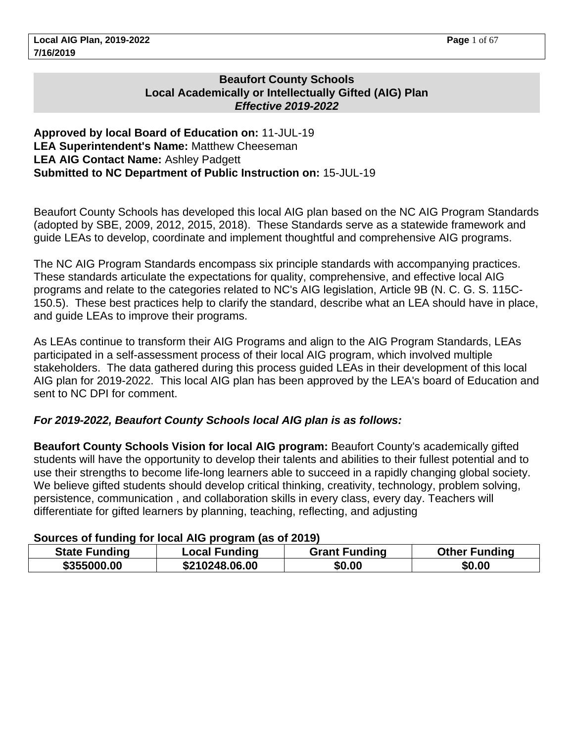## **Beaufort County Schools Local Academically or Intellectually Gifted (AIG) Plan Effective 2019-2022**

#### **Approved by local Board of Education on:** 11-JUL-19 **LEA Superintendent's Name:** Matthew Cheeseman **LEA AIG Contact Name:** Ashley Padgett **Submitted to NC Department of Public Instruction on:** 15-JUL-19

Beaufort County Schools has developed this local AIG plan based on the NC AIG Program Standards (adopted by SBE, 2009, 2012, 2015, 2018). These Standards serve as a statewide framework and guide LEAs to develop, coordinate and implement thoughtful and comprehensive AIG programs.

The NC AIG Program Standards encompass six principle standards with accompanying practices. These standards articulate the expectations for quality, comprehensive, and effective local AIG programs and relate to the categories related to NC's AIG legislation, Article 9B (N. C. G. S. 115C-150.5). These best practices help to clarify the standard, describe what an LEA should have in place, and guide LEAs to improve their programs.

As LEAs continue to transform their AIG Programs and align to the AIG Program Standards, LEAs participated in a self-assessment process of their local AIG program, which involved multiple stakeholders. The data gathered during this process guided LEAs in their development of this local AIG plan for 2019-2022. This local AIG plan has been approved by the LEA's board of Education and sent to NC DPI for comment.

## **For 2019-2022, Beaufort County Schools local AIG plan is as follows:**

**Beaufort County Schools Vision for local AIG program:** Beaufort County's academically gifted students will have the opportunity to develop their talents and abilities to their fullest potential and to use their strengths to become life-long learners able to succeed in a rapidly changing global society. We believe gifted students should develop critical thinking, creativity, technology, problem solving, persistence, communication , and collaboration skills in every class, every day. Teachers will differentiate for gifted learners by planning, teaching, reflecting, and adjusting

## **Sources of funding for local AIG program (as of 2019)**

| <b>State Funding</b> | <b>Local Funding</b> | <b>Grant Funding</b> | <b>Other Funding</b> |
|----------------------|----------------------|----------------------|----------------------|
| \$355000.00          | \$210248.06.00       | \$0.00               | \$0.00               |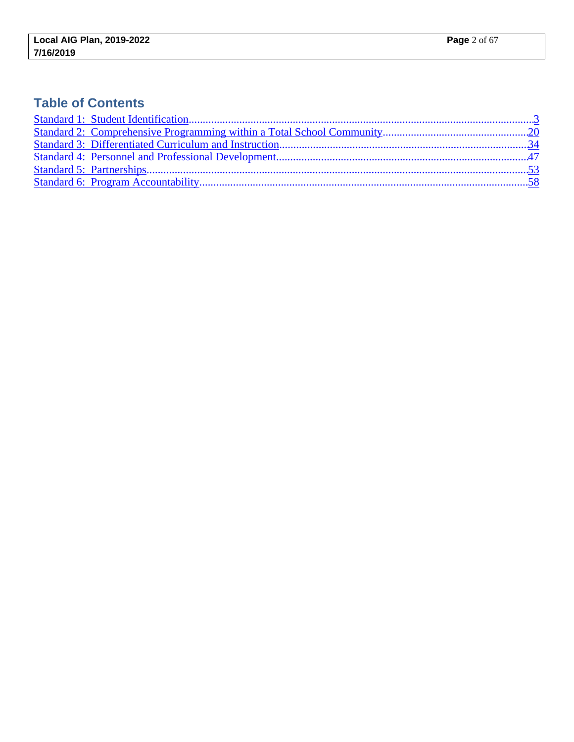# **Table of Contents**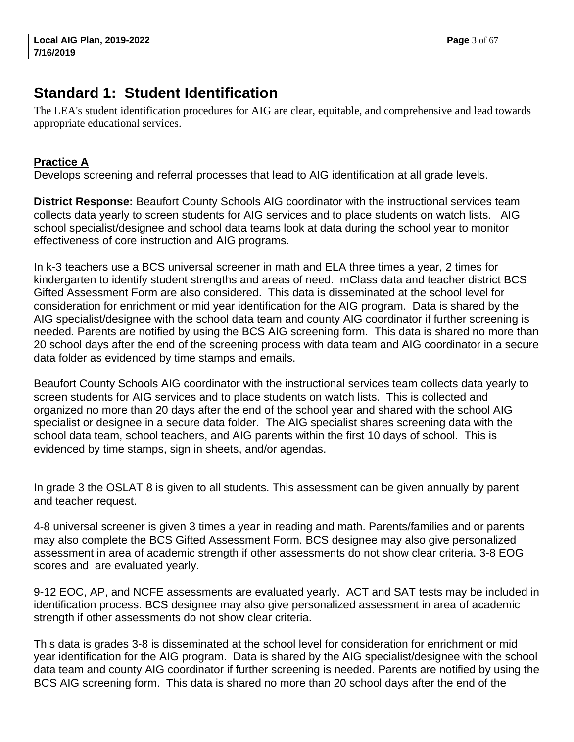# <span id="page-2-0"></span>**Standard 1: Student Identification**

The LEA's student identification procedures for AIG are clear, equitable, and comprehensive and lead towards appropriate educational services.

# **Practice A**

Develops screening and referral processes that lead to AIG identification at all grade levels.

**District Response:** Beaufort County Schools AIG coordinator with the instructional services team collects data yearly to screen students for AIG services and to place students on watch lists. AIG school specialist/designee and school data teams look at data during the school year to monitor effectiveness of core instruction and AIG programs.

In k-3 teachers use a BCS universal screener in math and ELA three times a year, 2 times for kindergarten to identify student strengths and areas of need. mClass data and teacher district BCS Gifted Assessment Form are also considered. This data is disseminated at the school level for consideration for enrichment or mid year identification for the AIG program. Data is shared by the AIG specialist/designee with the school data team and county AIG coordinator if further screening is needed. Parents are notified by using the BCS AIG screening form. This data is shared no more than 20 school days after the end of the screening process with data team and AIG coordinator in a secure data folder as evidenced by time stamps and emails.

Beaufort County Schools AIG coordinator with the instructional services team collects data yearly to screen students for AIG services and to place students on watch lists. This is collected and organized no more than 20 days after the end of the school year and shared with the school AIG specialist or designee in a secure data folder. The AIG specialist shares screening data with the school data team, school teachers, and AIG parents within the first 10 days of school. This is evidenced by time stamps, sign in sheets, and/or agendas.

In grade 3 the OSLAT 8 is given to all students. This assessment can be given annually by parent and teacher request.

4-8 universal screener is given 3 times a year in reading and math. Parents/families and or parents may also complete the BCS Gifted Assessment Form. BCS designee may also give personalized assessment in area of academic strength if other assessments do not show clear criteria. 3-8 EOG scores and are evaluated yearly.

9-12 EOC, AP, and NCFE assessments are evaluated yearly. ACT and SAT tests may be included in identification process. BCS designee may also give personalized assessment in area of academic strength if other assessments do not show clear criteria.

This data is grades 3-8 is disseminated at the school level for consideration for enrichment or mid year identification for the AIG program. Data is shared by the AIG specialist/designee with the school data team and county AIG coordinator if further screening is needed. Parents are notified by using the BCS AIG screening form. This data is shared no more than 20 school days after the end of the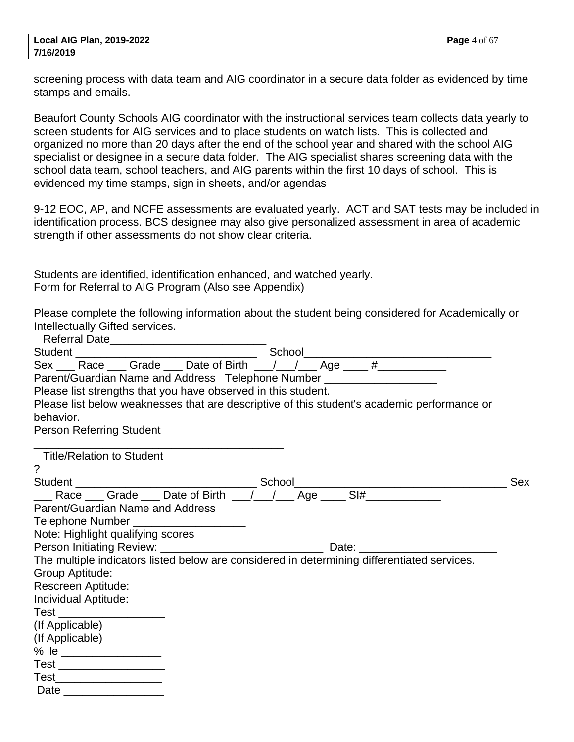screening process with data team and AIG coordinator in a secure data folder as evidenced by time stamps and emails.

Beaufort County Schools AIG coordinator with the instructional services team collects data yearly to screen students for AIG services and to place students on watch lists. This is collected and organized no more than 20 days after the end of the school year and shared with the school AIG specialist or designee in a secure data folder. The AIG specialist shares screening data with the school data team, school teachers, and AIG parents within the first 10 days of school. This is evidenced my time stamps, sign in sheets, and/or agendas

9-12 EOC, AP, and NCFE assessments are evaluated yearly. ACT and SAT tests may be included in identification process. BCS designee may also give personalized assessment in area of academic strength if other assessments do not show clear criteria.

Students are identified, identification enhanced, and watched yearly. Form for Referral to AIG Program (Also see Appendix)

Please complete the following information about the student being considered for Academically or Intellectually Gifted services. Referral Date\_\_\_\_\_\_\_\_\_\_\_\_\_\_\_\_\_\_\_\_\_\_\_\_\_

| Parent/Guardian Name and Address Telephone Number ____________________                      |  |     |
|---------------------------------------------------------------------------------------------|--|-----|
| Please list strengths that you have observed in this student.                               |  |     |
| Please list below weaknesses that are descriptive of this student's academic performance or |  |     |
| behavior.                                                                                   |  |     |
| <b>Person Referring Student</b>                                                             |  |     |
| Title/Relation to Student                                                                   |  |     |
| ?                                                                                           |  |     |
|                                                                                             |  | Sex |
|                                                                                             |  |     |
| Parent/Guardian Name and Address                                                            |  |     |
| Telephone Number _____________________                                                      |  |     |
| Note: Highlight qualifying scores                                                           |  |     |
|                                                                                             |  |     |
| The multiple indicators listed below are considered in determining differentiated services. |  |     |
| Group Aptitude:                                                                             |  |     |
| Rescreen Aptitude:                                                                          |  |     |
| Individual Aptitude:                                                                        |  |     |
| Test ___________________                                                                    |  |     |
| (If Applicable)                                                                             |  |     |
| (If Applicable)                                                                             |  |     |
|                                                                                             |  |     |
| Test ____________________                                                                   |  |     |
| Test_____________________                                                                   |  |     |
| Date ____________________                                                                   |  |     |
|                                                                                             |  |     |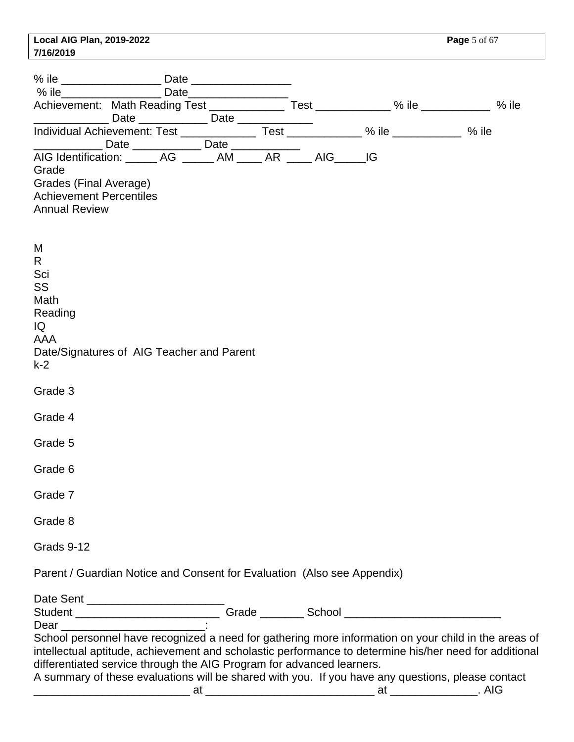|           | Local AIG Plan, 2019-2022 |
|-----------|---------------------------|
| 7/16/2019 |                           |

| $%$ ile                                                                                                    |  | Date_________________ |  |                                                                                                                                                                                                                                                                                                                     |
|------------------------------------------------------------------------------------------------------------|--|-----------------------|--|---------------------------------------------------------------------------------------------------------------------------------------------------------------------------------------------------------------------------------------------------------------------------------------------------------------------|
|                                                                                                            |  |                       |  | Achievement: Math Reading Test _______________ Test ____________% ile ___________ % ile                                                                                                                                                                                                                             |
|                                                                                                            |  |                       |  |                                                                                                                                                                                                                                                                                                                     |
|                                                                                                            |  |                       |  | % ile                                                                                                                                                                                                                                                                                                               |
| Grade<br>Grades (Final Average)<br><b>Achievement Percentiles</b><br><b>Annual Review</b>                  |  |                       |  |                                                                                                                                                                                                                                                                                                                     |
| M<br>R.<br>Sci<br>SS<br>Math<br>Reading<br>IQ<br>AAA<br>Date/Signatures of AIG Teacher and Parent<br>$k-2$ |  |                       |  |                                                                                                                                                                                                                                                                                                                     |
| Grade 3                                                                                                    |  |                       |  |                                                                                                                                                                                                                                                                                                                     |
| Grade 4                                                                                                    |  |                       |  |                                                                                                                                                                                                                                                                                                                     |
| Grade 5                                                                                                    |  |                       |  |                                                                                                                                                                                                                                                                                                                     |
| Grade 6                                                                                                    |  |                       |  |                                                                                                                                                                                                                                                                                                                     |
| Grade 7                                                                                                    |  |                       |  |                                                                                                                                                                                                                                                                                                                     |
| Grade 8                                                                                                    |  |                       |  |                                                                                                                                                                                                                                                                                                                     |
| Grads 9-12                                                                                                 |  |                       |  |                                                                                                                                                                                                                                                                                                                     |
| Parent / Guardian Notice and Consent for Evaluation (Also see Appendix)                                    |  |                       |  |                                                                                                                                                                                                                                                                                                                     |
|                                                                                                            |  |                       |  |                                                                                                                                                                                                                                                                                                                     |
|                                                                                                            |  |                       |  |                                                                                                                                                                                                                                                                                                                     |
|                                                                                                            |  |                       |  |                                                                                                                                                                                                                                                                                                                     |
| differentiated service through the AIG Program for advanced learners.                                      |  |                       |  | School personnel have recognized a need for gathering more information on your child in the areas of<br>intellectual aptitude, achievement and scholastic performance to determine his/her need for additional<br>A summary of these evaluations will be shared with you. If you have any questions, please contact |
|                                                                                                            |  |                       |  |                                                                                                                                                                                                                                                                                                                     |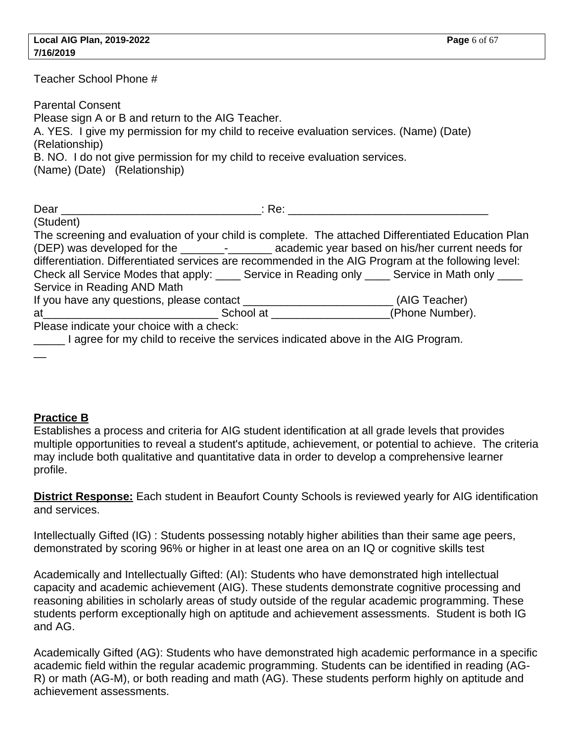| Teacher School Phone #                                                                                                                                                                                                                                                                                                                                                                                                                            |
|---------------------------------------------------------------------------------------------------------------------------------------------------------------------------------------------------------------------------------------------------------------------------------------------------------------------------------------------------------------------------------------------------------------------------------------------------|
| <b>Parental Consent</b><br>Please sign A or B and return to the AIG Teacher.<br>A. YES. I give my permission for my child to receive evaluation services. (Name) (Date)<br>(Relationship)<br>B. NO. I do not give permission for my child to receive evaluation services.<br>(Name) (Date) (Relationship)                                                                                                                                         |
|                                                                                                                                                                                                                                                                                                                                                                                                                                                   |
| (Student)                                                                                                                                                                                                                                                                                                                                                                                                                                         |
| The screening and evaluation of your child is complete. The attached Differentiated Education Plan<br>(DEP) was developed for the ____________________ academic year based on his/her current needs for<br>differentiation. Differentiated services are recommended in the AIG Program at the following level:<br>Check all Service Modes that apply: _____ Service in Reading only ____ Service in Math only ____<br>Service in Reading AND Math |
| If you have any questions, please contact __________________________(AIG Teacher)                                                                                                                                                                                                                                                                                                                                                                 |
|                                                                                                                                                                                                                                                                                                                                                                                                                                                   |
| Please indicate your choice with a check:                                                                                                                                                                                                                                                                                                                                                                                                         |
| I agree for my child to receive the services indicated above in the AIG Program.                                                                                                                                                                                                                                                                                                                                                                  |

## **Practice B**

Establishes a process and criteria for AIG student identification at all grade levels that provides multiple opportunities to reveal a student's aptitude, achievement, or potential to achieve. The criteria may include both qualitative and quantitative data in order to develop a comprehensive learner profile.

**District Response:** Each student in Beaufort County Schools is reviewed yearly for AIG identification and services.

Intellectually Gifted (IG) : Students possessing notably higher abilities than their same age peers, demonstrated by scoring 96% or higher in at least one area on an IQ or cognitive skills test

Academically and Intellectually Gifted: (AI): Students who have demonstrated high intellectual capacity and academic achievement (AIG). These students demonstrate cognitive processing and reasoning abilities in scholarly areas of study outside of the regular academic programming. These students perform exceptionally high on aptitude and achievement assessments. Student is both IG and AG.

Academically Gifted (AG): Students who have demonstrated high academic performance in a specific academic field within the regular academic programming. Students can be identified in reading (AG-R) or math (AG-M), or both reading and math (AG). These students perform highly on aptitude and achievement assessments.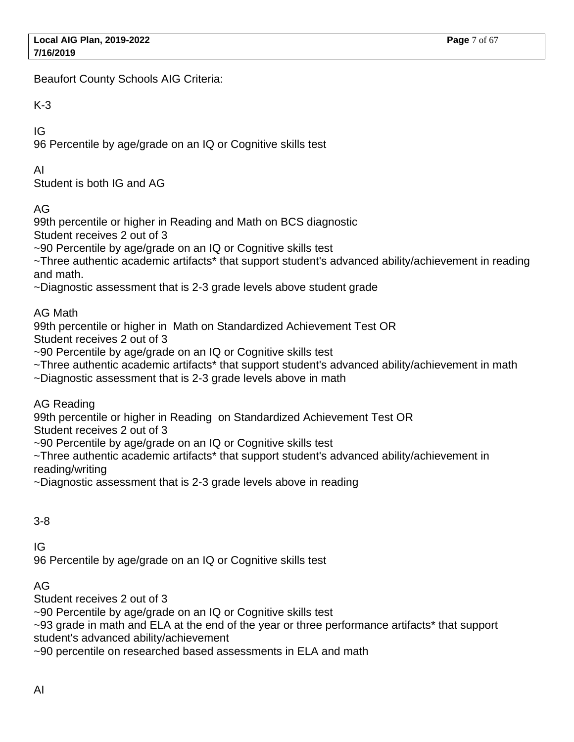Beaufort County Schools AIG Criteria:

K-3

IG

96 Percentile by age/grade on an IQ or Cognitive skills test

AI

Student is both IG and AG

AG

99th percentile or higher in Reading and Math on BCS diagnostic Student receives 2 out of 3

~90 Percentile by age/grade on an IQ or Cognitive skills test

~Three authentic academic artifacts\* that support student's advanced ability/achievement in reading and math.

~Diagnostic assessment that is 2-3 grade levels above student grade

AG Math

99th percentile or higher in Math on Standardized Achievement Test OR

Student receives 2 out of 3

~90 Percentile by age/grade on an IQ or Cognitive skills test

~Three authentic academic artifacts\* that support student's advanced ability/achievement in math

~Diagnostic assessment that is 2-3 grade levels above in math

AG Reading

99th percentile or higher in Reading on Standardized Achievement Test OR

Student receives 2 out of 3

~90 Percentile by age/grade on an IQ or Cognitive skills test

~Three authentic academic artifacts\* that support student's advanced ability/achievement in reading/writing

~Diagnostic assessment that is 2-3 grade levels above in reading

3-8

IG

96 Percentile by age/grade on an IQ or Cognitive skills test

AG

Student receives 2 out of 3

~90 Percentile by age/grade on an IQ or Cognitive skills test

~93 grade in math and ELA at the end of the year or three performance artifacts\* that support student's advanced ability/achievement

~90 percentile on researched based assessments in ELA and math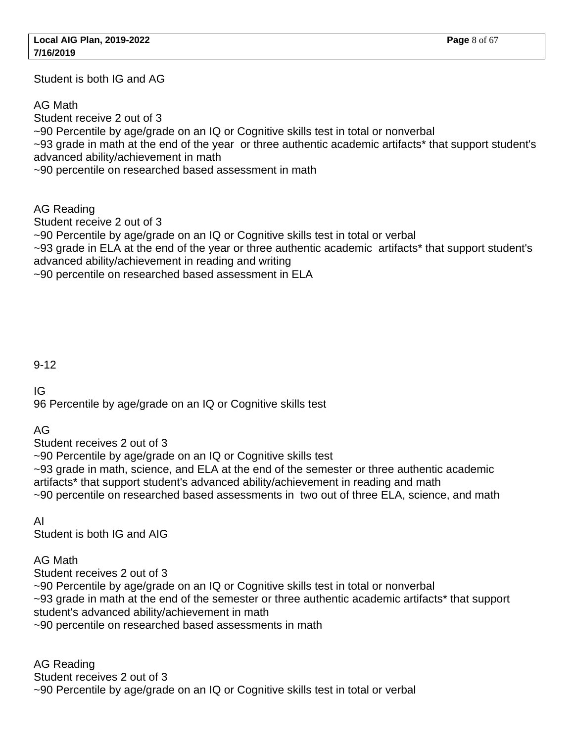Student is both IG and AG

AG Math

Student receive 2 out of 3 ~90 Percentile by age/grade on an IQ or Cognitive skills test in total or nonverbal ~93 grade in math at the end of the year or three authentic academic artifacts\* that support student's advanced ability/achievement in math ~90 percentile on researched based assessment in math

AG Reading

Student receive 2 out of 3

~90 Percentile by age/grade on an IQ or Cognitive skills test in total or verbal

~93 grade in ELA at the end of the year or three authentic academic artifacts\* that support student's advanced ability/achievement in reading and writing

~90 percentile on researched based assessment in ELA

## 9-12

IG

96 Percentile by age/grade on an IQ or Cognitive skills test

AG

Student receives 2 out of 3

~90 Percentile by age/grade on an IQ or Cognitive skills test

~93 grade in math, science, and ELA at the end of the semester or three authentic academic artifacts\* that support student's advanced ability/achievement in reading and math

~90 percentile on researched based assessments in two out of three ELA, science, and math

## AI

Student is both IG and AIG

## AG Math

Student receives 2 out of 3

~90 Percentile by age/grade on an IQ or Cognitive skills test in total or nonverbal

 $\sim$ 93 grade in math at the end of the semester or three authentic academic artifacts\* that support student's advanced ability/achievement in math

~90 percentile on researched based assessments in math

AG Reading Student receives 2 out of 3 ~90 Percentile by age/grade on an IQ or Cognitive skills test in total or verbal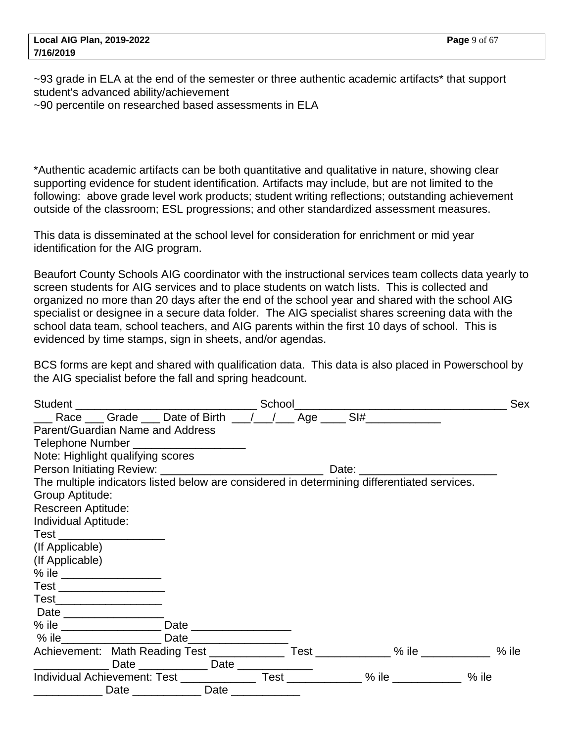~93 grade in ELA at the end of the semester or three authentic academic artifacts\* that support student's advanced ability/achievement

~90 percentile on researched based assessments in ELA

\*Authentic academic artifacts can be both quantitative and qualitative in nature, showing clear supporting evidence for student identification. Artifacts may include, but are not limited to the following: above grade level work products; student writing reflections; outstanding achievement outside of the classroom; ESL progressions; and other standardized assessment measures.

This data is disseminated at the school level for consideration for enrichment or mid year identification for the AIG program.

Beaufort County Schools AIG coordinator with the instructional services team collects data yearly to screen students for AIG services and to place students on watch lists. This is collected and organized no more than 20 days after the end of the school year and shared with the school AIG specialist or designee in a secure data folder. The AIG specialist shares screening data with the school data team, school teachers, and AIG parents within the first 10 days of school. This is evidenced by time stamps, sign in sheets, and/or agendas.

BCS forms are kept and shared with qualification data. This data is also placed in Powerschool by the AIG specialist before the fall and spring headcount.

|                                                                                             |                    |  | <u> 2000 - 2000 - 2000 - 2000 - 2000 - 2000 - 2000 - 2000 - 2000 - 2000 - 2000 - 2000 - 2000 - 2000 - 2000 - 200</u> | <b>Sex</b> |
|---------------------------------------------------------------------------------------------|--------------------|--|----------------------------------------------------------------------------------------------------------------------|------------|
|                                                                                             |                    |  |                                                                                                                      |            |
| Parent/Guardian Name and Address                                                            |                    |  |                                                                                                                      |            |
| Telephone Number _____________________                                                      |                    |  |                                                                                                                      |            |
| Note: Highlight qualifying scores                                                           |                    |  |                                                                                                                      |            |
|                                                                                             |                    |  |                                                                                                                      |            |
| The multiple indicators listed below are considered in determining differentiated services. |                    |  |                                                                                                                      |            |
| Group Aptitude:                                                                             |                    |  |                                                                                                                      |            |
| Rescreen Aptitude:                                                                          |                    |  |                                                                                                                      |            |
| Individual Aptitude:                                                                        |                    |  |                                                                                                                      |            |
| Test ____________________                                                                   |                    |  |                                                                                                                      |            |
| (If Applicable)                                                                             |                    |  |                                                                                                                      |            |
| (If Applicable)                                                                             |                    |  |                                                                                                                      |            |
|                                                                                             |                    |  |                                                                                                                      |            |
| Test ___________________                                                                    |                    |  |                                                                                                                      |            |
| Test_____________________                                                                   |                    |  |                                                                                                                      |            |
| Date __________________                                                                     |                    |  |                                                                                                                      |            |
|                                                                                             |                    |  |                                                                                                                      |            |
|                                                                                             |                    |  |                                                                                                                      |            |
| Achievement: Math Reading Test _______________ Test ____________ % ile __________ % ile     |                    |  |                                                                                                                      |            |
|                                                                                             |                    |  |                                                                                                                      |            |
| Individual Achievement: Test ________________ Test _____________% ile ___________           |                    |  | % ile                                                                                                                |            |
|                                                                                             | Date _____________ |  |                                                                                                                      |            |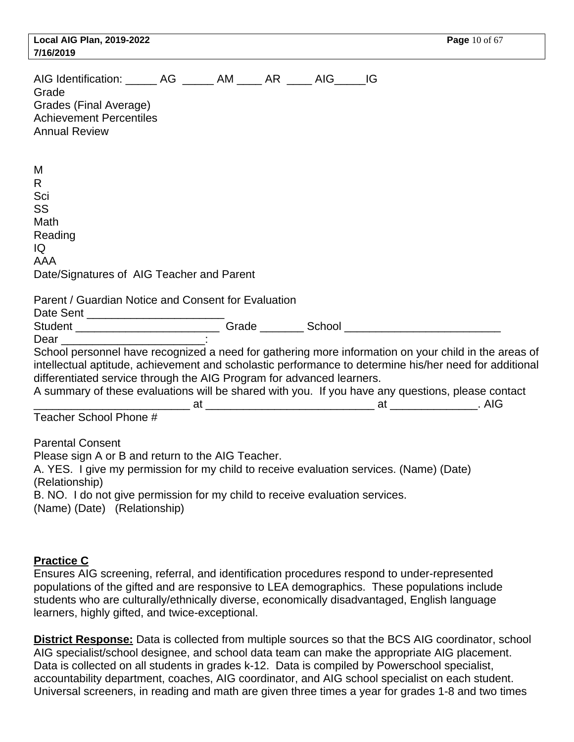| <b>Local AIG Plan, 2019-2022</b><br>7/16/2019                                                                                                                                                                                                                                                                                                                                                                          |  |  | Page 10 of 67 |
|------------------------------------------------------------------------------------------------------------------------------------------------------------------------------------------------------------------------------------------------------------------------------------------------------------------------------------------------------------------------------------------------------------------------|--|--|---------------|
| AIG Identification: _______ AG _______ AM _____ AR _____ AIG _____ IG<br>Grade<br>Grades (Final Average)<br><b>Achievement Percentiles</b><br><b>Annual Review</b>                                                                                                                                                                                                                                                     |  |  |               |
| M<br>R<br>Sci<br>SS<br>Math<br>Reading<br>IQ<br><b>AAA</b><br>Date/Signatures of AIG Teacher and Parent<br>Parent / Guardian Notice and Consent for Evaluation                                                                                                                                                                                                                                                         |  |  |               |
|                                                                                                                                                                                                                                                                                                                                                                                                                        |  |  |               |
|                                                                                                                                                                                                                                                                                                                                                                                                                        |  |  |               |
| School personnel have recognized a need for gathering more information on your child in the areas of<br>intellectual aptitude, achievement and scholastic performance to determine his/her need for additional<br>differentiated service through the AIG Program for advanced learners.<br>A summary of these evaluations will be shared with you. If you have any questions, please contact<br>Teacher School Phone # |  |  |               |
| <b>Parental Consent</b><br>Please sign A or B and return to the AIG Teacher.<br>A. YES. I give my permission for my child to receive evaluation services. (Name) (Date)<br>(Relationship)<br>B. NO. I do not give permission for my child to receive evaluation services.<br>(Name) (Date) (Relationship)                                                                                                              |  |  |               |

## **Practice C**

Ensures AIG screening, referral, and identification procedures respond to under-represented populations of the gifted and are responsive to LEA demographics. These populations include students who are culturally/ethnically diverse, economically disadvantaged, English language learners, highly gifted, and twice-exceptional.

**District Response:** Data is collected from multiple sources so that the BCS AIG coordinator, school AIG specialist/school designee, and school data team can make the appropriate AIG placement. Data is collected on all students in grades k-12. Data is compiled by Powerschool specialist, accountability department, coaches, AIG coordinator, and AIG school specialist on each student. Universal screeners, in reading and math are given three times a year for grades 1-8 and two times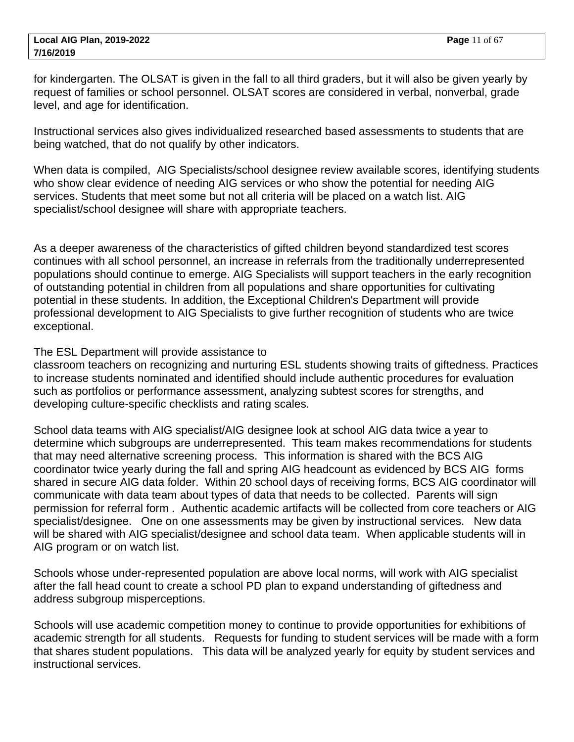for kindergarten. The OLSAT is given in the fall to all third graders, but it will also be given yearly by request of families or school personnel. OLSAT scores are considered in verbal, nonverbal, grade level, and age for identification.

Instructional services also gives individualized researched based assessments to students that are being watched, that do not qualify by other indicators.

When data is compiled, AIG Specialists/school designee review available scores, identifying students who show clear evidence of needing AIG services or who show the potential for needing AIG services. Students that meet some but not all criteria will be placed on a watch list. AIG specialist/school designee will share with appropriate teachers.

As a deeper awareness of the characteristics of gifted children beyond standardized test scores continues with all school personnel, an increase in referrals from the traditionally underrepresented populations should continue to emerge. AIG Specialists will support teachers in the early recognition of outstanding potential in children from all populations and share opportunities for cultivating potential in these students. In addition, the Exceptional Children's Department will provide professional development to AIG Specialists to give further recognition of students who are twice exceptional.

The ESL Department will provide assistance to

classroom teachers on recognizing and nurturing ESL students showing traits of giftedness. Practices to increase students nominated and identified should include authentic procedures for evaluation such as portfolios or performance assessment, analyzing subtest scores for strengths, and developing culture-specific checklists and rating scales.

School data teams with AIG specialist/AIG designee look at school AIG data twice a year to determine which subgroups are underrepresented. This team makes recommendations for students that may need alternative screening process. This information is shared with the BCS AIG coordinator twice yearly during the fall and spring AIG headcount as evidenced by BCS AIG forms shared in secure AIG data folder. Within 20 school days of receiving forms, BCS AIG coordinator will communicate with data team about types of data that needs to be collected. Parents will sign permission for referral form . Authentic academic artifacts will be collected from core teachers or AIG specialist/designee. One on one assessments may be given by instructional services. New data will be shared with AIG specialist/designee and school data team. When applicable students will in AIG program or on watch list.

Schools whose under-represented population are above local norms, will work with AIG specialist after the fall head count to create a school PD plan to expand understanding of giftedness and address subgroup misperceptions.

Schools will use academic competition money to continue to provide opportunities for exhibitions of academic strength for all students. Requests for funding to student services will be made with a form that shares student populations. This data will be analyzed yearly for equity by student services and instructional services.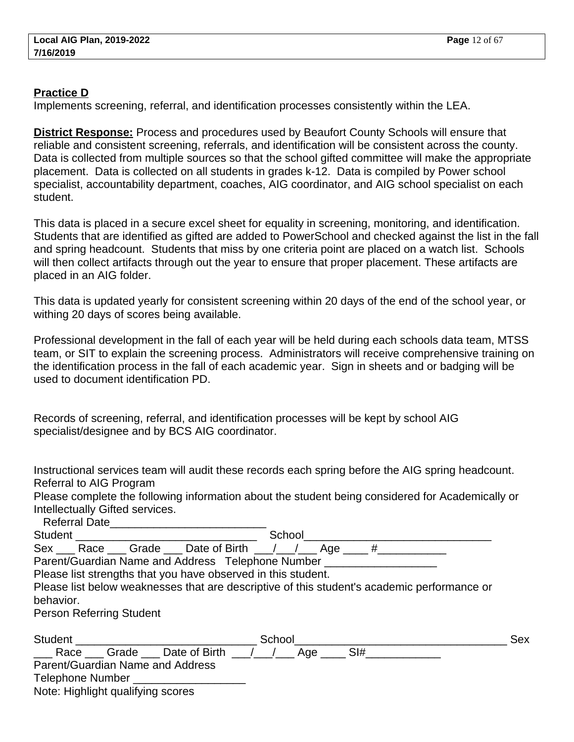#### **Practice D**

Implements screening, referral, and identification processes consistently within the LEA.

**District Response:** Process and procedures used by Beaufort County Schools will ensure that reliable and consistent screening, referrals, and identification will be consistent across the county. Data is collected from multiple sources so that the school gifted committee will make the appropriate placement. Data is collected on all students in grades k-12. Data is compiled by Power school specialist, accountability department, coaches, AIG coordinator, and AIG school specialist on each student.

This data is placed in a secure excel sheet for equality in screening, monitoring, and identification. Students that are identified as gifted are added to PowerSchool and checked against the list in the fall and spring headcount. Students that miss by one criteria point are placed on a watch list. Schools will then collect artifacts through out the year to ensure that proper placement. These artifacts are placed in an AIG folder.

This data is updated yearly for consistent screening within 20 days of the end of the school year, or withing 20 days of scores being available.

Professional development in the fall of each year will be held during each schools data team, MTSS team, or SIT to explain the screening process. Administrators will receive comprehensive training on the identification process in the fall of each academic year. Sign in sheets and or badging will be used to document identification PD.

Records of screening, referral, and identification processes will be kept by school AIG specialist/designee and by BCS AIG coordinator.

Instructional services team will audit these records each spring before the AIG spring headcount. Referral to AIG Program

Please complete the following information about the student being considered for Academically or Intellectually Gifted services.

Referral Date

| School<br>Student                                                                           |            |
|---------------------------------------------------------------------------------------------|------------|
| Sex ___ Race ___ Grade ___ Date of Birth __/ __/ __ Age ____ #______                        |            |
| Parent/Guardian Name and Address Telephone Number                                           |            |
| Please list strengths that you have observed in this student.                               |            |
| Please list below weaknesses that are descriptive of this student's academic performance or |            |
| behavior.                                                                                   |            |
| <b>Person Referring Student</b>                                                             |            |
|                                                                                             |            |
| Student <b>Student Student</b><br>School                                                    | <b>Sex</b> |
| ______ Race ______ Grade _____ Date of Birth ____/____/ _____ Age ______                    | SI#        |
| Parent/Guardian Name and Address                                                            |            |
| Telephone Number ______________                                                             |            |
| Note: Highlight qualifying scores                                                           |            |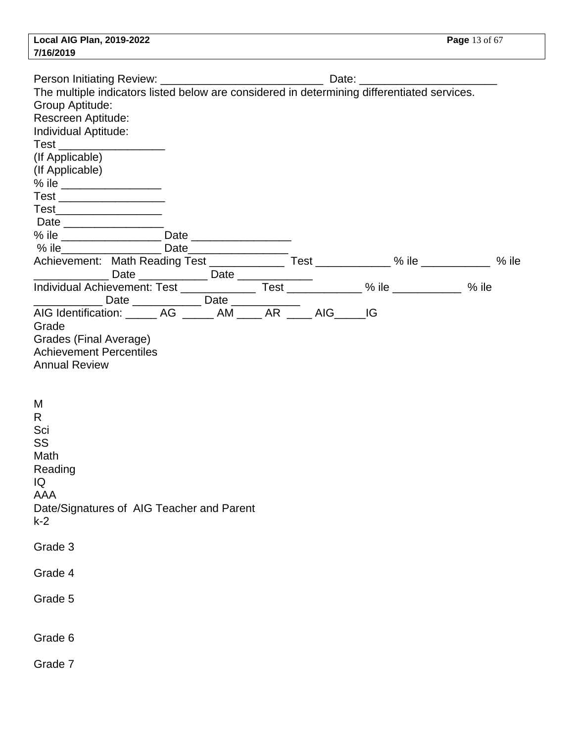|           | Local AIG Plan, 2019-2022 |
|-----------|---------------------------|
| 7/16/2019 |                           |

| Group Aptitude:<br>Rescreen Aptitude:<br>Individual Aptitude:<br>Test __________________<br>(If Applicable)<br>(If Applicable)<br>Test __________________<br>Test_____________________                                        |  |  |  |  |
|-------------------------------------------------------------------------------------------------------------------------------------------------------------------------------------------------------------------------------|--|--|--|--|
|                                                                                                                                                                                                                               |  |  |  |  |
| % ile Contract Contract Contract Contract Contract Contract Contract Contract Contract Contract Contract Contract Contract Contract Contract Contract Contract Contract Contract Contract Contract Contract Contract Contract |  |  |  |  |
|                                                                                                                                                                                                                               |  |  |  |  |
| ________________ Date _______________ Date _____________                                                                                                                                                                      |  |  |  |  |
| AIG Identification: _______ AG ______ AM _____ AR _____ AIG ____ IG<br>Grade<br>Grades (Final Average)<br><b>Achievement Percentiles</b><br><b>Annual Review</b>                                                              |  |  |  |  |
| M<br>R<br>Sci<br>SS<br>Math<br>Reading<br>IQ<br><b>AAA</b><br>Date/Signatures of AIG Teacher and Parent<br>$k-2$                                                                                                              |  |  |  |  |
| Grade 3                                                                                                                                                                                                                       |  |  |  |  |
| Grade 4                                                                                                                                                                                                                       |  |  |  |  |
| Grade 5                                                                                                                                                                                                                       |  |  |  |  |
| Grade 6                                                                                                                                                                                                                       |  |  |  |  |
| Grade 7                                                                                                                                                                                                                       |  |  |  |  |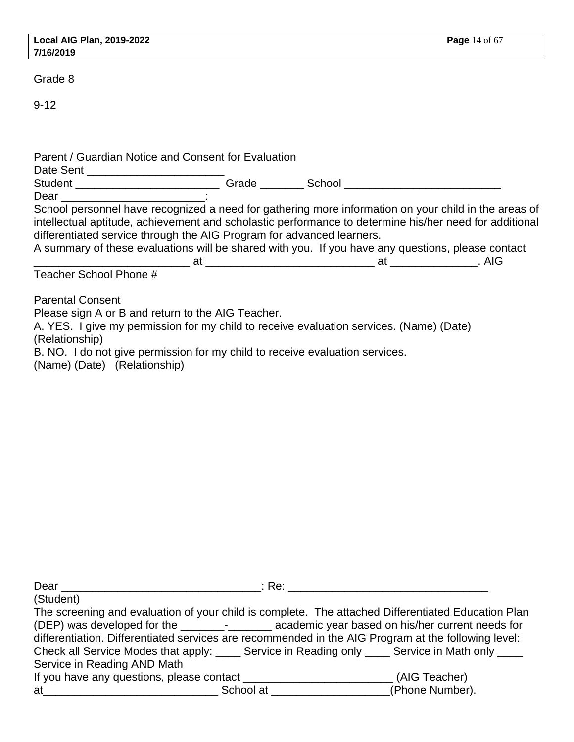|           | Local AIG Plan, 2019-2022 |
|-----------|---------------------------|
| 7/16/2019 |                           |

Grade 8

9-12

| Parent / Guardian Notice and Consent for Evaluation                                                          |                                                                                                                                                                                                                                                                                                                     |
|--------------------------------------------------------------------------------------------------------------|---------------------------------------------------------------------------------------------------------------------------------------------------------------------------------------------------------------------------------------------------------------------------------------------------------------------|
|                                                                                                              | Student ______________________________Grade __________School ____________________                                                                                                                                                                                                                                   |
| Dear ________________________________:                                                                       |                                                                                                                                                                                                                                                                                                                     |
| differentiated service through the AIG Program for advanced learners.                                        | School personnel have recognized a need for gathering more information on your child in the areas of<br>intellectual aptitude, achievement and scholastic performance to determine his/her need for additional<br>A summary of these evaluations will be shared with you. If you have any questions, please contact |
|                                                                                                              |                                                                                                                                                                                                                                                                                                                     |
| Teacher School Phone #                                                                                       |                                                                                                                                                                                                                                                                                                                     |
| <b>Parental Consent</b>                                                                                      |                                                                                                                                                                                                                                                                                                                     |
| Please sign A or B and return to the AIG Teacher.                                                            |                                                                                                                                                                                                                                                                                                                     |
| A. YES. I give my permission for my child to receive evaluation services. (Name) (Date)<br>(Relationship)    |                                                                                                                                                                                                                                                                                                                     |
| B. NO. I do not give permission for my child to receive evaluation services.<br>(Name) (Date) (Relationship) |                                                                                                                                                                                                                                                                                                                     |
|                                                                                                              |                                                                                                                                                                                                                                                                                                                     |

| Dear                                                                                                                                                                                                                           |                 |
|--------------------------------------------------------------------------------------------------------------------------------------------------------------------------------------------------------------------------------|-----------------|
| (Student)                                                                                                                                                                                                                      |                 |
| The screening and evaluation of your child is complete. The attached Differentiated Education Plan                                                                                                                             |                 |
| (DEP) was developed for the ______________________ academic year based on his/her current needs for                                                                                                                            |                 |
| differentiation. Differentiated services are recommended in the AIG Program at the following level:                                                                                                                            |                 |
| Check all Service Modes that apply: _____ Service in Reading only _____ Service in Math only ____                                                                                                                              |                 |
| Service in Reading AND Math                                                                                                                                                                                                    |                 |
|                                                                                                                                                                                                                                |                 |
| at the contract of the School at the School at the contract of the School at the contract of the contract of the contract of the contract of the contract of the contract of the contract of the contract of the contract of t | (Phone Number). |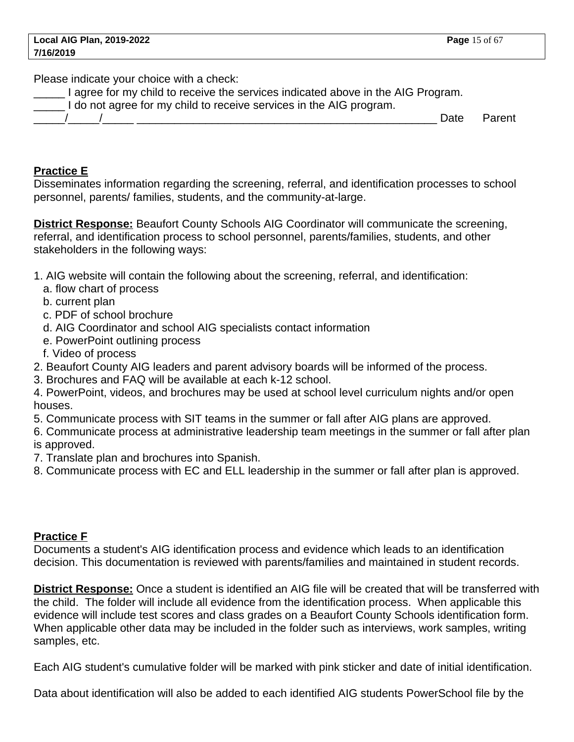Please indicate your choice with a check:

I agree for my child to receive the services indicated above in the AIG Program.

I do not agree for my child to receive services in the AIG program.

\_\_\_\_\_/\_\_\_\_\_/\_\_\_\_\_ \_\_\_\_\_\_\_\_\_\_\_\_\_\_\_\_\_\_\_\_\_\_\_\_\_\_\_\_\_\_\_\_\_\_\_\_\_\_\_\_\_\_\_\_\_\_\_\_ Date Parent

# **Practice E**

Disseminates information regarding the screening, referral, and identification processes to school personnel, parents/ families, students, and the community-at-large.

**District Response:** Beaufort County Schools AIG Coordinator will communicate the screening, referral, and identification process to school personnel, parents/families, students, and other stakeholders in the following ways:

- 1. AIG website will contain the following about the screening, referral, and identification:
	- a. flow chart of process
	- b. current plan
	- c. PDF of school brochure
	- d. AIG Coordinator and school AIG specialists contact information
	- e. PowerPoint outlining process
	- f. Video of process
- 2. Beaufort County AIG leaders and parent advisory boards will be informed of the process.
- 3. Brochures and FAQ will be available at each k-12 school.
- 4. PowerPoint, videos, and brochures may be used at school level curriculum nights and/or open houses.

5. Communicate process with SIT teams in the summer or fall after AIG plans are approved.

- 6. Communicate process at administrative leadership team meetings in the summer or fall after plan is approved.
- 7. Translate plan and brochures into Spanish.
- 8. Communicate process with EC and ELL leadership in the summer or fall after plan is approved.

## **Practice F**

Documents a student's AIG identification process and evidence which leads to an identification decision. This documentation is reviewed with parents/families and maintained in student records.

**District Response:** Once a student is identified an AIG file will be created that will be transferred with the child. The folder will include all evidence from the identification process. When applicable this evidence will include test scores and class grades on a Beaufort County Schools identification form. When applicable other data may be included in the folder such as interviews, work samples, writing samples, etc.

Each AIG student's cumulative folder will be marked with pink sticker and date of initial identification.

Data about identification will also be added to each identified AIG students PowerSchool file by the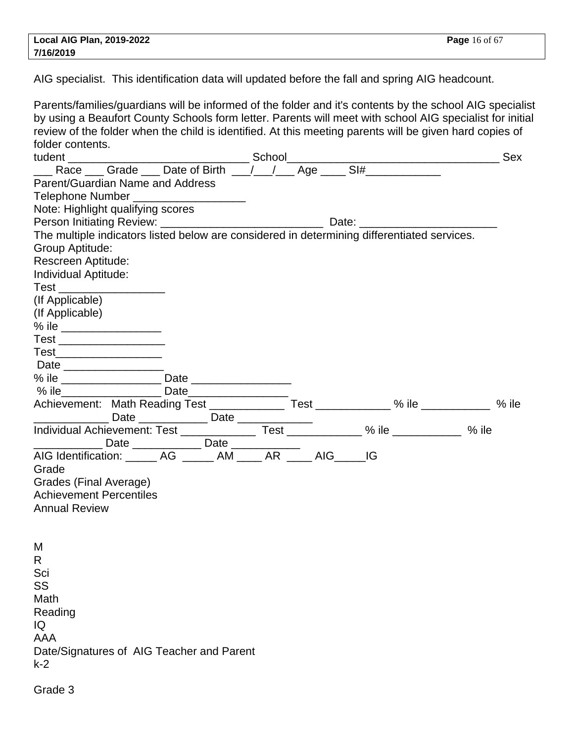AIG specialist. This identification data will updated before the fall and spring AIG headcount.

Parents/families/guardians will be informed of the folder and it's contents by the school AIG specialist by using a Beaufort County Schools form letter. Parents will meet with school AIG specialist for initial review of the folder when the child is identified. At this meeting parents will be given hard copies of folder contents. tudent \_\_\_\_\_\_\_\_\_\_\_\_\_\_\_\_\_\_\_\_\_\_\_\_\_\_\_\_\_ School\_\_\_\_\_\_\_\_\_\_\_\_\_\_\_\_\_\_\_\_\_\_\_\_\_\_\_\_\_\_\_\_\_\_ Sex \_\_\_ Race \_\_\_ Grade \_\_\_ Date of Birth \_\_\_/\_\_\_/\_\_\_ Age \_\_\_\_ SI#\_\_\_\_\_\_\_\_\_\_\_\_\_ Parent/Guardian Name and Address Telephone Number Note: Highlight qualifying scores Person Initiating Review: \_\_\_\_\_\_\_\_\_\_\_\_\_\_\_\_\_\_\_\_\_\_\_\_\_\_ Date: \_\_\_\_\_\_\_\_\_\_\_\_\_\_\_\_\_\_\_\_\_\_ The multiple indicators listed below are considered in determining differentiated services. Group Aptitude: Rescreen Aptitude: Individual Aptitude: Test \_\_\_\_\_\_\_\_\_\_\_\_\_\_\_\_\_ (If Applicable) (If Applicable) % ile  $\frac{1}{2}$  =  $\frac{1}{2}$  =  $\frac{1}{2}$  =  $\frac{1}{2}$  =  $\frac{1}{2}$  =  $\frac{1}{2}$  =  $\frac{1}{2}$  =  $\frac{1}{2}$  =  $\frac{1}{2}$  =  $\frac{1}{2}$  =  $\frac{1}{2}$  =  $\frac{1}{2}$  =  $\frac{1}{2}$  =  $\frac{1}{2}$  =  $\frac{1}{2}$  =  $\frac{1}{2}$  =  $\frac{1}{2}$  =  $\frac{1}{2}$  = Test \_\_\_\_\_\_\_\_\_\_\_\_\_\_\_\_\_\_\_\_\_\_  $Test$ Date  $\Box$ % ile \_\_\_\_\_\_\_\_\_\_\_\_\_\_\_\_ Date \_\_\_\_\_\_\_\_\_\_\_\_\_\_\_\_ % ile\_\_\_\_\_\_\_\_\_\_\_\_\_\_\_\_ Date\_\_\_\_\_\_\_\_\_\_\_\_\_\_\_\_ Achievement: Math Reading Test \_\_\_\_\_\_\_\_\_\_\_\_\_\_ Test \_\_\_\_\_\_\_\_\_\_ % ile \_\_\_\_\_\_\_\_\_ % ile \_\_\_\_\_\_\_\_\_\_\_\_ Date \_\_\_\_\_\_\_\_\_\_\_ Date \_\_\_\_\_\_\_\_\_\_\_\_ Individual Achievement: Test \_\_\_\_\_\_\_\_\_\_\_\_\_\_\_\_\_\_\_\_\_\_\_\_\_\_\_\_ % ile \_\_\_\_\_\_\_\_\_\_\_\_ % ile \_\_\_\_\_\_\_\_\_\_\_ Date \_\_\_\_\_\_\_\_\_\_\_ Date \_\_\_\_\_\_\_\_\_\_\_ AIG Identification: \_\_\_\_\_ AG \_\_\_\_\_ AM \_\_\_\_ AR \_\_\_\_ AIG\_\_\_\_\_IG Grade Grades (Final Average) Achievement Percentiles Annual Review M R Sci SS Math Reading IQ AAA Date/Signatures of AIG Teacher and Parent k-2

Grade 3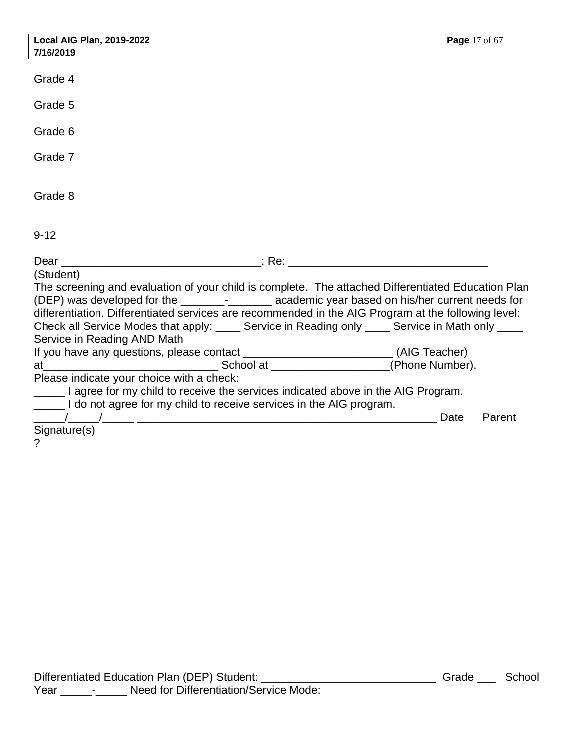| <b>Local AIG Plan, 2019-2022</b>                                                                                                                                                                                                                                                                                                                                                                                  | Page 17 of 67  |
|-------------------------------------------------------------------------------------------------------------------------------------------------------------------------------------------------------------------------------------------------------------------------------------------------------------------------------------------------------------------------------------------------------------------|----------------|
| 7/16/2019                                                                                                                                                                                                                                                                                                                                                                                                         |                |
| Grade 4                                                                                                                                                                                                                                                                                                                                                                                                           |                |
| Grade 5                                                                                                                                                                                                                                                                                                                                                                                                           |                |
| Grade 6                                                                                                                                                                                                                                                                                                                                                                                                           |                |
| Grade 7                                                                                                                                                                                                                                                                                                                                                                                                           |                |
| Grade 8                                                                                                                                                                                                                                                                                                                                                                                                           |                |
| $9 - 12$                                                                                                                                                                                                                                                                                                                                                                                                          |                |
|                                                                                                                                                                                                                                                                                                                                                                                                                   |                |
| (Student)                                                                                                                                                                                                                                                                                                                                                                                                         |                |
| The screening and evaluation of your child is complete. The attached Differentiated Education Plan<br>(DEP) was developed for the ________-__________ academic year based on his/her current needs for<br>differentiation. Differentiated services are recommended in the AIG Program at the following level:<br>Check all Service Modes that apply: _____ Service in Reading only ____ Service in Math only ____ |                |
| Service in Reading AND Math                                                                                                                                                                                                                                                                                                                                                                                       |                |
| If you have any questions, please contact __________________________(AIG Teacher)                                                                                                                                                                                                                                                                                                                                 |                |
|                                                                                                                                                                                                                                                                                                                                                                                                                   |                |
| Please indicate your choice with a check:                                                                                                                                                                                                                                                                                                                                                                         |                |
| a agree for my child to receive the services indicated above in the AIG Program.                                                                                                                                                                                                                                                                                                                                  |                |
| I do not agree for my child to receive services in the AIG program.                                                                                                                                                                                                                                                                                                                                               |                |
|                                                                                                                                                                                                                                                                                                                                                                                                                   | Date<br>Parent |
| Signature(s)                                                                                                                                                                                                                                                                                                                                                                                                      |                |
| 2                                                                                                                                                                                                                                                                                                                                                                                                                 |                |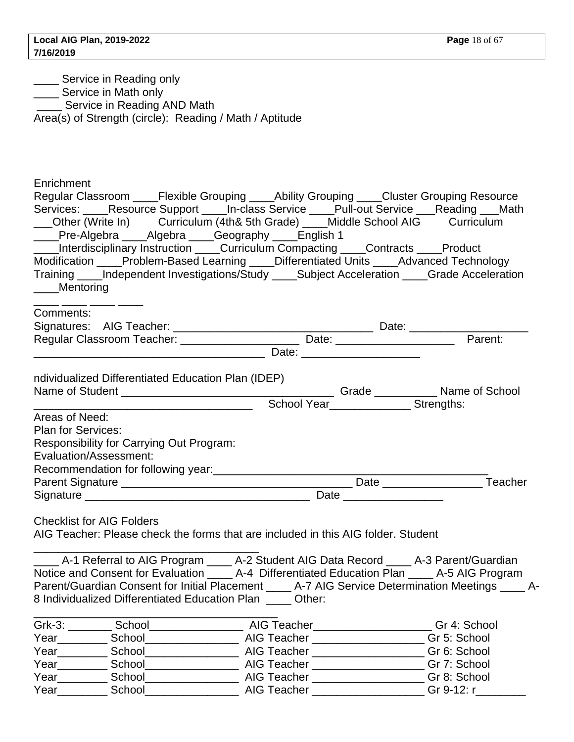**\_\_\_\_** Service in Reading only

Service in Math only

**Service in Reading AND Math** 

Area(s) of Strength (circle): Reading / Math / Aptitude

\_\_\_\_\_\_\_\_\_\_\_\_\_\_\_\_\_\_\_\_\_\_\_\_\_\_\_\_\_\_\_\_\_\_\_\_\_\_\_

Enrichment

| Regular Classroom ____Flexible Grouping ____Ability Grouping ____Cluster Grouping Resource                                           |                                                                                                                                                                                                                                |         |
|--------------------------------------------------------------------------------------------------------------------------------------|--------------------------------------------------------------------------------------------------------------------------------------------------------------------------------------------------------------------------------|---------|
| Services: _____Resource Support _____In-class Service _____Pull-out Service ____Reading ___Math                                      |                                                                                                                                                                                                                                |         |
| ___Other (Write In) Curriculum (4th& 5th Grade) ____Middle School AIG Curriculum                                                     |                                                                                                                                                                                                                                |         |
| ____Pre-Algebra ____Algebra ____Geography ____English 1                                                                              |                                                                                                                                                                                                                                |         |
| ____Interdisciplinary Instruction ____Curriculum Compacting ____Contracts ____Product                                                |                                                                                                                                                                                                                                |         |
|                                                                                                                                      |                                                                                                                                                                                                                                |         |
| Modification ____Problem-Based Learning ____Differentiated Units ____Advanced Technology                                             |                                                                                                                                                                                                                                |         |
| Training ____Independent Investigations/Study ____Subject Acceleration ____Grade Acceleration                                        |                                                                                                                                                                                                                                |         |
| ____Mentoring                                                                                                                        |                                                                                                                                                                                                                                |         |
| Comments:                                                                                                                            |                                                                                                                                                                                                                                |         |
|                                                                                                                                      |                                                                                                                                                                                                                                |         |
|                                                                                                                                      |                                                                                                                                                                                                                                | Parent: |
|                                                                                                                                      |                                                                                                                                                                                                                                |         |
|                                                                                                                                      |                                                                                                                                                                                                                                |         |
| ndividualized Differentiated Education Plan (IDEP)                                                                                   |                                                                                                                                                                                                                                |         |
|                                                                                                                                      |                                                                                                                                                                                                                                |         |
|                                                                                                                                      | School Year School Year School Year School Year School Year School Year School Year School Year School Year School Year School Year School Year School Year School Year School Year School Year School Year School Year School |         |
| Areas of Need:                                                                                                                       |                                                                                                                                                                                                                                |         |
| <b>Plan for Services:</b>                                                                                                            |                                                                                                                                                                                                                                |         |
| Responsibility for Carrying Out Program:                                                                                             |                                                                                                                                                                                                                                |         |
| Evaluation/Assessment:                                                                                                               |                                                                                                                                                                                                                                |         |
| Recommendation for following year:<br>Notice and the commendation for following year:<br>Second the commendation for following year: |                                                                                                                                                                                                                                |         |
|                                                                                                                                      |                                                                                                                                                                                                                                |         |
|                                                                                                                                      |                                                                                                                                                                                                                                |         |
|                                                                                                                                      |                                                                                                                                                                                                                                |         |
| <b>Checklist for AIG Folders</b>                                                                                                     |                                                                                                                                                                                                                                |         |
| AIG Teacher: Please check the forms that are included in this AIG folder. Student                                                    |                                                                                                                                                                                                                                |         |
|                                                                                                                                      |                                                                                                                                                                                                                                |         |
| ____ A-1 Referral to AIG Program ____ A-2 Student AIG Data Record ____ A-3 Parent/Guardian                                           |                                                                                                                                                                                                                                |         |
| Notice and Consent for Evaluation _____ A-4 Differentiated Education Plan _____ A-5 AIG Program                                      |                                                                                                                                                                                                                                |         |

Parent/Guardian Consent for Initial Placement \_\_\_\_ A-7 AIG Service Determination Meetings \_\_\_\_ A-8 Individualized Differentiated Education Plan \_\_\_\_ Other:

| Grk-3: | School | AIG Teacher | Gr 4: School |
|--------|--------|-------------|--------------|
| Year   | School | AIG Teacher | Gr 5: School |
| Year   | School | AIG Teacher | Gr 6: School |
| Year   | School | AIG Teacher | Gr 7: School |
| Year   | School | AIG Teacher | Gr 8: School |
| Year   | School | AIG Teacher | Gr 9-12: r   |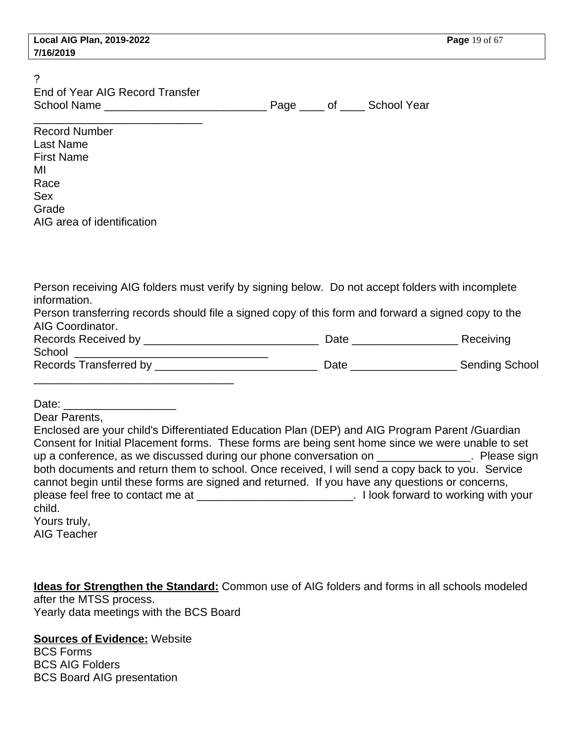|           | <b>Local AIG Plan, 2019-2022</b> |
|-----------|----------------------------------|
| 7/16/2019 |                                  |

?

| End of Year AIG Record Transfer |      |
|---------------------------------|------|
| School Name                     | Page |

of \_\_\_\_\_\_ School Year

| <b>Record Number</b>       |  |
|----------------------------|--|
| Last Name                  |  |
| <b>First Name</b>          |  |
| MI                         |  |
| Race                       |  |
| Sex                        |  |
| Grade                      |  |
| AIG area of identification |  |

| Person receiving AIG folders must verify by signing below. Do not accept folders with incomplete    |                    |                       |
|-----------------------------------------------------------------------------------------------------|--------------------|-----------------------|
| information.                                                                                        |                    |                       |
| Person transferring records should file a signed copy of this form and forward a signed copy to the |                    |                       |
| AIG Coordinator.                                                                                    |                    |                       |
|                                                                                                     | Date _____________ | Receiving             |
| <b>School School</b>                                                                                |                    |                       |
| Records Transferred by _________                                                                    | Date               | <b>Sending School</b> |
|                                                                                                     |                    |                       |

Date: \_\_\_\_\_\_\_\_\_\_\_\_\_\_\_\_\_\_

Dear Parents,

Enclosed are your child's Differentiated Education Plan (DEP) and AIG Program Parent /Guardian Consent for Initial Placement forms. These forms are being sent home since we were unable to set up a conference, as we discussed during our phone conversation on \_\_\_\_\_\_\_\_\_\_\_\_\_\_\_. Please sign both documents and return them to school. Once received, I will send a copy back to you. Service cannot begin until these forms are signed and returned. If you have any questions or concerns, please feel free to contact me at \_\_\_\_\_\_\_\_\_\_\_\_\_\_\_\_\_\_\_\_\_\_\_\_\_\_\_\_\_. I look forward to working with your child. Yours truly,

AIG Teacher

**Ideas for Strengthen the Standard:** Common use of AIG folders and forms in all schools modeled after the MTSS process. Yearly data meetings with the BCS Board

#### **Sources of Evidence:** Website

BCS Forms BCS AIG Folders BCS Board AIG presentation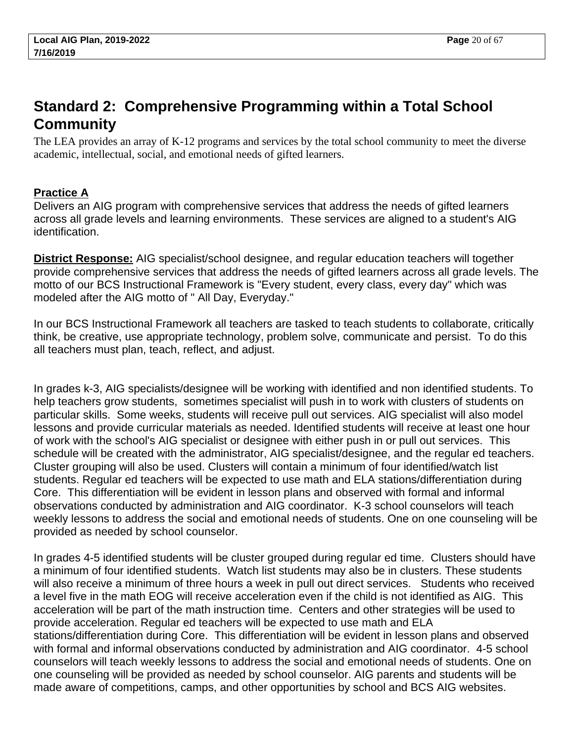# <span id="page-19-0"></span>**Standard 2: Comprehensive Programming within a Total School Community**

The LEA provides an array of K-12 programs and services by the total school community to meet the diverse academic, intellectual, social, and emotional needs of gifted learners.

# **Practice A**

Delivers an AIG program with comprehensive services that address the needs of gifted learners across all grade levels and learning environments. These services are aligned to a student's AIG identification.

**District Response:** AIG specialist/school designee, and regular education teachers will together provide comprehensive services that address the needs of gifted learners across all grade levels. The motto of our BCS Instructional Framework is "Every student, every class, every day" which was modeled after the AIG motto of " All Day, Everyday."

In our BCS Instructional Framework all teachers are tasked to teach students to collaborate, critically think, be creative, use appropriate technology, problem solve, communicate and persist. To do this all teachers must plan, teach, reflect, and adjust.

In grades k-3, AIG specialists/designee will be working with identified and non identified students. To help teachers grow students, sometimes specialist will push in to work with clusters of students on particular skills. Some weeks, students will receive pull out services. AIG specialist will also model lessons and provide curricular materials as needed. Identified students will receive at least one hour of work with the school's AIG specialist or designee with either push in or pull out services. This schedule will be created with the administrator, AIG specialist/designee, and the regular ed teachers. Cluster grouping will also be used. Clusters will contain a minimum of four identified/watch list students. Regular ed teachers will be expected to use math and ELA stations/differentiation during Core. This differentiation will be evident in lesson plans and observed with formal and informal observations conducted by administration and AIG coordinator. K-3 school counselors will teach weekly lessons to address the social and emotional needs of students. One on one counseling will be provided as needed by school counselor.

In grades 4-5 identified students will be cluster grouped during regular ed time. Clusters should have a minimum of four identified students. Watch list students may also be in clusters. These students will also receive a minimum of three hours a week in pull out direct services. Students who received a level five in the math EOG will receive acceleration even if the child is not identified as AIG. This acceleration will be part of the math instruction time. Centers and other strategies will be used to provide acceleration. Regular ed teachers will be expected to use math and ELA stations/differentiation during Core. This differentiation will be evident in lesson plans and observed with formal and informal observations conducted by administration and AIG coordinator. 4-5 school counselors will teach weekly lessons to address the social and emotional needs of students. One on one counseling will be provided as needed by school counselor. AIG parents and students will be made aware of competitions, camps, and other opportunities by school and BCS AIG websites.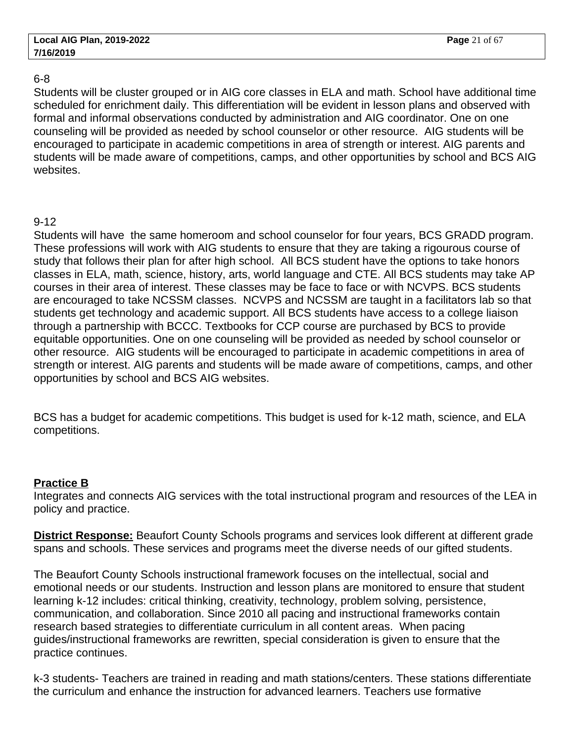#### 6-8

Students will be cluster grouped or in AIG core classes in ELA and math. School have additional time scheduled for enrichment daily. This differentiation will be evident in lesson plans and observed with formal and informal observations conducted by administration and AIG coordinator. One on one counseling will be provided as needed by school counselor or other resource. AIG students will be encouraged to participate in academic competitions in area of strength or interest. AIG parents and students will be made aware of competitions, camps, and other opportunities by school and BCS AIG websites.

#### 9-12

Students will have the same homeroom and school counselor for four years, BCS GRADD program. These professions will work with AIG students to ensure that they are taking a rigourous course of study that follows their plan for after high school. All BCS student have the options to take honors classes in ELA, math, science, history, arts, world language and CTE. All BCS students may take AP courses in their area of interest. These classes may be face to face or with NCVPS. BCS students are encouraged to take NCSSM classes. NCVPS and NCSSM are taught in a facilitators lab so that students get technology and academic support. All BCS students have access to a college liaison through a partnership with BCCC. Textbooks for CCP course are purchased by BCS to provide equitable opportunities. One on one counseling will be provided as needed by school counselor or other resource. AIG students will be encouraged to participate in academic competitions in area of strength or interest. AIG parents and students will be made aware of competitions, camps, and other opportunities by school and BCS AIG websites.

BCS has a budget for academic competitions. This budget is used for k-12 math, science, and ELA competitions.

## **Practice B**

Integrates and connects AIG services with the total instructional program and resources of the LEA in policy and practice.

**District Response:** Beaufort County Schools programs and services look different at different grade spans and schools. These services and programs meet the diverse needs of our gifted students.

The Beaufort County Schools instructional framework focuses on the intellectual, social and emotional needs or our students. Instruction and lesson plans are monitored to ensure that student learning k-12 includes: critical thinking, creativity, technology, problem solving, persistence, communication, and collaboration. Since 2010 all pacing and instructional frameworks contain research based strategies to differentiate curriculum in all content areas. When pacing guides/instructional frameworks are rewritten, special consideration is given to ensure that the practice continues.

k-3 students- Teachers are trained in reading and math stations/centers. These stations differentiate the curriculum and enhance the instruction for advanced learners. Teachers use formative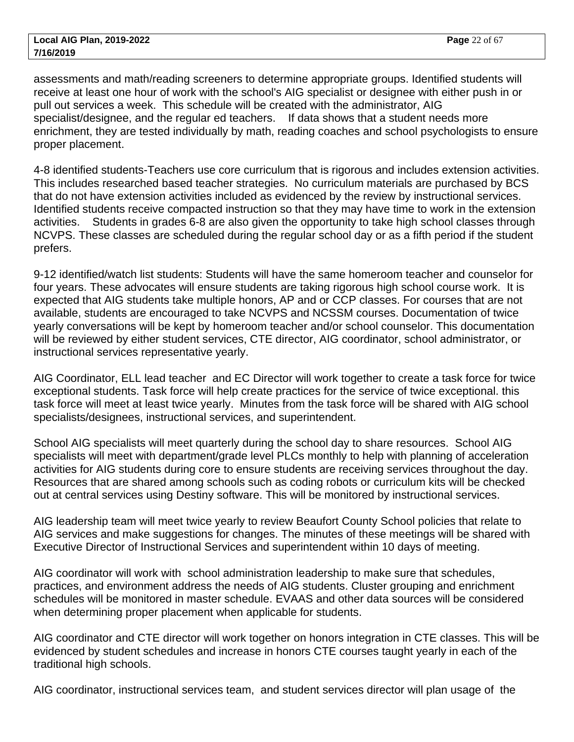assessments and math/reading screeners to determine appropriate groups. Identified students will receive at least one hour of work with the school's AIG specialist or designee with either push in or pull out services a week. This schedule will be created with the administrator, AIG specialist/designee, and the regular ed teachers. If data shows that a student needs more enrichment, they are tested individually by math, reading coaches and school psychologists to ensure proper placement.

4-8 identified students-Teachers use core curriculum that is rigorous and includes extension activities. This includes researched based teacher strategies. No curriculum materials are purchased by BCS that do not have extension activities included as evidenced by the review by instructional services. Identified students receive compacted instruction so that they may have time to work in the extension activities. Students in grades 6-8 are also given the opportunity to take high school classes through NCVPS. These classes are scheduled during the regular school day or as a fifth period if the student prefers.

9-12 identified/watch list students: Students will have the same homeroom teacher and counselor for four years. These advocates will ensure students are taking rigorous high school course work. It is expected that AIG students take multiple honors, AP and or CCP classes. For courses that are not available, students are encouraged to take NCVPS and NCSSM courses. Documentation of twice yearly conversations will be kept by homeroom teacher and/or school counselor. This documentation will be reviewed by either student services, CTE director, AIG coordinator, school administrator, or instructional services representative yearly.

AIG Coordinator, ELL lead teacher and EC Director will work together to create a task force for twice exceptional students. Task force will help create practices for the service of twice exceptional. this task force will meet at least twice yearly. Minutes from the task force will be shared with AIG school specialists/designees, instructional services, and superintendent.

School AIG specialists will meet quarterly during the school day to share resources. School AIG specialists will meet with department/grade level PLCs monthly to help with planning of acceleration activities for AIG students during core to ensure students are receiving services throughout the day. Resources that are shared among schools such as coding robots or curriculum kits will be checked out at central services using Destiny software. This will be monitored by instructional services.

AIG leadership team will meet twice yearly to review Beaufort County School policies that relate to AIG services and make suggestions for changes. The minutes of these meetings will be shared with Executive Director of Instructional Services and superintendent within 10 days of meeting.

AIG coordinator will work with school administration leadership to make sure that schedules, practices, and environment address the needs of AIG students. Cluster grouping and enrichment schedules will be monitored in master schedule. EVAAS and other data sources will be considered when determining proper placement when applicable for students.

AIG coordinator and CTE director will work together on honors integration in CTE classes. This will be evidenced by student schedules and increase in honors CTE courses taught yearly in each of the traditional high schools.

AIG coordinator, instructional services team, and student services director will plan usage of the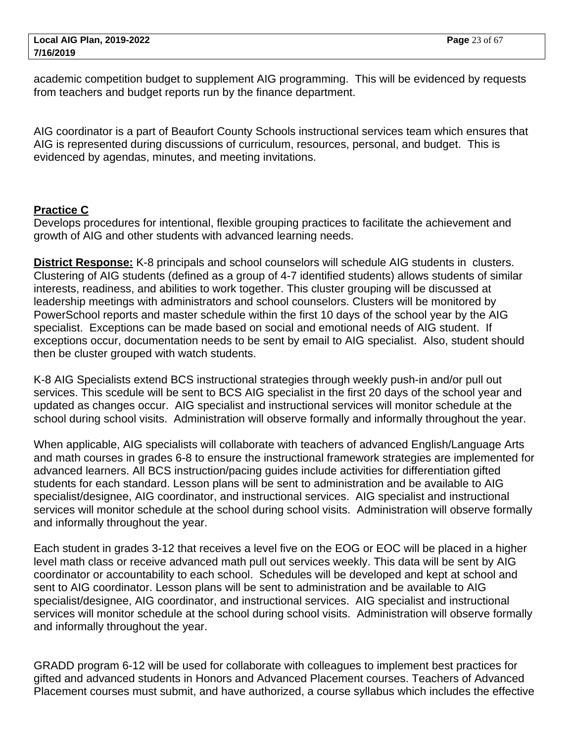academic competition budget to supplement AIG programming. This will be evidenced by requests from teachers and budget reports run by the finance department.

AIG coordinator is a part of Beaufort County Schools instructional services team which ensures that AIG is represented during discussions of curriculum, resources, personal, and budget. This is evidenced by agendas, minutes, and meeting invitations.

#### **Practice C**

Develops procedures for intentional, flexible grouping practices to facilitate the achievement and growth of AIG and other students with advanced learning needs.

**District Response:** K-8 principals and school counselors will schedule AIG students in clusters. Clustering of AIG students (defined as a group of 4-7 identified students) allows students of similar interests, readiness, and abilities to work together. This cluster grouping will be discussed at leadership meetings with administrators and school counselors. Clusters will be monitored by PowerSchool reports and master schedule within the first 10 days of the school year by the AIG specialist. Exceptions can be made based on social and emotional needs of AIG student. If exceptions occur, documentation needs to be sent by email to AIG specialist. Also, student should then be cluster grouped with watch students.

K-8 AIG Specialists extend BCS instructional strategies through weekly push-in and/or pull out services. This scedule will be sent to BCS AIG specialist in the first 20 days of the school year and updated as changes occur. AIG specialist and instructional services will monitor schedule at the school during school visits. Administration will observe formally and informally throughout the year.

When applicable, AIG specialists will collaborate with teachers of advanced English/Language Arts and math courses in grades 6-8 to ensure the instructional framework strategies are implemented for advanced learners. All BCS instruction/pacing guides include activities for differentiation gifted students for each standard. Lesson plans will be sent to administration and be available to AIG specialist/designee, AIG coordinator, and instructional services. AIG specialist and instructional services will monitor schedule at the school during school visits. Administration will observe formally and informally throughout the year.

Each student in grades 3-12 that receives a level five on the EOG or EOC will be placed in a higher level math class or receive advanced math pull out services weekly. This data will be sent by AIG coordinator or accountability to each school. Schedules will be developed and kept at school and sent to AIG coordinator. Lesson plans will be sent to administration and be available to AIG specialist/designee, AIG coordinator, and instructional services. AIG specialist and instructional services will monitor schedule at the school during school visits. Administration will observe formally and informally throughout the year.

GRADD program 6-12 will be used for collaborate with colleagues to implement best practices for gifted and advanced students in Honors and Advanced Placement courses. Teachers of Advanced Placement courses must submit, and have authorized, a course syllabus which includes the effective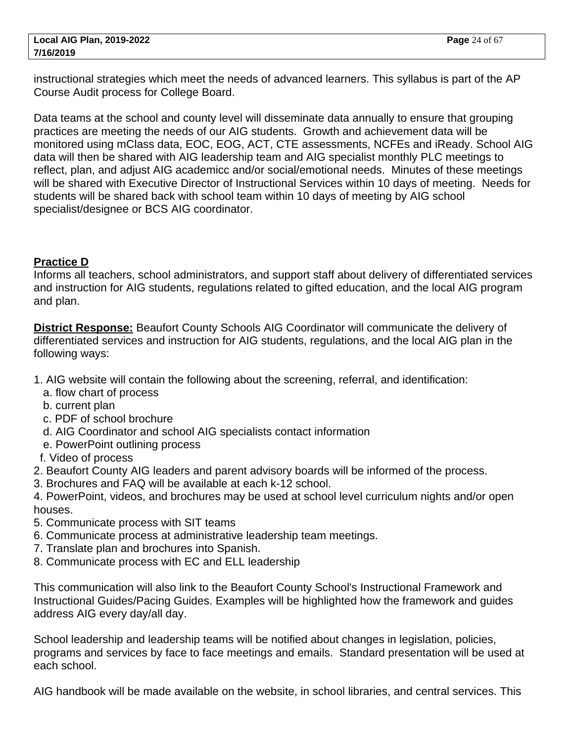instructional strategies which meet the needs of advanced learners. This syllabus is part of the AP Course Audit process for College Board.

Data teams at the school and county level will disseminate data annually to ensure that grouping practices are meeting the needs of our AIG students. Growth and achievement data will be monitored using mClass data, EOC, EOG, ACT, CTE assessments, NCFEs and iReady. School AIG data will then be shared with AIG leadership team and AIG specialist monthly PLC meetings to reflect, plan, and adjust AIG academicc and/or social/emotional needs. Minutes of these meetings will be shared with Executive Director of Instructional Services within 10 days of meeting. Needs for students will be shared back with school team within 10 days of meeting by AIG school specialist/designee or BCS AIG coordinator.

## **Practice D**

Informs all teachers, school administrators, and support staff about delivery of differentiated services and instruction for AIG students, regulations related to gifted education, and the local AIG program and plan.

**District Response:** Beaufort County Schools AIG Coordinator will communicate the delivery of differentiated services and instruction for AIG students, regulations, and the local AIG plan in the following ways:

- 1. AIG website will contain the following about the screening, referral, and identification:
	- a. flow chart of process
	- b. current plan
	- c. PDF of school brochure
	- d. AIG Coordinator and school AIG specialists contact information
	- e. PowerPoint outlining process
- f. Video of process
- 2. Beaufort County AIG leaders and parent advisory boards will be informed of the process.
- 3. Brochures and FAQ will be available at each k-12 school.
- 4. PowerPoint, videos, and brochures may be used at school level curriculum nights and/or open houses.
- 5. Communicate process with SIT teams
- 6. Communicate process at administrative leadership team meetings.
- 7. Translate plan and brochures into Spanish.
- 8. Communicate process with EC and ELL leadership

This communication will also link to the Beaufort County School's Instructional Framework and Instructional Guides/Pacing Guides. Examples will be highlighted how the framework and guides address AIG every day/all day.

School leadership and leadership teams will be notified about changes in legislation, policies, programs and services by face to face meetings and emails. Standard presentation will be used at each school.

AIG handbook will be made available on the website, in school libraries, and central services. This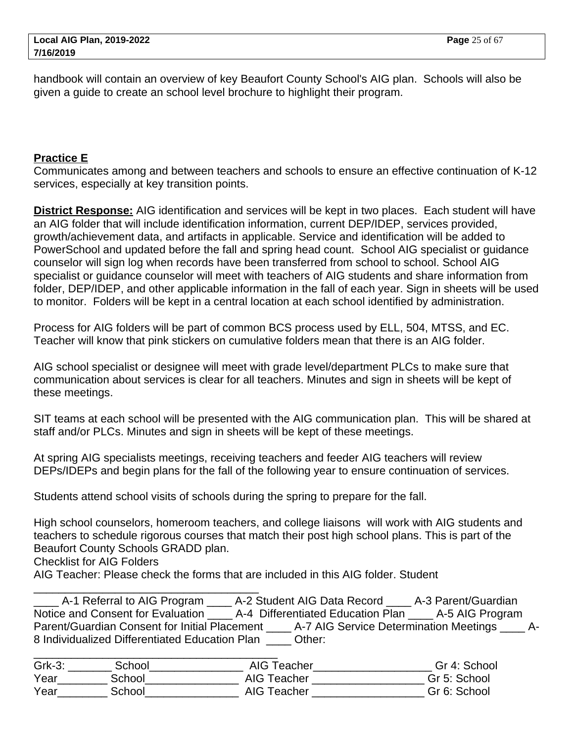handbook will contain an overview of key Beaufort County School's AIG plan. Schools will also be given a guide to create an school level brochure to highlight their program.

#### **Practice E**

Communicates among and between teachers and schools to ensure an effective continuation of K-12 services, especially at key transition points.

**District Response:** AIG identification and services will be kept in two places. Each student will have an AIG folder that will include identification information, current DEP/IDEP, services provided, growth/achievement data, and artifacts in applicable. Service and identification will be added to PowerSchool and updated before the fall and spring head count. School AIG specialist or guidance counselor will sign log when records have been transferred from school to school. School AIG specialist or guidance counselor will meet with teachers of AIG students and share information from folder, DEP/IDEP, and other applicable information in the fall of each year. Sign in sheets will be used to monitor. Folders will be kept in a central location at each school identified by administration.

Process for AIG folders will be part of common BCS process used by ELL, 504, MTSS, and EC. Teacher will know that pink stickers on cumulative folders mean that there is an AIG folder.

AIG school specialist or designee will meet with grade level/department PLCs to make sure that communication about services is clear for all teachers. Minutes and sign in sheets will be kept of these meetings.

SIT teams at each school will be presented with the AIG communication plan. This will be shared at staff and/or PLCs. Minutes and sign in sheets will be kept of these meetings.

At spring AIG specialists meetings, receiving teachers and feeder AIG teachers will review DEPs/IDEPs and begin plans for the fall of the following year to ensure continuation of services.

Students attend school visits of schools during the spring to prepare for the fall.

High school counselors, homeroom teachers, and college liaisons will work with AIG students and teachers to schedule rigorous courses that match their post high school plans. This is part of the Beaufort County Schools GRADD plan.

Checklist for AIG Folders

\_\_\_\_\_\_\_\_\_\_\_\_\_\_\_\_\_\_\_\_\_\_\_\_\_\_\_\_\_\_\_\_\_\_\_\_

AIG Teacher: Please check the forms that are included in this AIG folder. Student

A-1 Referral to AIG Program \_\_\_\_\_ A-2 Student AIG Data Record \_\_\_\_\_ A-3 Parent/Guardian Notice and Consent for Evaluation \_\_\_\_ A-4 Differentiated Education Plan \_\_\_\_ A-5 AIG Program Parent/Guardian Consent for Initial Placement \_\_\_\_ A-7 AIG Service Determination Meetings \_\_\_\_ A-8 Individualized Differentiated Education Plan Cther:

| $Grk-3$ : | School | AIG Teacher | Gr 4: School |
|-----------|--------|-------------|--------------|
| Year      | School | AIG Teacher | Gr 5: School |
| Year      | School | AIG Teacher | Gr 6: School |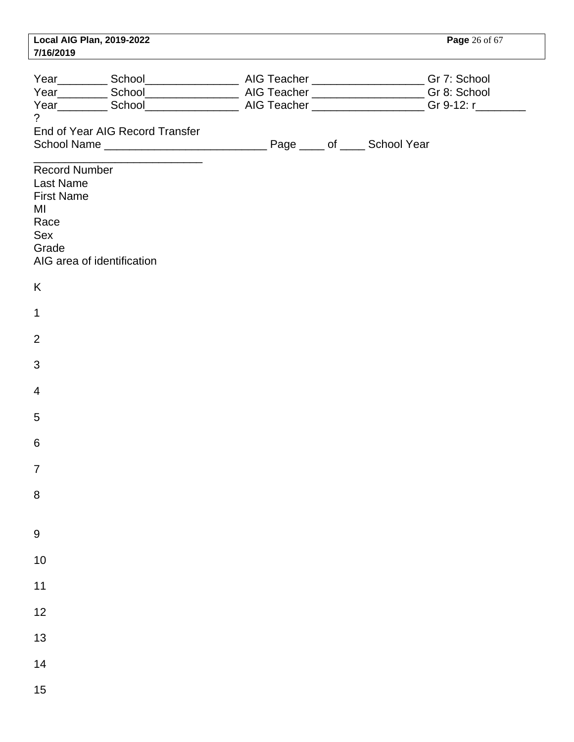| 7/16/2019                                                                            | Local AIG Plan, 2019-2022       |  |  | <b>Page</b> 26 of 67 |
|--------------------------------------------------------------------------------------|---------------------------------|--|--|----------------------|
| $\overline{?}$                                                                       |                                 |  |  |                      |
|                                                                                      | End of Year AIG Record Transfer |  |  |                      |
| Record Number<br><b>Last Name</b><br><b>First Name</b><br>MI<br>Race<br>Sex<br>Grade | AIG area of identification      |  |  |                      |
| K                                                                                    |                                 |  |  |                      |
| $\mathbf 1$                                                                          |                                 |  |  |                      |
| $\overline{2}$                                                                       |                                 |  |  |                      |
| $\mathbf{3}$                                                                         |                                 |  |  |                      |
| $\overline{4}$                                                                       |                                 |  |  |                      |
| 5                                                                                    |                                 |  |  |                      |
| 6                                                                                    |                                 |  |  |                      |
| $\overline{7}$                                                                       |                                 |  |  |                      |
| $\,8\,$                                                                              |                                 |  |  |                      |
| $\boldsymbol{9}$                                                                     |                                 |  |  |                      |
| 10                                                                                   |                                 |  |  |                      |
| $11$                                                                                 |                                 |  |  |                      |
| 12                                                                                   |                                 |  |  |                      |
| 13                                                                                   |                                 |  |  |                      |
| 14                                                                                   |                                 |  |  |                      |
| 15                                                                                   |                                 |  |  |                      |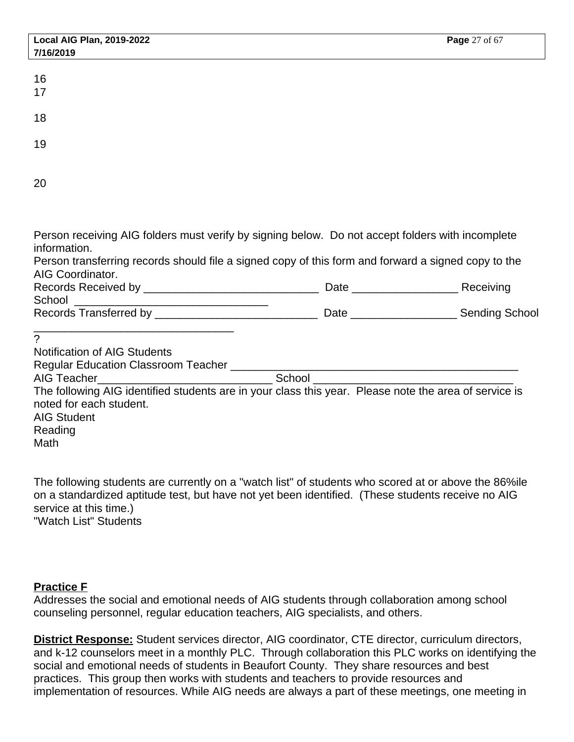| <b>Local AIG Plan, 2019-2022</b>                                                                                                                                                                                                                                                                      | Page 27 of 67 |
|-------------------------------------------------------------------------------------------------------------------------------------------------------------------------------------------------------------------------------------------------------------------------------------------------------|---------------|
| 7/16/2019                                                                                                                                                                                                                                                                                             |               |
| 16<br>17                                                                                                                                                                                                                                                                                              |               |
| 18                                                                                                                                                                                                                                                                                                    |               |
| 19                                                                                                                                                                                                                                                                                                    |               |
| 20                                                                                                                                                                                                                                                                                                    |               |
| Person receiving AIG folders must verify by signing below. Do not accept folders with incomplete<br>information.<br>Person transferring records should file a signed copy of this form and forward a signed copy to the<br>AIG Coordinator.                                                           |               |
|                                                                                                                                                                                                                                                                                                       |               |
|                                                                                                                                                                                                                                                                                                       |               |
| <u> 1989 - Johann John Stein, mars an deus Frankryk († 1958)</u><br>$\mathcal{P}$<br><b>Notification of AIG Students</b><br>The following AIG identified students are in your class this year. Please note the area of service is<br>noted for each student.<br><b>AIG Student</b><br>Reading<br>Math |               |

The following students are currently on a "watch list" of students who scored at or above the 86%ile on a standardized aptitude test, but have not yet been identified. (These students receive no AIG service at this time.) "Watch List" Students

## **Practice F**

Addresses the social and emotional needs of AIG students through collaboration among school counseling personnel, regular education teachers, AIG specialists, and others.

**District Response:** Student services director, AIG coordinator, CTE director, curriculum directors, and k-12 counselors meet in a monthly PLC. Through collaboration this PLC works on identifying the social and emotional needs of students in Beaufort County. They share resources and best practices. This group then works with students and teachers to provide resources and implementation of resources. While AIG needs are always a part of these meetings, one meeting in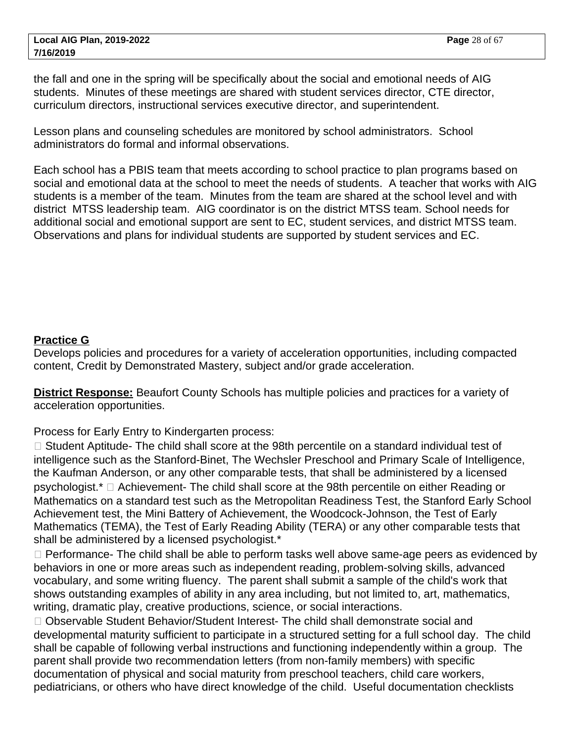the fall and one in the spring will be specifically about the social and emotional needs of AIG students. Minutes of these meetings are shared with student services director, CTE director, curriculum directors, instructional services executive director, and superintendent.

Lesson plans and counseling schedules are monitored by school administrators. School administrators do formal and informal observations.

Each school has a PBIS team that meets according to school practice to plan programs based on social and emotional data at the school to meet the needs of students. A teacher that works with AIG students is a member of the team. Minutes from the team are shared at the school level and with district MTSS leadership team. AIG coordinator is on the district MTSS team. School needs for additional social and emotional support are sent to EC, student services, and district MTSS team. Observations and plans for individual students are supported by student services and EC.

## **Practice G**

Develops policies and procedures for a variety of acceleration opportunities, including compacted content, Credit by Demonstrated Mastery, subject and/or grade acceleration.

**District Response:** Beaufort County Schools has multiple policies and practices for a variety of acceleration opportunities.

Process for Early Entry to Kindergarten process:

□ Student Aptitude- The child shall score at the 98th percentile on a standard individual test of intelligence such as the Stanford-Binet, The Wechsler Preschool and Primary Scale of Intelligence, the Kaufman Anderson, or any other comparable tests, that shall be administered by a licensed psychologist.\* Achievement- The child shall score at the 98th percentile on either Reading or Mathematics on a standard test such as the Metropolitan Readiness Test, the Stanford Early School Achievement test, the Mini Battery of Achievement, the Woodcock-Johnson, the Test of Early Mathematics (TEMA), the Test of Early Reading Ability (TERA) or any other comparable tests that shall be administered by a licensed psychologist.\*

□ Performance- The child shall be able to perform tasks well above same-age peers as evidenced by behaviors in one or more areas such as independent reading, problem-solving skills, advanced vocabulary, and some writing fluency. The parent shall submit a sample of the child's work that shows outstanding examples of ability in any area including, but not limited to, art, mathematics, writing, dramatic play, creative productions, science, or social interactions.

□ Observable Student Behavior/Student Interest- The child shall demonstrate social and developmental maturity sufficient to participate in a structured setting for a full school day. The child shall be capable of following verbal instructions and functioning independently within a group. The parent shall provide two recommendation letters (from non-family members) with specific documentation of physical and social maturity from preschool teachers, child care workers, pediatricians, or others who have direct knowledge of the child. Useful documentation checklists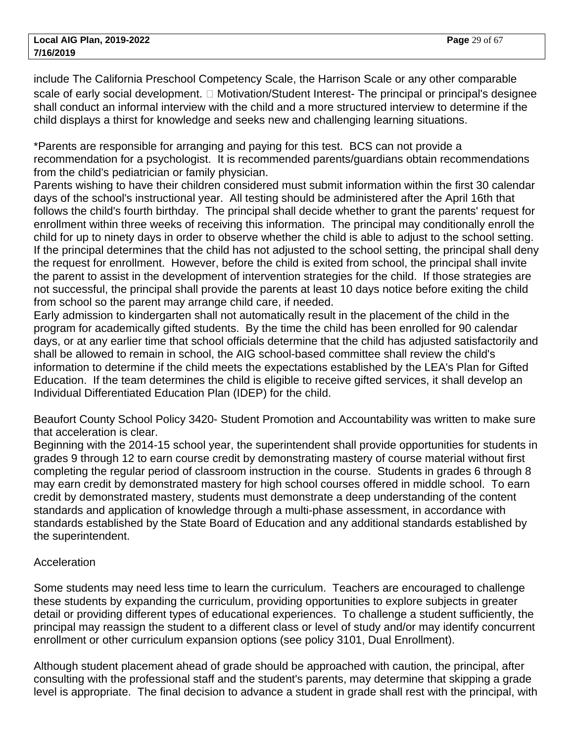include The California Preschool Competency Scale, the Harrison Scale or any other comparable scale of early social development. Motivation/Student Interest- The principal or principal's designee shall conduct an informal interview with the child and a more structured interview to determine if the child displays a thirst for knowledge and seeks new and challenging learning situations.

\*Parents are responsible for arranging and paying for this test. BCS can not provide a recommendation for a psychologist. It is recommended parents/guardians obtain recommendations from the child's pediatrician or family physician.

Parents wishing to have their children considered must submit information within the first 30 calendar days of the school's instructional year. All testing should be administered after the April 16th that follows the child's fourth birthday. The principal shall decide whether to grant the parents' request for enrollment within three weeks of receiving this information. The principal may conditionally enroll the child for up to ninety days in order to observe whether the child is able to adjust to the school setting. If the principal determines that the child has not adjusted to the school setting, the principal shall deny the request for enrollment. However, before the child is exited from school, the principal shall invite the parent to assist in the development of intervention strategies for the child. If those strategies are not successful, the principal shall provide the parents at least 10 days notice before exiting the child from school so the parent may arrange child care, if needed.

Early admission to kindergarten shall not automatically result in the placement of the child in the program for academically gifted students. By the time the child has been enrolled for 90 calendar days, or at any earlier time that school officials determine that the child has adjusted satisfactorily and shall be allowed to remain in school, the AIG school-based committee shall review the child's information to determine if the child meets the expectations established by the LEA's Plan for Gifted Education. If the team determines the child is eligible to receive gifted services, it shall develop an Individual Differentiated Education Plan (IDEP) for the child.

Beaufort County School Policy 3420- Student Promotion and Accountability was written to make sure that acceleration is clear.

Beginning with the 2014-15 school year, the superintendent shall provide opportunities for students in grades 9 through 12 to earn course credit by demonstrating mastery of course material without first completing the regular period of classroom instruction in the course. Students in grades 6 through 8 may earn credit by demonstrated mastery for high school courses offered in middle school. To earn credit by demonstrated mastery, students must demonstrate a deep understanding of the content standards and application of knowledge through a multi-phase assessment, in accordance with standards established by the State Board of Education and any additional standards established by the superintendent.

## Acceleration

Some students may need less time to learn the curriculum. Teachers are encouraged to challenge these students by expanding the curriculum, providing opportunities to explore subjects in greater detail or providing different types of educational experiences. To challenge a student sufficiently, the principal may reassign the student to a different class or level of study and/or may identify concurrent enrollment or other curriculum expansion options (see policy 3101, Dual Enrollment).

Although student placement ahead of grade should be approached with caution, the principal, after consulting with the professional staff and the student's parents, may determine that skipping a grade level is appropriate. The final decision to advance a student in grade shall rest with the principal, with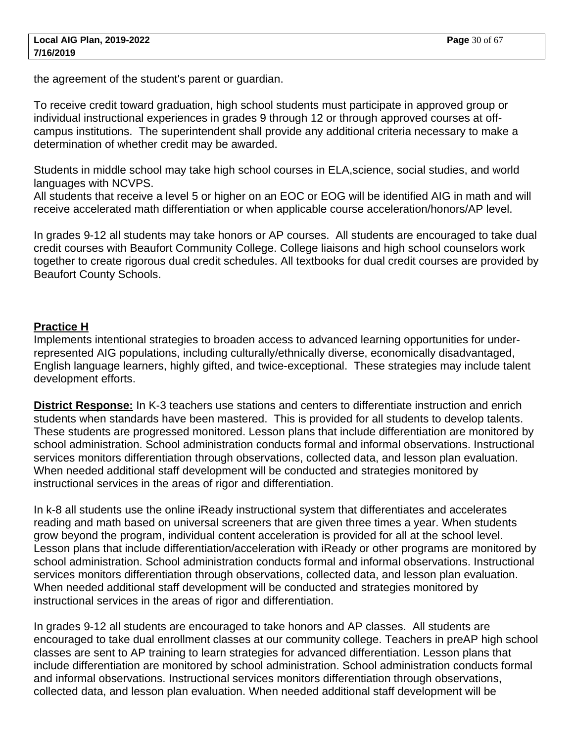the agreement of the student's parent or guardian.

To receive credit toward graduation, high school students must participate in approved group or individual instructional experiences in grades 9 through 12 or through approved courses at offcampus institutions. The superintendent shall provide any additional criteria necessary to make a determination of whether credit may be awarded.

Students in middle school may take high school courses in ELA,science, social studies, and world languages with NCVPS.

All students that receive a level 5 or higher on an EOC or EOG will be identified AIG in math and will receive accelerated math differentiation or when applicable course acceleration/honors/AP level.

In grades 9-12 all students may take honors or AP courses. All students are encouraged to take dual credit courses with Beaufort Community College. College liaisons and high school counselors work together to create rigorous dual credit schedules. All textbooks for dual credit courses are provided by Beaufort County Schools.

#### **Practice H**

Implements intentional strategies to broaden access to advanced learning opportunities for underrepresented AIG populations, including culturally/ethnically diverse, economically disadvantaged, English language learners, highly gifted, and twice-exceptional. These strategies may include talent development efforts.

**District Response:** In K-3 teachers use stations and centers to differentiate instruction and enrich students when standards have been mastered. This is provided for all students to develop talents. These students are progressed monitored. Lesson plans that include differentiation are monitored by school administration. School administration conducts formal and informal observations. Instructional services monitors differentiation through observations, collected data, and lesson plan evaluation. When needed additional staff development will be conducted and strategies monitored by instructional services in the areas of rigor and differentiation.

In k-8 all students use the online iReady instructional system that differentiates and accelerates reading and math based on universal screeners that are given three times a year. When students grow beyond the program, individual content acceleration is provided for all at the school level. Lesson plans that include differentiation/acceleration with iReady or other programs are monitored by school administration. School administration conducts formal and informal observations. Instructional services monitors differentiation through observations, collected data, and lesson plan evaluation. When needed additional staff development will be conducted and strategies monitored by instructional services in the areas of rigor and differentiation.

In grades 9-12 all students are encouraged to take honors and AP classes. All students are encouraged to take dual enrollment classes at our community college. Teachers in preAP high school classes are sent to AP training to learn strategies for advanced differentiation. Lesson plans that include differentiation are monitored by school administration. School administration conducts formal and informal observations. Instructional services monitors differentiation through observations, collected data, and lesson plan evaluation. When needed additional staff development will be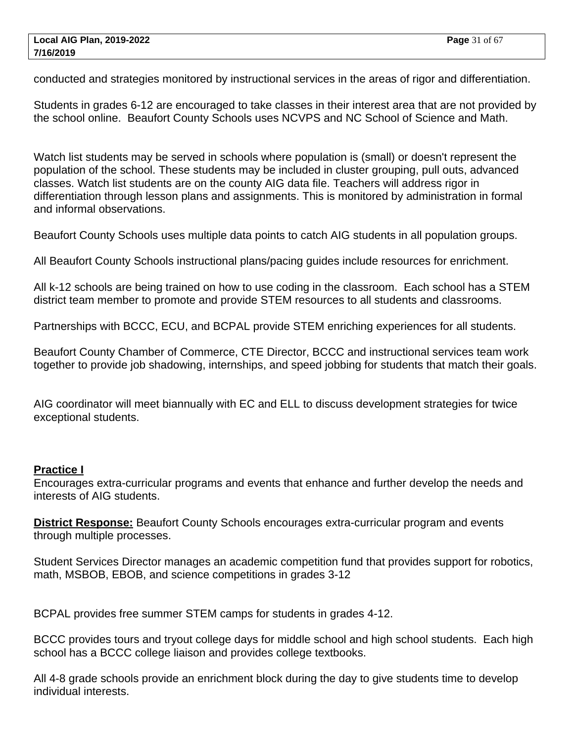conducted and strategies monitored by instructional services in the areas of rigor and differentiation.

Students in grades 6-12 are encouraged to take classes in their interest area that are not provided by the school online. Beaufort County Schools uses NCVPS and NC School of Science and Math.

Watch list students may be served in schools where population is (small) or doesn't represent the population of the school. These students may be included in cluster grouping, pull outs, advanced classes. Watch list students are on the county AIG data file. Teachers will address rigor in differentiation through lesson plans and assignments. This is monitored by administration in formal and informal observations.

Beaufort County Schools uses multiple data points to catch AIG students in all population groups.

All Beaufort County Schools instructional plans/pacing guides include resources for enrichment.

All k-12 schools are being trained on how to use coding in the classroom. Each school has a STEM district team member to promote and provide STEM resources to all students and classrooms.

Partnerships with BCCC, ECU, and BCPAL provide STEM enriching experiences for all students.

Beaufort County Chamber of Commerce, CTE Director, BCCC and instructional services team work together to provide job shadowing, internships, and speed jobbing for students that match their goals.

AIG coordinator will meet biannually with EC and ELL to discuss development strategies for twice exceptional students.

#### **Practice I**

Encourages extra-curricular programs and events that enhance and further develop the needs and interests of AIG students.

**District Response:** Beaufort County Schools encourages extra-curricular program and events through multiple processes.

Student Services Director manages an academic competition fund that provides support for robotics, math, MSBOB, EBOB, and science competitions in grades 3-12

BCPAL provides free summer STEM camps for students in grades 4-12.

BCCC provides tours and tryout college days for middle school and high school students. Each high school has a BCCC college liaison and provides college textbooks.

All 4-8 grade schools provide an enrichment block during the day to give students time to develop individual interests.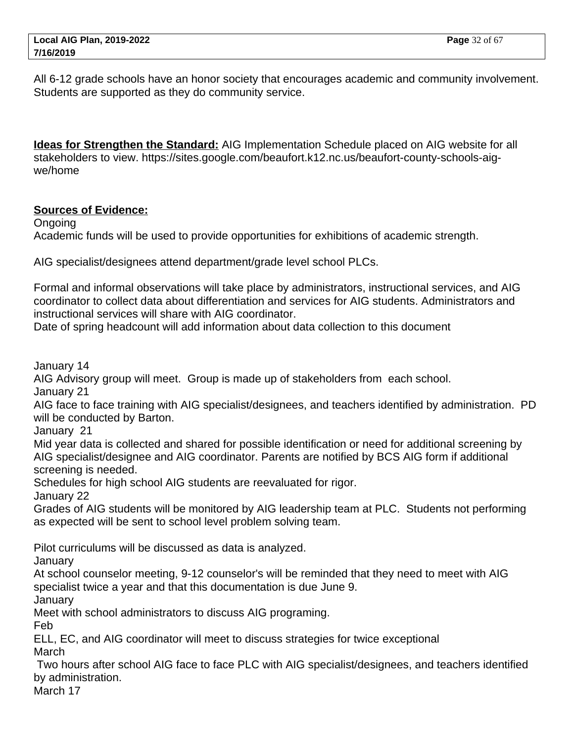All 6-12 grade schools have an honor society that encourages academic and community involvement. Students are supported as they do community service.

**Ideas for Strengthen the Standard:** AIG Implementation Schedule placed on AIG website for all stakeholders to view. https://sites.google.com/beaufort.k12.nc.us/beaufort-county-schools-aigwe/home

## **Sources of Evidence:**

Ongoing

Academic funds will be used to provide opportunities for exhibitions of academic strength.

AIG specialist/designees attend department/grade level school PLCs.

Formal and informal observations will take place by administrators, instructional services, and AIG coordinator to collect data about differentiation and services for AIG students. Administrators and instructional services will share with AIG coordinator.

Date of spring headcount will add information about data collection to this document

January 14

AIG Advisory group will meet. Group is made up of stakeholders from each school. January 21

AIG face to face training with AIG specialist/designees, and teachers identified by administration. PD will be conducted by Barton.

January 21

Mid year data is collected and shared for possible identification or need for additional screening by AIG specialist/designee and AIG coordinator. Parents are notified by BCS AIG form if additional screening is needed.

Schedules for high school AIG students are reevaluated for rigor.

January 22

Grades of AIG students will be monitored by AIG leadership team at PLC. Students not performing as expected will be sent to school level problem solving team.

Pilot curriculums will be discussed as data is analyzed.

**January** 

At school counselor meeting, 9-12 counselor's will be reminded that they need to meet with AIG specialist twice a year and that this documentation is due June 9.

**January** 

Meet with school administrators to discuss AIG programing.

Feb

ELL, EC, and AIG coordinator will meet to discuss strategies for twice exceptional March

 Two hours after school AIG face to face PLC with AIG specialist/designees, and teachers identified by administration.

March 17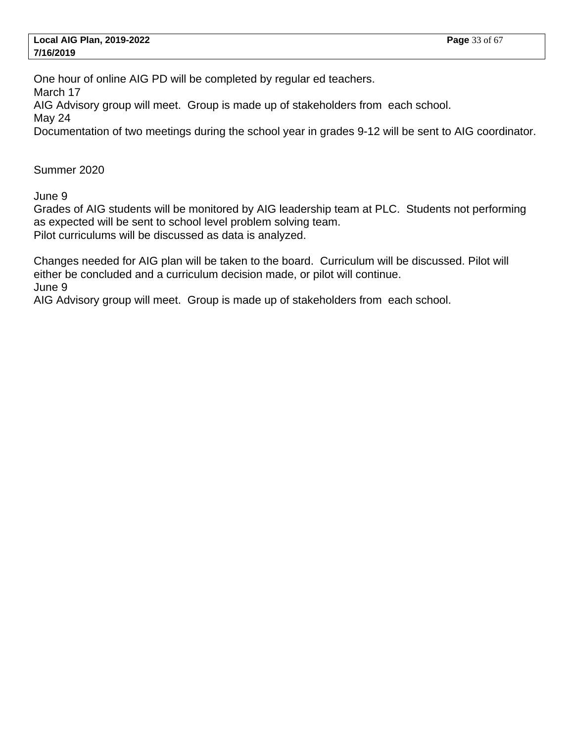One hour of online AIG PD will be completed by regular ed teachers.

March 17

AIG Advisory group will meet. Group is made up of stakeholders from each school.

May 24

Documentation of two meetings during the school year in grades 9-12 will be sent to AIG coordinator.

Summer 2020

June 9

Grades of AIG students will be monitored by AIG leadership team at PLC. Students not performing as expected will be sent to school level problem solving team. Pilot curriculums will be discussed as data is analyzed.

Changes needed for AIG plan will be taken to the board. Curriculum will be discussed. Pilot will either be concluded and a curriculum decision made, or pilot will continue. June 9

AIG Advisory group will meet. Group is made up of stakeholders from each school.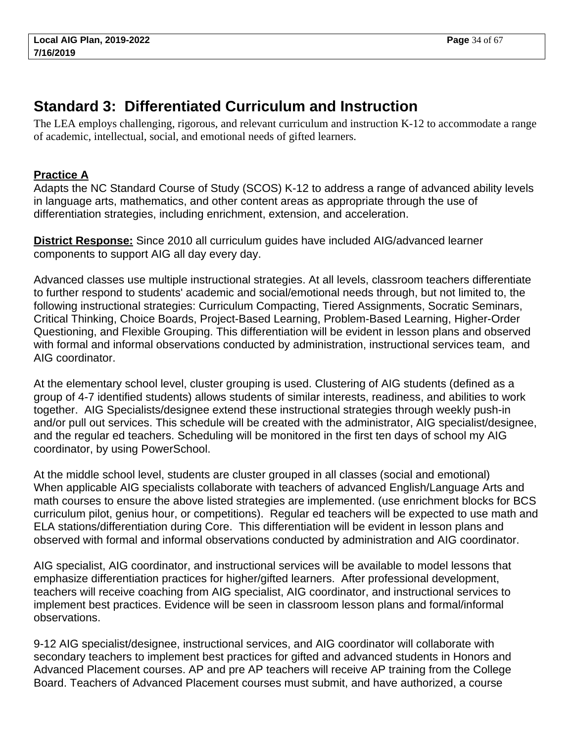# <span id="page-33-0"></span>**Standard 3: Differentiated Curriculum and Instruction**

The LEA employs challenging, rigorous, and relevant curriculum and instruction K-12 to accommodate a range of academic, intellectual, social, and emotional needs of gifted learners.

# **Practice A**

Adapts the NC Standard Course of Study (SCOS) K-12 to address a range of advanced ability levels in language arts, mathematics, and other content areas as appropriate through the use of differentiation strategies, including enrichment, extension, and acceleration.

**District Response:** Since 2010 all curriculum guides have included AIG/advanced learner components to support AIG all day every day.

Advanced classes use multiple instructional strategies. At all levels, classroom teachers differentiate to further respond to students' academic and social/emotional needs through, but not limited to, the following instructional strategies: Curriculum Compacting, Tiered Assignments, Socratic Seminars, Critical Thinking, Choice Boards, Project-Based Learning, Problem-Based Learning, Higher-Order Questioning, and Flexible Grouping. This differentiation will be evident in lesson plans and observed with formal and informal observations conducted by administration, instructional services team, and AIG coordinator.

At the elementary school level, cluster grouping is used. Clustering of AIG students (defined as a group of 4-7 identified students) allows students of similar interests, readiness, and abilities to work together. AIG Specialists/designee extend these instructional strategies through weekly push-in and/or pull out services. This schedule will be created with the administrator, AIG specialist/designee, and the regular ed teachers. Scheduling will be monitored in the first ten days of school my AIG coordinator, by using PowerSchool.

At the middle school level, students are cluster grouped in all classes (social and emotional) When applicable AIG specialists collaborate with teachers of advanced English/Language Arts and math courses to ensure the above listed strategies are implemented. (use enrichment blocks for BCS curriculum pilot, genius hour, or competitions). Regular ed teachers will be expected to use math and ELA stations/differentiation during Core. This differentiation will be evident in lesson plans and observed with formal and informal observations conducted by administration and AIG coordinator.

AIG specialist, AIG coordinator, and instructional services will be available to model lessons that emphasize differentiation practices for higher/gifted learners. After professional development, teachers will receive coaching from AIG specialist, AIG coordinator, and instructional services to implement best practices. Evidence will be seen in classroom lesson plans and formal/informal observations.

9-12 AIG specialist/designee, instructional services, and AIG coordinator will collaborate with secondary teachers to implement best practices for gifted and advanced students in Honors and Advanced Placement courses. AP and pre AP teachers will receive AP training from the College Board. Teachers of Advanced Placement courses must submit, and have authorized, a course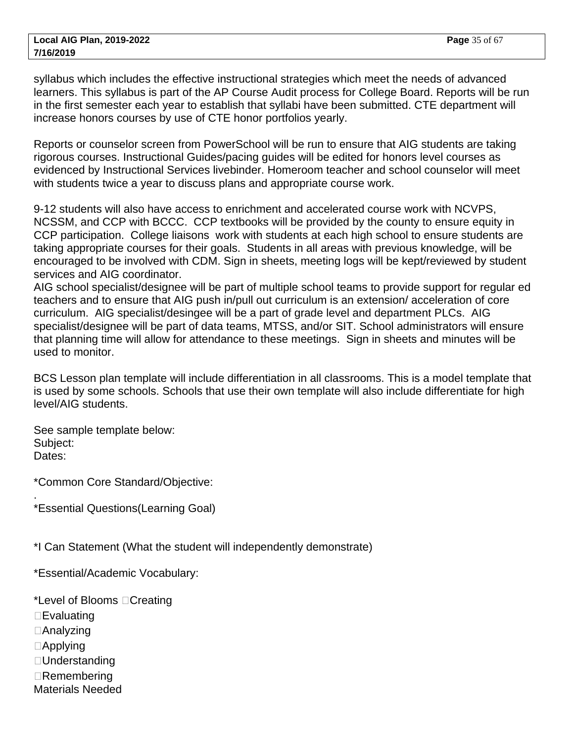syllabus which includes the effective instructional strategies which meet the needs of advanced learners. This syllabus is part of the AP Course Audit process for College Board. Reports will be run in the first semester each year to establish that syllabi have been submitted. CTE department will increase honors courses by use of CTE honor portfolios yearly.

Reports or counselor screen from PowerSchool will be run to ensure that AIG students are taking rigorous courses. Instructional Guides/pacing guides will be edited for honors level courses as evidenced by Instructional Services livebinder. Homeroom teacher and school counselor will meet with students twice a year to discuss plans and appropriate course work.

9-12 students will also have access to enrichment and accelerated course work with NCVPS, NCSSM, and CCP with BCCC. CCP textbooks will be provided by the county to ensure equity in CCP participation. College liaisons work with students at each high school to ensure students are taking appropriate courses for their goals. Students in all areas with previous knowledge, will be encouraged to be involved with CDM. Sign in sheets, meeting logs will be kept/reviewed by student services and AIG coordinator.

AIG school specialist/designee will be part of multiple school teams to provide support for regular ed teachers and to ensure that AIG push in/pull out curriculum is an extension/ acceleration of core curriculum. AIG specialist/desingee will be a part of grade level and department PLCs. AIG specialist/designee will be part of data teams, MTSS, and/or SIT. School administrators will ensure that planning time will allow for attendance to these meetings. Sign in sheets and minutes will be used to monitor.

BCS Lesson plan template will include differentiation in all classrooms. This is a model template that is used by some schools. Schools that use their own template will also include differentiate for high level/AIG students.

See sample template below: Subject: Dates:

\*Common Core Standard/Objective:

\*Essential Questions(Learning Goal)

\*I Can Statement (What the student will independently demonstrate)

\*Essential/Academic Vocabulary:

\*Level of Blooms  $\Box$  Creating

- $\square$  Evaluating
- Analyzing
- □ Applying

.

- Understanding
- □ Remembering
- Materials Needed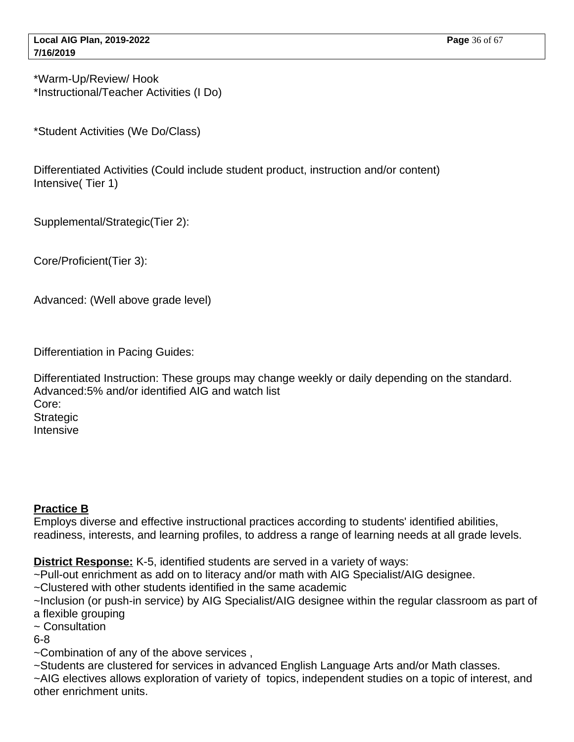\*Warm-Up/Review/ Hook \*Instructional/Teacher Activities (I Do)

\*Student Activities (We Do/Class)

Differentiated Activities (Could include student product, instruction and/or content) Intensive( Tier 1)

Supplemental/Strategic(Tier 2):

Core/Proficient(Tier 3):

Advanced: (Well above grade level)

Differentiation in Pacing Guides:

Differentiated Instruction: These groups may change weekly or daily depending on the standard. Advanced:5% and/or identified AIG and watch list Core: **Strategic** Intensive

## **Practice B**

Employs diverse and effective instructional practices according to students' identified abilities, readiness, interests, and learning profiles, to address a range of learning needs at all grade levels.

**District Response:** K-5, identified students are served in a variety of ways:

~Pull-out enrichment as add on to literacy and/or math with AIG Specialist/AIG designee.

- ~Clustered with other students identified in the same academic
- ~Inclusion (or push-in service) by AIG Specialist/AIG designee within the regular classroom as part of a flexible grouping
- ~ Consultation

6-8

~Combination of any of the above services ,

~Students are clustered for services in advanced English Language Arts and/or Math classes.

~AIG electives allows exploration of variety of topics, independent studies on a topic of interest, and other enrichment units.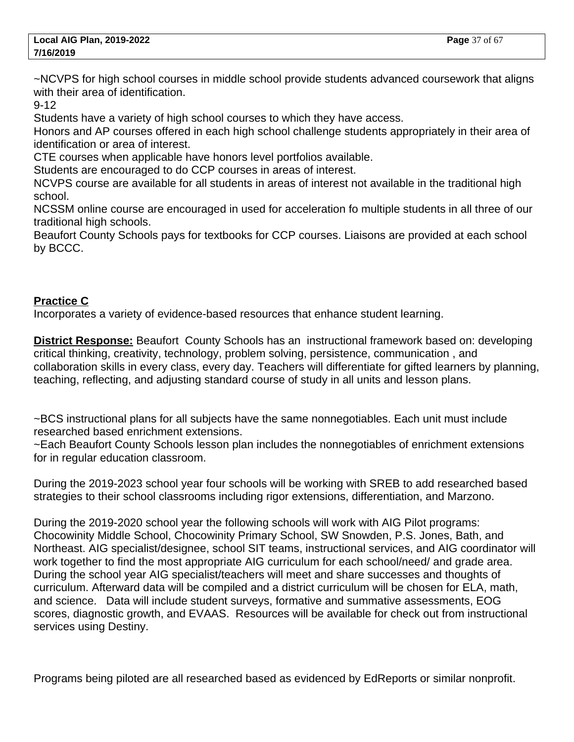~NCVPS for high school courses in middle school provide students advanced coursework that aligns with their area of identification.

9-12

Students have a variety of high school courses to which they have access.

Honors and AP courses offered in each high school challenge students appropriately in their area of identification or area of interest.

CTE courses when applicable have honors level portfolios available.

Students are encouraged to do CCP courses in areas of interest.

NCVPS course are available for all students in areas of interest not available in the traditional high school.

NCSSM online course are encouraged in used for acceleration fo multiple students in all three of our traditional high schools.

Beaufort County Schools pays for textbooks for CCP courses. Liaisons are provided at each school by BCCC.

## **Practice C**

Incorporates a variety of evidence-based resources that enhance student learning.

**District Response:** Beaufort County Schools has an instructional framework based on: developing critical thinking, creativity, technology, problem solving, persistence, communication , and collaboration skills in every class, every day. Teachers will differentiate for gifted learners by planning, teaching, reflecting, and adjusting standard course of study in all units and lesson plans.

~BCS instructional plans for all subjects have the same nonnegotiables. Each unit must include researched based enrichment extensions.

~Each Beaufort County Schools lesson plan includes the nonnegotiables of enrichment extensions for in regular education classroom.

During the 2019-2023 school year four schools will be working with SREB to add researched based strategies to their school classrooms including rigor extensions, differentiation, and Marzono.

During the 2019-2020 school year the following schools will work with AIG Pilot programs: Chocowinity Middle School, Chocowinity Primary School, SW Snowden, P.S. Jones, Bath, and Northeast. AIG specialist/designee, school SIT teams, instructional services, and AIG coordinator will work together to find the most appropriate AIG curriculum for each school/need/ and grade area. During the school year AIG specialist/teachers will meet and share successes and thoughts of curriculum. Afterward data will be compiled and a district curriculum will be chosen for ELA, math, and science. Data will include student surveys, formative and summative assessments, EOG scores, diagnostic growth, and EVAAS. Resources will be available for check out from instructional services using Destiny.

Programs being piloted are all researched based as evidenced by EdReports or similar nonprofit.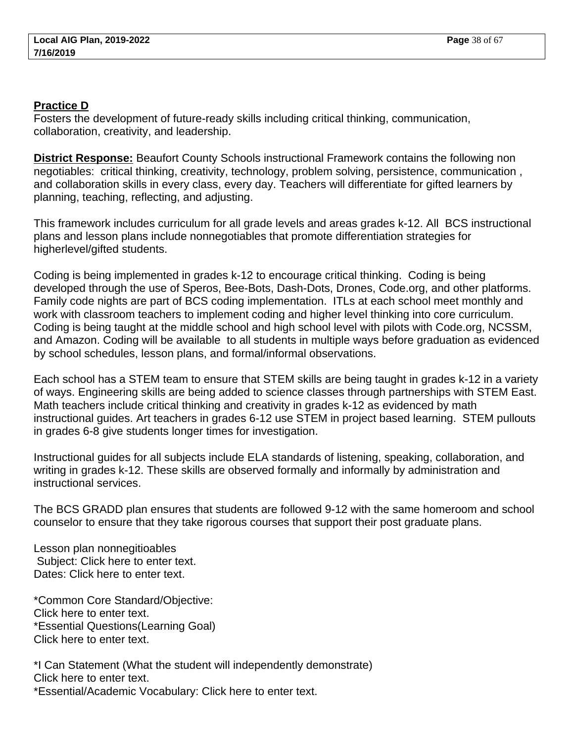#### **Practice D**

Fosters the development of future-ready skills including critical thinking, communication, collaboration, creativity, and leadership.

**District Response:** Beaufort County Schools instructional Framework contains the following non negotiables: critical thinking, creativity, technology, problem solving, persistence, communication , and collaboration skills in every class, every day. Teachers will differentiate for gifted learners by planning, teaching, reflecting, and adjusting.

This framework includes curriculum for all grade levels and areas grades k-12. All BCS instructional plans and lesson plans include nonnegotiables that promote differentiation strategies for higherlevel/gifted students.

Coding is being implemented in grades k-12 to encourage critical thinking. Coding is being developed through the use of Speros, Bee-Bots, Dash-Dots, Drones, Code.org, and other platforms. Family code nights are part of BCS coding implementation. ITLs at each school meet monthly and work with classroom teachers to implement coding and higher level thinking into core curriculum. Coding is being taught at the middle school and high school level with pilots with Code.org, NCSSM, and Amazon. Coding will be available to all students in multiple ways before graduation as evidenced by school schedules, lesson plans, and formal/informal observations.

Each school has a STEM team to ensure that STEM skills are being taught in grades k-12 in a variety of ways. Engineering skills are being added to science classes through partnerships with STEM East. Math teachers include critical thinking and creativity in grades k-12 as evidenced by math instructional guides. Art teachers in grades 6-12 use STEM in project based learning. STEM pullouts in grades 6-8 give students longer times for investigation.

Instructional guides for all subjects include ELA standards of listening, speaking, collaboration, and writing in grades k-12. These skills are observed formally and informally by administration and instructional services.

The BCS GRADD plan ensures that students are followed 9-12 with the same homeroom and school counselor to ensure that they take rigorous courses that support their post graduate plans.

Lesson plan nonnegitioables Subject: Click here to enter text. Dates: Click here to enter text.

\*Common Core Standard/Objective: Click here to enter text. \*Essential Questions(Learning Goal) Click here to enter text.

\*I Can Statement (What the student will independently demonstrate) Click here to enter text. \*Essential/Academic Vocabulary: Click here to enter text.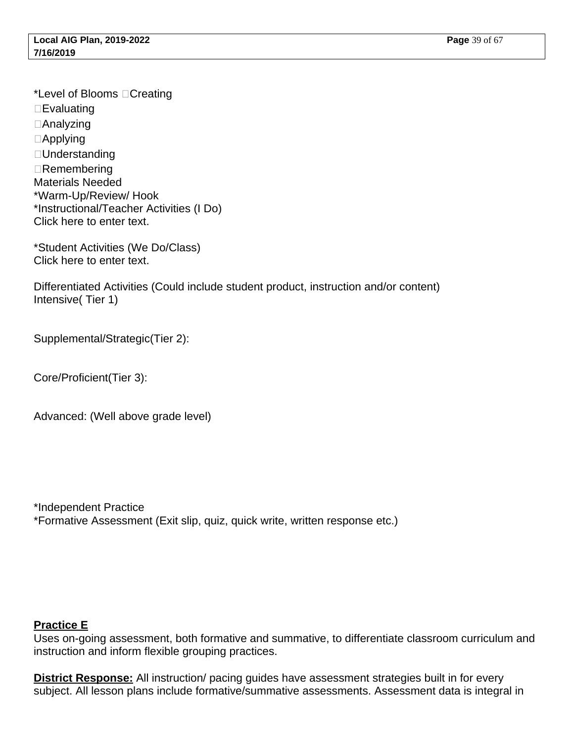\*Level of Blooms Creating □ Evaluating □ Analyzing Applying □ Understanding Remembering Materials Needed \*Warm-Up/Review/ Hook \*Instructional/Teacher Activities (I Do) Click here to enter text.

\*Student Activities (We Do/Class) Click here to enter text.

Differentiated Activities (Could include student product, instruction and/or content) Intensive( Tier 1)

Supplemental/Strategic(Tier 2):

Core/Proficient(Tier 3):

Advanced: (Well above grade level)

\*Independent Practice \*Formative Assessment (Exit slip, quiz, quick write, written response etc.)

#### **Practice E**

Uses on-going assessment, both formative and summative, to differentiate classroom curriculum and instruction and inform flexible grouping practices.

**District Response:** All instruction/ pacing guides have assessment strategies built in for every subject. All lesson plans include formative/summative assessments. Assessment data is integral in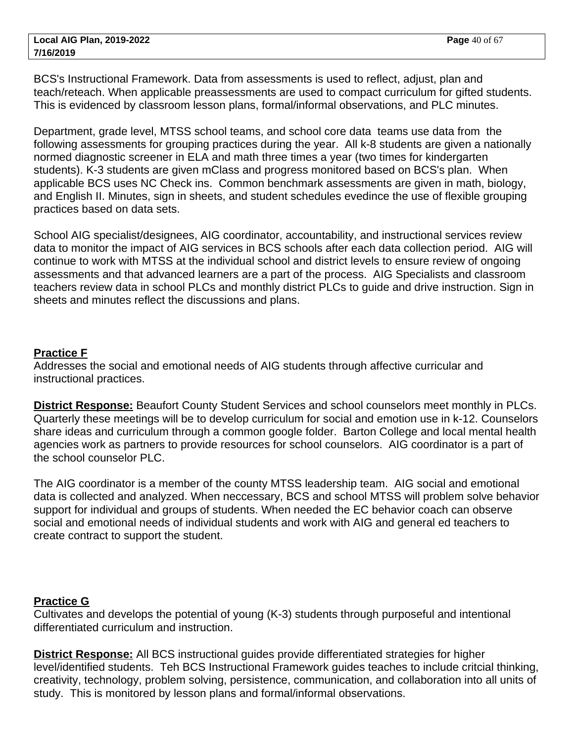BCS's Instructional Framework. Data from assessments is used to reflect, adjust, plan and teach/reteach. When applicable preassessments are used to compact curriculum for gifted students. This is evidenced by classroom lesson plans, formal/informal observations, and PLC minutes.

Department, grade level, MTSS school teams, and school core data teams use data from the following assessments for grouping practices during the year. All k-8 students are given a nationally normed diagnostic screener in ELA and math three times a year (two times for kindergarten students). K-3 students are given mClass and progress monitored based on BCS's plan. When applicable BCS uses NC Check ins. Common benchmark assessments are given in math, biology, and English II. Minutes, sign in sheets, and student schedules evedince the use of flexible grouping practices based on data sets.

School AIG specialist/designees, AIG coordinator, accountability, and instructional services review data to monitor the impact of AIG services in BCS schools after each data collection period. AIG will continue to work with MTSS at the individual school and district levels to ensure review of ongoing assessments and that advanced learners are a part of the process. AIG Specialists and classroom teachers review data in school PLCs and monthly district PLCs to guide and drive instruction. Sign in sheets and minutes reflect the discussions and plans.

#### **Practice F**

Addresses the social and emotional needs of AIG students through affective curricular and instructional practices.

**District Response:** Beaufort County Student Services and school counselors meet monthly in PLCs. Quarterly these meetings will be to develop curriculum for social and emotion use in k-12. Counselors share ideas and curriculum through a common google folder. Barton College and local mental health agencies work as partners to provide resources for school counselors. AIG coordinator is a part of the school counselor PLC.

The AIG coordinator is a member of the county MTSS leadership team. AIG social and emotional data is collected and analyzed. When neccessary, BCS and school MTSS will problem solve behavior support for individual and groups of students. When needed the EC behavior coach can observe social and emotional needs of individual students and work with AIG and general ed teachers to create contract to support the student.

#### **Practice G**

Cultivates and develops the potential of young (K-3) students through purposeful and intentional differentiated curriculum and instruction.

**District Response:** All BCS instructional guides provide differentiated strategies for higher level/identified students. Teh BCS Instructional Framework guides teaches to include critcial thinking, creativity, technology, problem solving, persistence, communication, and collaboration into all units of study. This is monitored by lesson plans and formal/informal observations.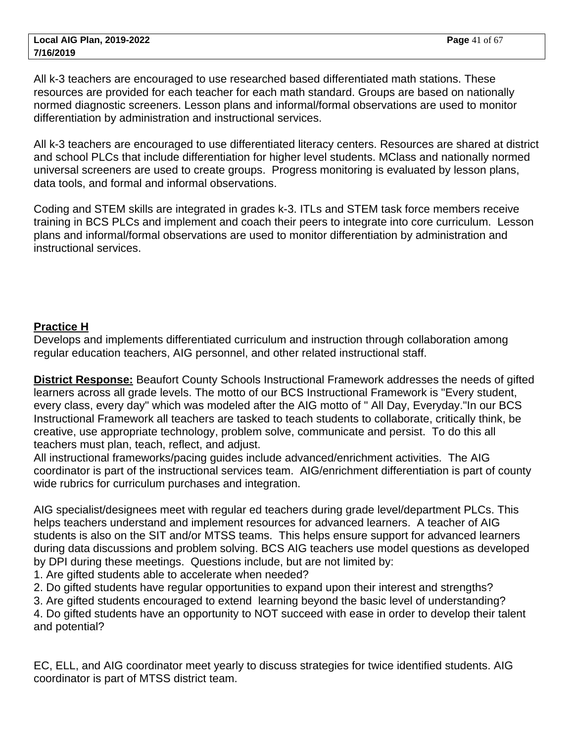All k-3 teachers are encouraged to use researched based differentiated math stations. These resources are provided for each teacher for each math standard. Groups are based on nationally normed diagnostic screeners. Lesson plans and informal/formal observations are used to monitor differentiation by administration and instructional services.

All k-3 teachers are encouraged to use differentiated literacy centers. Resources are shared at district and school PLCs that include differentiation for higher level students. MClass and nationally normed universal screeners are used to create groups. Progress monitoring is evaluated by lesson plans, data tools, and formal and informal observations.

Coding and STEM skills are integrated in grades k-3. ITLs and STEM task force members receive training in BCS PLCs and implement and coach their peers to integrate into core curriculum. Lesson plans and informal/formal observations are used to monitor differentiation by administration and instructional services.

## **Practice H**

Develops and implements differentiated curriculum and instruction through collaboration among regular education teachers, AIG personnel, and other related instructional staff.

**District Response:** Beaufort County Schools Instructional Framework addresses the needs of gifted learners across all grade levels. The motto of our BCS Instructional Framework is "Every student, every class, every day" which was modeled after the AIG motto of " All Day, Everyday."In our BCS Instructional Framework all teachers are tasked to teach students to collaborate, critically think, be creative, use appropriate technology, problem solve, communicate and persist. To do this all teachers must plan, teach, reflect, and adjust.

All instructional frameworks/pacing guides include advanced/enrichment activities. The AIG coordinator is part of the instructional services team. AIG/enrichment differentiation is part of county wide rubrics for curriculum purchases and integration.

AIG specialist/designees meet with regular ed teachers during grade level/department PLCs. This helps teachers understand and implement resources for advanced learners. A teacher of AIG students is also on the SIT and/or MTSS teams. This helps ensure support for advanced learners during data discussions and problem solving. BCS AIG teachers use model questions as developed by DPI during these meetings. Questions include, but are not limited by:

1. Are gifted students able to accelerate when needed?

2. Do gifted students have regular opportunities to expand upon their interest and strengths?

3. Are gifted students encouraged to extend learning beyond the basic level of understanding?

4. Do gifted students have an opportunity to NOT succeed with ease in order to develop their talent and potential?

EC, ELL, and AIG coordinator meet yearly to discuss strategies for twice identified students. AIG coordinator is part of MTSS district team.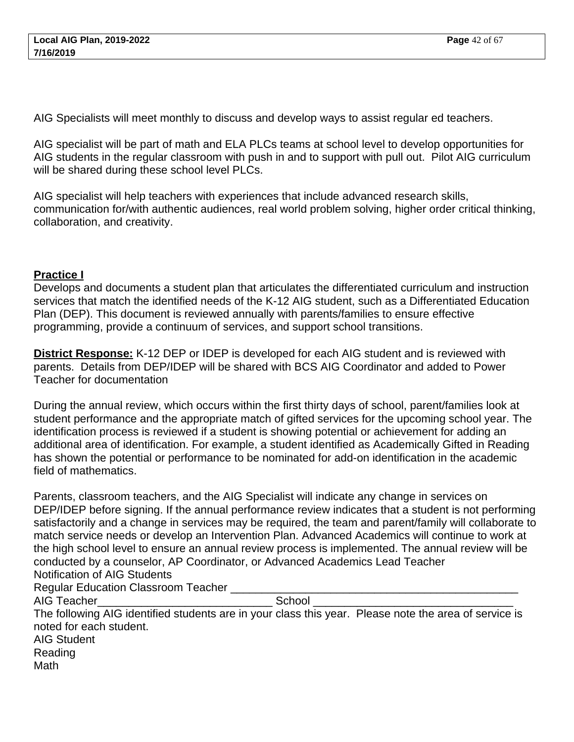AIG Specialists will meet monthly to discuss and develop ways to assist regular ed teachers.

AIG specialist will be part of math and ELA PLCs teams at school level to develop opportunities for AIG students in the regular classroom with push in and to support with pull out. Pilot AIG curriculum will be shared during these school level PLCs.

AIG specialist will help teachers with experiences that include advanced research skills, communication for/with authentic audiences, real world problem solving, higher order critical thinking, collaboration, and creativity.

#### **Practice I**

Develops and documents a student plan that articulates the differentiated curriculum and instruction services that match the identified needs of the K-12 AIG student, such as a Differentiated Education Plan (DEP). This document is reviewed annually with parents/families to ensure effective programming, provide a continuum of services, and support school transitions.

**District Response:** K-12 DEP or IDEP is developed for each AIG student and is reviewed with parents. Details from DEP/IDEP will be shared with BCS AIG Coordinator and added to Power Teacher for documentation

During the annual review, which occurs within the first thirty days of school, parent/families look at student performance and the appropriate match of gifted services for the upcoming school year. The identification process is reviewed if a student is showing potential or achievement for adding an additional area of identification. For example, a student identified as Academically Gifted in Reading has shown the potential or performance to be nominated for add-on identification in the academic field of mathematics.

Parents, classroom teachers, and the AIG Specialist will indicate any change in services on DEP/IDEP before signing. If the annual performance review indicates that a student is not performing satisfactorily and a change in services may be required, the team and parent/family will collaborate to match service needs or develop an Intervention Plan. Advanced Academics will continue to work at the high school level to ensure an annual review process is implemented. The annual review will be conducted by a counselor, AP Coordinator, or Advanced Academics Lead Teacher Notification of AIG Students

Regular Education Classroom Teacher

AIG Teacher **AIG Teacher** 

The following AIG identified students are in your class this year. Please note the area of service is noted for each student. AIG Student Reading Math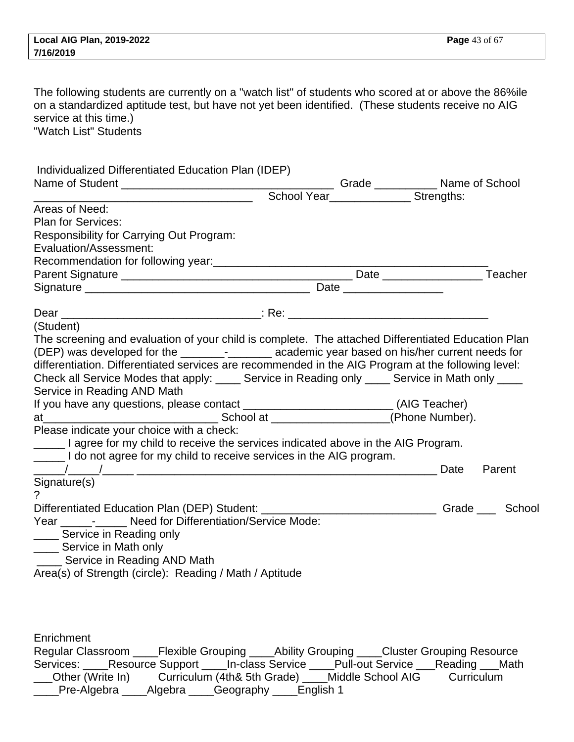The following students are currently on a "watch list" of students who scored at or above the 86%ile on a standardized aptitude test, but have not yet been identified. (These students receive no AIG service at this time.) "Watch List" Students

| Individualized Differentiated Education Plan (IDEP)                                                 |  |                                               |        |
|-----------------------------------------------------------------------------------------------------|--|-----------------------------------------------|--------|
|                                                                                                     |  |                                               |        |
|                                                                                                     |  | School Year_______________________ Strengths: |        |
| Areas of Need:                                                                                      |  |                                               |        |
| <b>Plan for Services:</b>                                                                           |  |                                               |        |
| Responsibility for Carrying Out Program:                                                            |  |                                               |        |
| Evaluation/Assessment:                                                                              |  |                                               |        |
|                                                                                                     |  |                                               |        |
|                                                                                                     |  |                                               |        |
|                                                                                                     |  |                                               |        |
|                                                                                                     |  |                                               |        |
| (Student)                                                                                           |  |                                               |        |
| The screening and evaluation of your child is complete. The attached Differentiated Education Plan  |  |                                               |        |
|                                                                                                     |  |                                               |        |
| differentiation. Differentiated services are recommended in the AIG Program at the following level: |  |                                               |        |
| Check all Service Modes that apply: _____ Service in Reading only _____ Service in Math only ____   |  |                                               |        |
| Service in Reading AND Math                                                                         |  |                                               |        |
| If you have any questions, please contact __________________________(AIG Teacher)                   |  |                                               |        |
|                                                                                                     |  |                                               |        |
| Please indicate your choice with a check:                                                           |  |                                               |        |
| I agree for my child to receive the services indicated above in the AIG Program.                    |  |                                               |        |
| Let not agree for my child to receive services in the AIG program.                                  |  |                                               |        |
|                                                                                                     |  | Date                                          | Parent |
| Signature(s)                                                                                        |  |                                               |        |
| ?                                                                                                   |  |                                               |        |
| Differentiated Education Plan (DEP) Student: Cambridge Controllery Crade Controllery School         |  |                                               |        |
| Year ____________ Need for Differentiation/Service Mode:                                            |  |                                               |        |
| Service in Reading only                                                                             |  |                                               |        |
| _____ Service in Math only                                                                          |  |                                               |        |
| _____ Service in Reading AND Math                                                                   |  |                                               |        |
| Area(s) of Strength (circle): Reading / Math / Aptitude                                             |  |                                               |        |

**Enrichment** 

Regular Classroom \_\_\_\_Flexible Grouping \_\_\_\_Ability Grouping \_\_\_\_Cluster Grouping Resource Services: \_\_\_\_Resource Support \_\_\_\_In-class Service \_\_\_\_Pull-out Service \_\_\_Reading \_\_\_Math<br>
\_\_\_Other (Write In) Curriculum (4th& 5th Grade) \_\_\_\_Middle School AIG Curriculum Curriculum (4th& 5th Grade) \_\_\_\_Middle School AIG Curriculum \_\_\_\_Pre-Algebra \_\_\_\_Algebra \_\_\_\_Geography \_\_\_\_English 1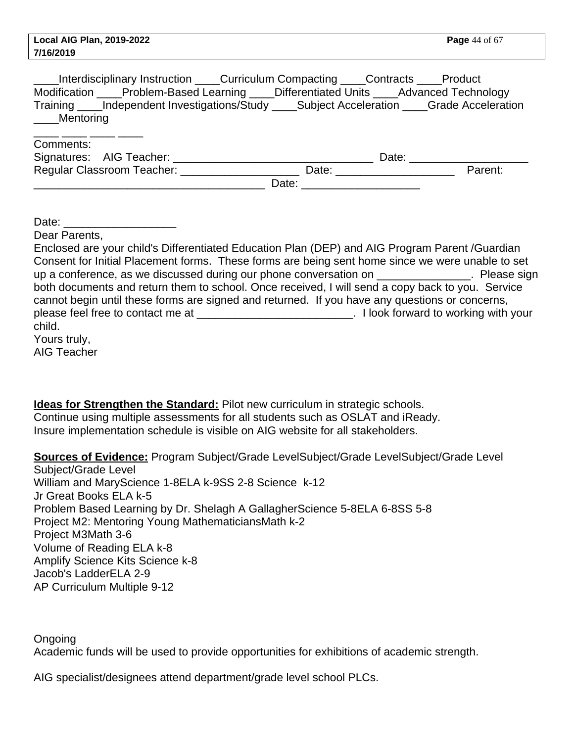| Interdisciplinary Instruction ____Curriculum Compacting ____Contracts ____Product<br>Modification ____Problem-Based Learning ____Differentiated Units ____Advanced Technology<br>Training ____Independent Investigations/Study ____Subject Acceleration ____Grade Acceleration<br><b>Mentoring</b> |  |
|----------------------------------------------------------------------------------------------------------------------------------------------------------------------------------------------------------------------------------------------------------------------------------------------------|--|
| Comments:                                                                                                                                                                                                                                                                                          |  |
|                                                                                                                                                                                                                                                                                                    |  |
| Regular Classroom Teacher: ________________________ Date: _______________________ Parent:                                                                                                                                                                                                          |  |
|                                                                                                                                                                                                                                                                                                    |  |
| Dear Parents,<br>Enclosed are your child's Differentiated Education Plan (DEP) and AIG Program Parent /Guardian                                                                                                                                                                                    |  |
| Consent for Initial Placement forms. These forms are being sent home since we were unable to set                                                                                                                                                                                                   |  |
| up a conference, as we discussed during our phone conversation on ______________. Please sign                                                                                                                                                                                                      |  |
| both documents and return them to school. Once received, I will send a copy back to you. Service                                                                                                                                                                                                   |  |
| cannot begin until these forms are signed and returned. If you have any questions or concerns,                                                                                                                                                                                                     |  |
| please feel free to contact me at ______________________________. I look forward to working with your                                                                                                                                                                                              |  |
| child.                                                                                                                                                                                                                                                                                             |  |

Yours truly, AIG Teacher

**Ideas for Strengthen the Standard:** Pilot new curriculum in strategic schools. Continue using multiple assessments for all students such as OSLAT and iReady. Insure implementation schedule is visible on AIG website for all stakeholders.

**Sources of Evidence:** Program Subject/Grade Level Subject/Grade Level Subject/Grade Level Subject/Grade Level William and Mary Science 1-8 ELA k-9 SS 2-8 Science k-12 Jr Great Books ELA k-5 Problem Based Learning by Dr. Shelagh A Gallagher Science 5-8 ELA 6-8 SS 5-8 Project M2: Mentoring Young Mathematicians Math k-2 Project M3 Math 3-6 Volume of Reading ELA k-8 Amplify Science Kits Science k-8 Jacob's Ladder ELA 2-9 AP Curriculum Multiple 9-12 

Ongoing Academic funds will be used to provide opportunities for exhibitions of academic strength.

AIG specialist/designees attend department/grade level school PLCs.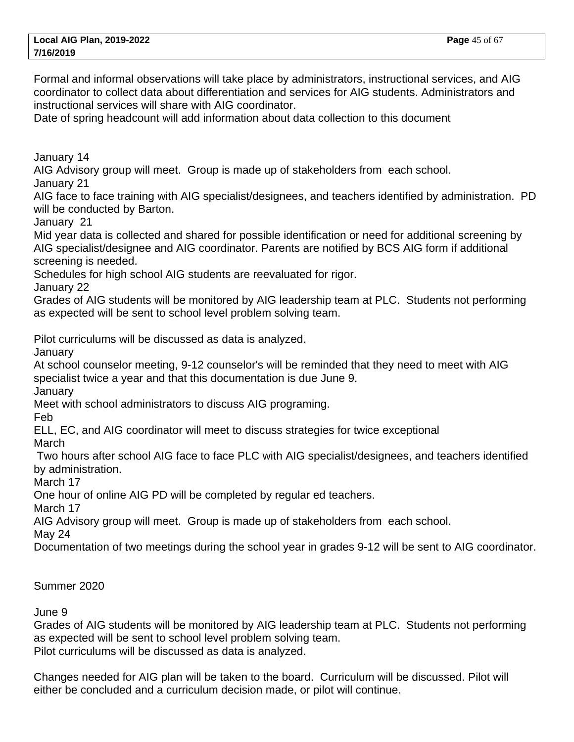Formal and informal observations will take place by administrators, instructional services, and AIG coordinator to collect data about differentiation and services for AIG students. Administrators and instructional services will share with AIG coordinator.

Date of spring headcount will add information about data collection to this document

January 14

AIG Advisory group will meet. Group is made up of stakeholders from each school. January 21

AIG face to face training with AIG specialist/designees, and teachers identified by administration. PD will be conducted by Barton.

January 21

Mid year data is collected and shared for possible identification or need for additional screening by AIG specialist/designee and AIG coordinator. Parents are notified by BCS AIG form if additional screening is needed.

Schedules for high school AIG students are reevaluated for rigor.

January 22

Grades of AIG students will be monitored by AIG leadership team at PLC. Students not performing as expected will be sent to school level problem solving team.

Pilot curriculums will be discussed as data is analyzed.

January

At school counselor meeting, 9-12 counselor's will be reminded that they need to meet with AIG specialist twice a year and that this documentation is due June 9.

**January** 

Meet with school administrators to discuss AIG programing.

Feb

ELL, EC, and AIG coordinator will meet to discuss strategies for twice exceptional

**March** 

 Two hours after school AIG face to face PLC with AIG specialist/designees, and teachers identified by administration.

March 17

One hour of online AIG PD will be completed by regular ed teachers.

March 17

AIG Advisory group will meet. Group is made up of stakeholders from each school.

May 24

Documentation of two meetings during the school year in grades 9-12 will be sent to AIG coordinator.

Summer 2020

June 9

Grades of AIG students will be monitored by AIG leadership team at PLC. Students not performing as expected will be sent to school level problem solving team. Pilot curriculums will be discussed as data is analyzed.

Changes needed for AIG plan will be taken to the board. Curriculum will be discussed. Pilot will either be concluded and a curriculum decision made, or pilot will continue.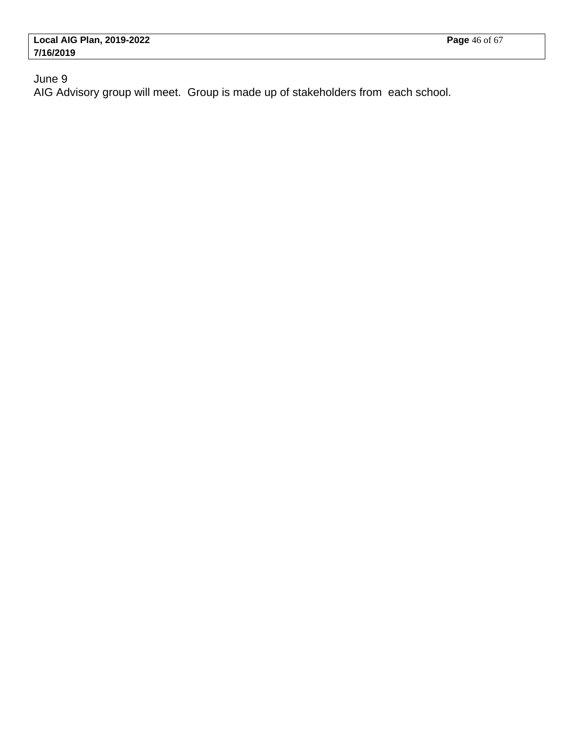June 9

AIG Advisory group will meet. Group is made up of stakeholders from each school.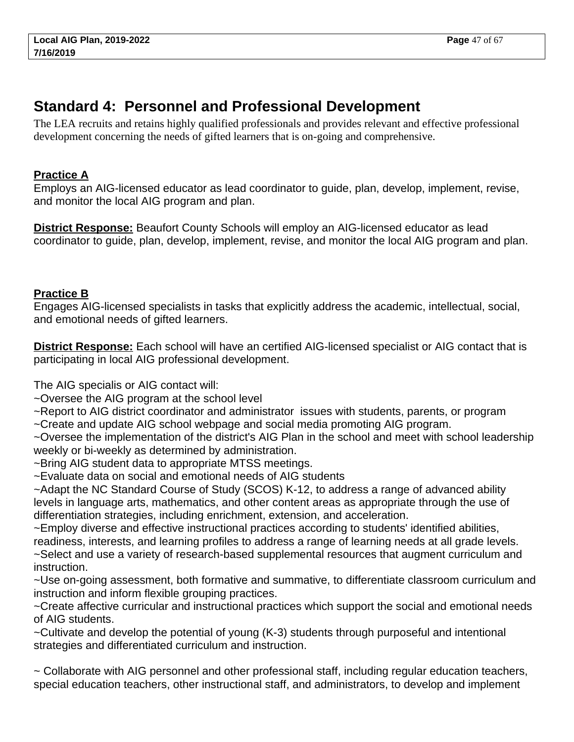# <span id="page-46-0"></span>**Standard 4: Personnel and Professional Development**

The LEA recruits and retains highly qualified professionals and provides relevant and effective professional development concerning the needs of gifted learners that is on-going and comprehensive.

# **Practice A**

Employs an AIG-licensed educator as lead coordinator to guide, plan, develop, implement, revise, and monitor the local AIG program and plan.

**District Response:** Beaufort County Schools will employ an AIG-licensed educator as lead coordinator to guide, plan, develop, implement, revise, and monitor the local AIG program and plan.

## **Practice B**

Engages AIG-licensed specialists in tasks that explicitly address the academic, intellectual, social, and emotional needs of gifted learners.

**District Response:** Each school will have an certified AIG-licensed specialist or AIG contact that is participating in local AIG professional development.

The AIG specialis or AIG contact will:

~Oversee the AIG program at the school level

~Report to AIG district coordinator and administrator issues with students, parents, or program

~Create and update AIG school webpage and social media promoting AIG program.

~Oversee the implementation of the district's AIG Plan in the school and meet with school leadership weekly or bi-weekly as determined by administration.

~Bring AIG student data to appropriate MTSS meetings.

~Evaluate data on social and emotional needs of AIG students

~Adapt the NC Standard Course of Study (SCOS) K-12, to address a range of advanced ability levels in language arts, mathematics, and other content areas as appropriate through the use of differentiation strategies, including enrichment, extension, and acceleration.

~Employ diverse and effective instructional practices according to students' identified abilities, readiness, interests, and learning profiles to address a range of learning needs at all grade levels.

~Select and use a variety of research-based supplemental resources that augment curriculum and instruction.

~Use on-going assessment, both formative and summative, to differentiate classroom curriculum and instruction and inform flexible grouping practices.

~Create affective curricular and instructional practices which support the social and emotional needs of AIG students.

~Cultivate and develop the potential of young (K-3) students through purposeful and intentional strategies and differentiated curriculum and instruction.

~ Collaborate with AIG personnel and other professional staff, including regular education teachers, special education teachers, other instructional staff, and administrators, to develop and implement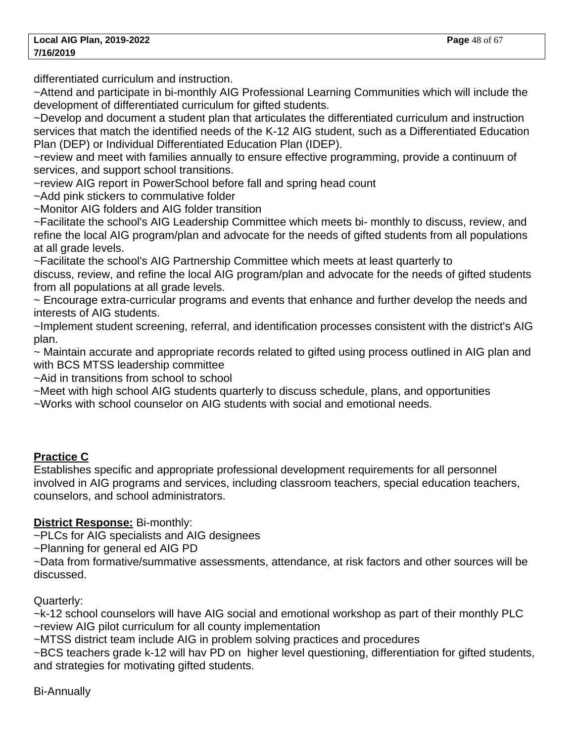differentiated curriculum and instruction.

~Attend and participate in bi-monthly AIG Professional Learning Communities which will include the development of differentiated curriculum for gifted students.

~Develop and document a student plan that articulates the differentiated curriculum and instruction services that match the identified needs of the K-12 AIG student, such as a Differentiated Education Plan (DEP) or Individual Differentiated Education Plan (IDEP).

~review and meet with families annually to ensure effective programming, provide a continuum of services, and support school transitions.

~review AIG report in PowerSchool before fall and spring head count

~Add pink stickers to commulative folder

~Monitor AIG folders and AIG folder transition

~Facilitate the school's AIG Leadership Committee which meets bi- monthly to discuss, review, and refine the local AIG program/plan and advocate for the needs of gifted students from all populations at all grade levels.

~Facilitate the school's AIG Partnership Committee which meets at least quarterly to

discuss, review, and refine the local AIG program/plan and advocate for the needs of gifted students from all populations at all grade levels.

~ Encourage extra-curricular programs and events that enhance and further develop the needs and interests of AIG students.

~Implement student screening, referral, and identification processes consistent with the district's AIG plan.

~ Maintain accurate and appropriate records related to gifted using process outlined in AIG plan and with BCS MTSS leadership committee

~Aid in transitions from school to school

~Meet with high school AIG students quarterly to discuss schedule, plans, and opportunities

~Works with school counselor on AIG students with social and emotional needs.

# **Practice C**

Establishes specific and appropriate professional development requirements for all personnel involved in AIG programs and services, including classroom teachers, special education teachers, counselors, and school administrators.

# **District Response:** Bi-monthly:

~PLCs for AIG specialists and AIG designees

~Planning for general ed AIG PD

~Data from formative/summative assessments, attendance, at risk factors and other sources will be discussed.

# Quarterly:

~k-12 school counselors will have AIG social and emotional workshop as part of their monthly PLC ~review AIG pilot curriculum for all county implementation

~MTSS district team include AIG in problem solving practices and procedures

~BCS teachers grade k-12 will hav PD on higher level questioning, differentiation for gifted students, and strategies for motivating gifted students.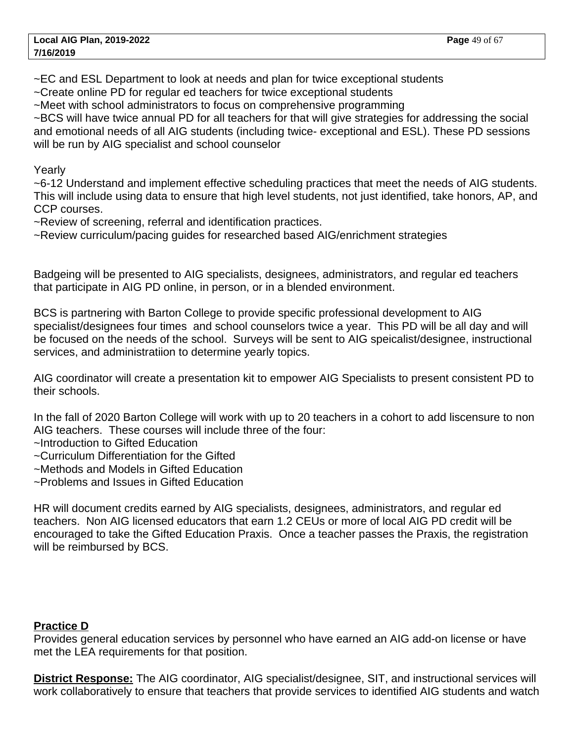~EC and ESL Department to look at needs and plan for twice exceptional students

~Create online PD for regular ed teachers for twice exceptional students

~Meet with school administrators to focus on comprehensive programming

~BCS will have twice annual PD for all teachers for that will give strategies for addressing the social and emotional needs of all AIG students (including twice- exceptional and ESL). These PD sessions will be run by AIG specialist and school counselor

Yearly

~6-12 Understand and implement effective scheduling practices that meet the needs of AIG students. This will include using data to ensure that high level students, not just identified, take honors, AP, and CCP courses.

~Review of screening, referral and identification practices.

~Review curriculum/pacing guides for researched based AIG/enrichment strategies

Badgeing will be presented to AIG specialists, designees, administrators, and regular ed teachers that participate in AIG PD online, in person, or in a blended environment.

BCS is partnering with Barton College to provide specific professional development to AIG specialist/designees four times and school counselors twice a year. This PD will be all day and will be focused on the needs of the school. Surveys will be sent to AIG speicalist/designee, instructional services, and administratiion to determine yearly topics.

AIG coordinator will create a presentation kit to empower AIG Specialists to present consistent PD to their schools.

In the fall of 2020 Barton College will work with up to 20 teachers in a cohort to add liscensure to non AIG teachers. These courses will include three of the four:

- ~Introduction to Gifted Education
- ~Curriculum Differentiation for the Gifted
- ~Methods and Models in Gifted Education
- ~Problems and Issues in Gifted Education

HR will document credits earned by AIG specialists, designees, administrators, and regular ed teachers. Non AIG licensed educators that earn 1.2 CEUs or more of local AIG PD credit will be encouraged to take the Gifted Education Praxis. Once a teacher passes the Praxis, the registration will be reimbursed by BCS.

#### **Practice D**

Provides general education services by personnel who have earned an AIG add-on license or have met the LEA requirements for that position.

**District Response:** The AIG coordinator, AIG specialist/designee, SIT, and instructional services will work collaboratively to ensure that teachers that provide services to identified AIG students and watch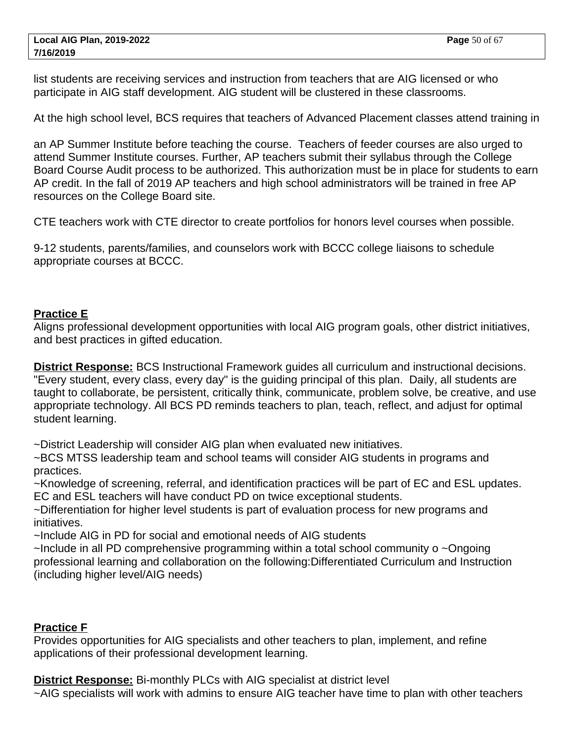list students are receiving services and instruction from teachers that are AIG licensed or who participate in AIG staff development. AIG student will be clustered in these classrooms.

At the high school level, BCS requires that teachers of Advanced Placement classes attend training in

an AP Summer Institute before teaching the course. Teachers of feeder courses are also urged to attend Summer Institute courses. Further, AP teachers submit their syllabus through the College Board Course Audit process to be authorized. This authorization must be in place for students to earn AP credit. In the fall of 2019 AP teachers and high school administrators will be trained in free AP resources on the College Board site.

CTE teachers work with CTE director to create portfolios for honors level courses when possible.

9-12 students, parents/families, and counselors work with BCCC college liaisons to schedule appropriate courses at BCCC.

#### **Practice E**

Aligns professional development opportunities with local AIG program goals, other district initiatives, and best practices in gifted education.

**District Response:** BCS Instructional Framework guides all curriculum and instructional decisions. "Every student, every class, every day" is the guiding principal of this plan. Daily, all students are taught to collaborate, be persistent, critically think, communicate, problem solve, be creative, and use appropriate technology. All BCS PD reminds teachers to plan, teach, reflect, and adjust for optimal student learning.

~District Leadership will consider AIG plan when evaluated new initiatives.

~BCS MTSS leadership team and school teams will consider AIG students in programs and practices.

~Knowledge of screening, referral, and identification practices will be part of EC and ESL updates. EC and ESL teachers will have conduct PD on twice exceptional students.

~Differentiation for higher level students is part of evaluation process for new programs and initiatives.

~Include AIG in PD for social and emotional needs of AIG students

~Include in all PD comprehensive programming within a total school community o ~Ongoing professional learning and collaboration on the following:Differentiated Curriculum and Instruction (including higher level/AIG needs)

#### **Practice F**

Provides opportunities for AIG specialists and other teachers to plan, implement, and refine applications of their professional development learning.

**District Response:** Bi-monthly PLCs with AIG specialist at district level ~AIG specialists will work with admins to ensure AIG teacher have time to plan with other teachers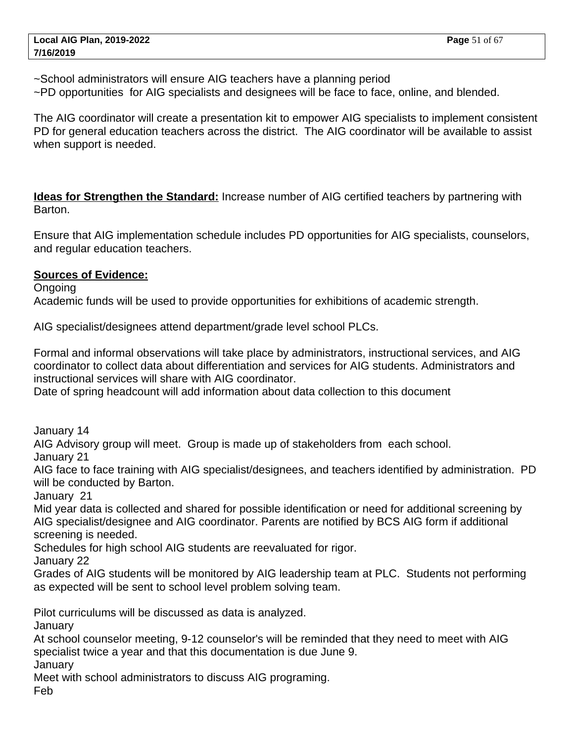~School administrators will ensure AIG teachers have a planning period

~PD opportunities for AIG specialists and designees will be face to face, online, and blended.

The AIG coordinator will create a presentation kit to empower AIG specialists to implement consistent PD for general education teachers across the district. The AIG coordinator will be available to assist when support is needed.

**Ideas for Strengthen the Standard:** Increase number of AIG certified teachers by partnering with Barton.

Ensure that AIG implementation schedule includes PD opportunities for AIG specialists, counselors, and regular education teachers.

#### **Sources of Evidence:**

Ongoing

Academic funds will be used to provide opportunities for exhibitions of academic strength.

AIG specialist/designees attend department/grade level school PLCs.

Formal and informal observations will take place by administrators, instructional services, and AIG coordinator to collect data about differentiation and services for AIG students. Administrators and instructional services will share with AIG coordinator.

Date of spring headcount will add information about data collection to this document

January 14

AIG Advisory group will meet. Group is made up of stakeholders from each school.

January 21

AIG face to face training with AIG specialist/designees, and teachers identified by administration. PD will be conducted by Barton.

January 21

Mid year data is collected and shared for possible identification or need for additional screening by AIG specialist/designee and AIG coordinator. Parents are notified by BCS AIG form if additional screening is needed.

Schedules for high school AIG students are reevaluated for rigor.

January 22

Grades of AIG students will be monitored by AIG leadership team at PLC. Students not performing as expected will be sent to school level problem solving team.

Pilot curriculums will be discussed as data is analyzed.

January

At school counselor meeting, 9-12 counselor's will be reminded that they need to meet with AIG specialist twice a year and that this documentation is due June 9.

January

Meet with school administrators to discuss AIG programing.

Feb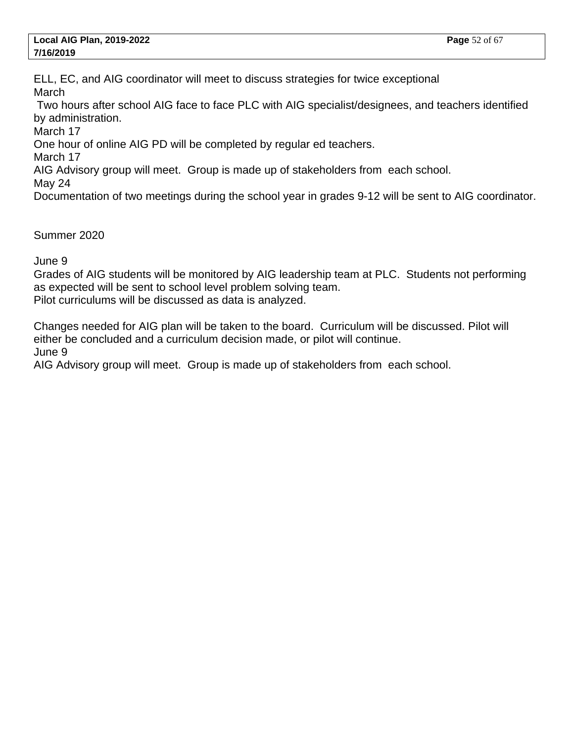ELL, EC, and AIG coordinator will meet to discuss strategies for twice exceptional **March** 

 Two hours after school AIG face to face PLC with AIG specialist/designees, and teachers identified by administration.

March 17

One hour of online AIG PD will be completed by regular ed teachers.

March 17

AIG Advisory group will meet. Group is made up of stakeholders from each school.

May 24

Documentation of two meetings during the school year in grades 9-12 will be sent to AIG coordinator.

Summer 2020

June 9

Grades of AIG students will be monitored by AIG leadership team at PLC. Students not performing as expected will be sent to school level problem solving team.

Pilot curriculums will be discussed as data is analyzed.

Changes needed for AIG plan will be taken to the board. Curriculum will be discussed. Pilot will either be concluded and a curriculum decision made, or pilot will continue. June 9

AIG Advisory group will meet. Group is made up of stakeholders from each school.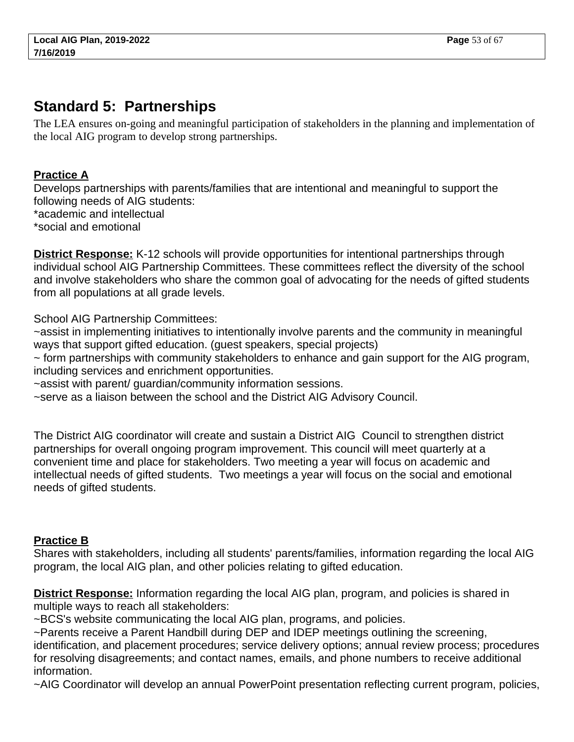# <span id="page-52-0"></span>**Standard 5: Partnerships**

The LEA ensures on-going and meaningful participation of stakeholders in the planning and implementation of the local AIG program to develop strong partnerships.

# **Practice A**

Develops partnerships with parents/families that are intentional and meaningful to support the following needs of AIG students:

- \* academic and intellectual
- \* social and emotional

**District Response:** K-12 schools will provide opportunities for intentional partnerships through individual school AIG Partnership Committees. These committees reflect the diversity of the school and involve stakeholders who share the common goal of advocating for the needs of gifted students from all populations at all grade levels.

School AIG Partnership Committees:

~assist in implementing initiatives to intentionally involve parents and the community in meaningful ways that support gifted education. (guest speakers, special projects)

~ form partnerships with community stakeholders to enhance and gain support for the AIG program, including services and enrichment opportunities.

~assist with parent/ guardian/community information sessions.

~serve as a liaison between the school and the District AIG Advisory Council.

The District AIG coordinator will create and sustain a District AIG Council to strengthen district partnerships for overall ongoing program improvement. This council will meet quarterly at a convenient time and place for stakeholders. Two meeting a year will focus on academic and intellectual needs of gifted students. Two meetings a year will focus on the social and emotional needs of gifted students.

## **Practice B**

Shares with stakeholders, including all students' parents/families, information regarding the local AIG program, the local AIG plan, and other policies relating to gifted education.

**District Response:** Information regarding the local AIG plan, program, and policies is shared in multiple ways to reach all stakeholders:

~BCS's website communicating the local AIG plan, programs, and policies.

~Parents receive a Parent Handbill during DEP and IDEP meetings outlining the screening, identification, and placement procedures; service delivery options; annual review process; procedures for resolving disagreements; and contact names, emails, and phone numbers to receive additional information.

~AIG Coordinator will develop an annual PowerPoint presentation reflecting current program, policies,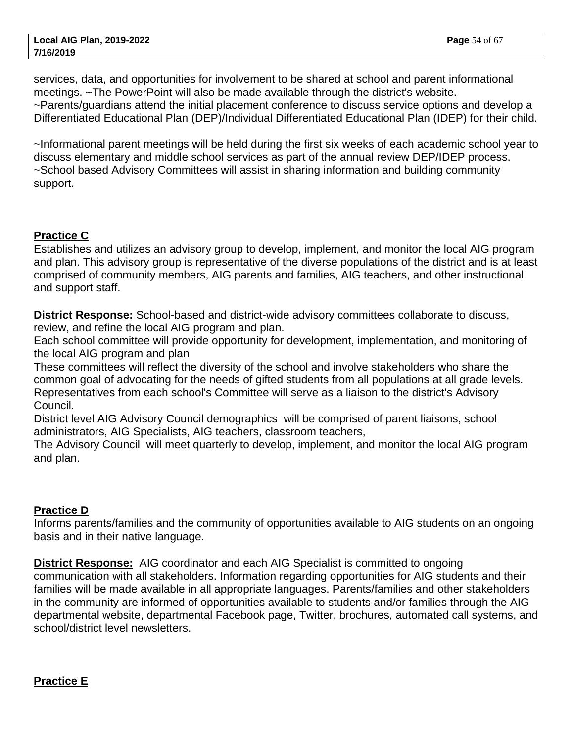services, data, and opportunities for involvement to be shared at school and parent informational meetings. ~The PowerPoint will also be made available through the district's website. ~Parents/guardians attend the initial placement conference to discuss service options and develop a Differentiated Educational Plan (DEP)/Individual Differentiated Educational Plan (IDEP) for their child.

~Informational parent meetings will be held during the first six weeks of each academic school year to discuss elementary and middle school services as part of the annual review DEP/IDEP process. ~School based Advisory Committees will assist in sharing information and building community support.

## **Practice C**

Establishes and utilizes an advisory group to develop, implement, and monitor the local AIG program and plan. This advisory group is representative of the diverse populations of the district and is at least comprised of community members, AIG parents and families, AIG teachers, and other instructional and support staff.

**District Response:** School-based and district-wide advisory committees collaborate to discuss, review, and refine the local AIG program and plan.

Each school committee will provide opportunity for development, implementation, and monitoring of the local AIG program and plan

These committees will reflect the diversity of the school and involve stakeholders who share the common goal of advocating for the needs of gifted students from all populations at all grade levels. Representatives from each school's Committee will serve as a liaison to the district's Advisory Council.

District level AIG Advisory Council demographics will be comprised of parent liaisons, school administrators, AIG Specialists, AIG teachers, classroom teachers,

The Advisory Council will meet quarterly to develop, implement, and monitor the local AIG program and plan.

## **Practice D**

Informs parents/families and the community of opportunities available to AIG students on an ongoing basis and in their native language.

**District Response:** AIG coordinator and each AIG Specialist is committed to ongoing communication with all stakeholders. Information regarding opportunities for AIG students and their families will be made available in all appropriate languages. Parents/families and other stakeholders in the community are informed of opportunities available to students and/or families through the AIG departmental website, departmental Facebook page, Twitter, brochures, automated call systems, and school/district level newsletters.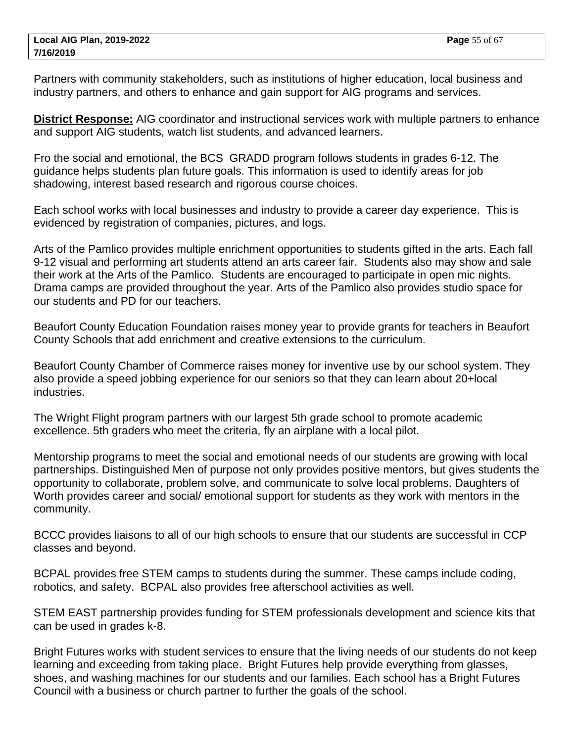Partners with community stakeholders, such as institutions of higher education, local business and industry partners, and others to enhance and gain support for AIG programs and services.

**District Response:** AIG coordinator and instructional services work with multiple partners to enhance and support AIG students, watch list students, and advanced learners.

Fro the social and emotional, the BCS GRADD program follows students in grades 6-12. The guidance helps students plan future goals. This information is used to identify areas for job shadowing, interest based research and rigorous course choices.

Each school works with local businesses and industry to provide a career day experience. This is evidenced by registration of companies, pictures, and logs.

Arts of the Pamlico provides multiple enrichment opportunities to students gifted in the arts. Each fall 9-12 visual and performing art students attend an arts career fair. Students also may show and sale their work at the Arts of the Pamlico. Students are encouraged to participate in open mic nights. Drama camps are provided throughout the year. Arts of the Pamlico also provides studio space for our students and PD for our teachers.

Beaufort County Education Foundation raises money year to provide grants for teachers in Beaufort County Schools that add enrichment and creative extensions to the curriculum.

Beaufort County Chamber of Commerce raises money for inventive use by our school system. They also provide a speed jobbing experience for our seniors so that they can learn about 20+local industries.

The Wright Flight program partners with our largest 5th grade school to promote academic excellence. 5th graders who meet the criteria, fly an airplane with a local pilot.

Mentorship programs to meet the social and emotional needs of our students are growing with local partnerships. Distinguished Men of purpose not only provides positive mentors, but gives students the opportunity to collaborate, problem solve, and communicate to solve local problems. Daughters of Worth provides career and social/ emotional support for students as they work with mentors in the community.

BCCC provides liaisons to all of our high schools to ensure that our students are successful in CCP classes and beyond.

BCPAL provides free STEM camps to students during the summer. These camps include coding, robotics, and safety. BCPAL also provides free afterschool activities as well.

STEM EAST partnership provides funding for STEM professionals development and science kits that can be used in grades k-8.

Bright Futures works with student services to ensure that the living needs of our students do not keep learning and exceeding from taking place. Bright Futures help provide everything from glasses, shoes, and washing machines for our students and our families. Each school has a Bright Futures Council with a business or church partner to further the goals of the school.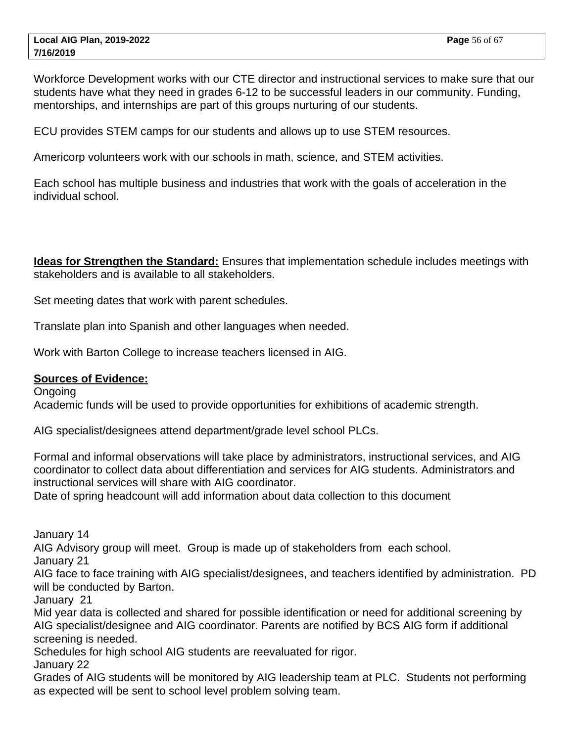Workforce Development works with our CTE director and instructional services to make sure that our students have what they need in grades 6-12 to be successful leaders in our community. Funding, mentorships, and internships are part of this groups nurturing of our students.

ECU provides STEM camps for our students and allows up to use STEM resources.

Americorp volunteers work with our schools in math, science, and STEM activities.

Each school has multiple business and industries that work with the goals of acceleration in the individual school.

**Ideas for Strengthen the Standard:** Ensures that implementation schedule includes meetings with stakeholders and is available to all stakeholders.

Set meeting dates that work with parent schedules.

Translate plan into Spanish and other languages when needed.

Work with Barton College to increase teachers licensed in AIG.

#### **Sources of Evidence:**

Ongoing Academic funds will be used to provide opportunities for exhibitions of academic strength.

AIG specialist/designees attend department/grade level school PLCs.

Formal and informal observations will take place by administrators, instructional services, and AIG coordinator to collect data about differentiation and services for AIG students. Administrators and instructional services will share with AIG coordinator.

Date of spring headcount will add information about data collection to this document

January 14

AIG Advisory group will meet. Group is made up of stakeholders from each school.

January 21

AIG face to face training with AIG specialist/designees, and teachers identified by administration. PD will be conducted by Barton.

January 21

Mid year data is collected and shared for possible identification or need for additional screening by AIG specialist/designee and AIG coordinator. Parents are notified by BCS AIG form if additional screening is needed.

Schedules for high school AIG students are reevaluated for rigor.

January 22

Grades of AIG students will be monitored by AIG leadership team at PLC. Students not performing as expected will be sent to school level problem solving team.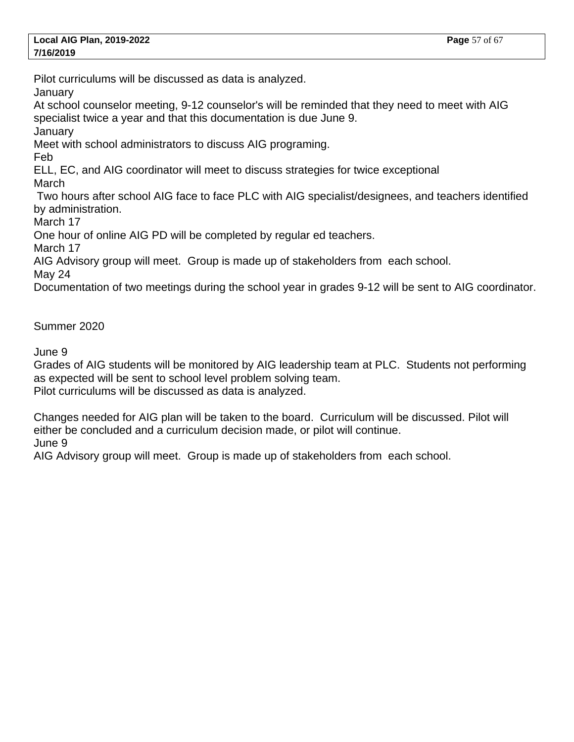Pilot curriculums will be discussed as data is analyzed.

**January** 

At school counselor meeting, 9-12 counselor's will be reminded that they need to meet with AIG specialist twice a year and that this documentation is due June 9.

January

Meet with school administrators to discuss AIG programing.

Feb

ELL, EC, and AIG coordinator will meet to discuss strategies for twice exceptional March

 Two hours after school AIG face to face PLC with AIG specialist/designees, and teachers identified by administration.

March 17

One hour of online AIG PD will be completed by regular ed teachers.

March 17

AIG Advisory group will meet. Group is made up of stakeholders from each school.

May 24

Documentation of two meetings during the school year in grades 9-12 will be sent to AIG coordinator.

Summer 2020

June 9

Grades of AIG students will be monitored by AIG leadership team at PLC. Students not performing as expected will be sent to school level problem solving team. Pilot curriculums will be discussed as data is analyzed.

Changes needed for AIG plan will be taken to the board. Curriculum will be discussed. Pilot will either be concluded and a curriculum decision made, or pilot will continue. June 9

AIG Advisory group will meet. Group is made up of stakeholders from each school.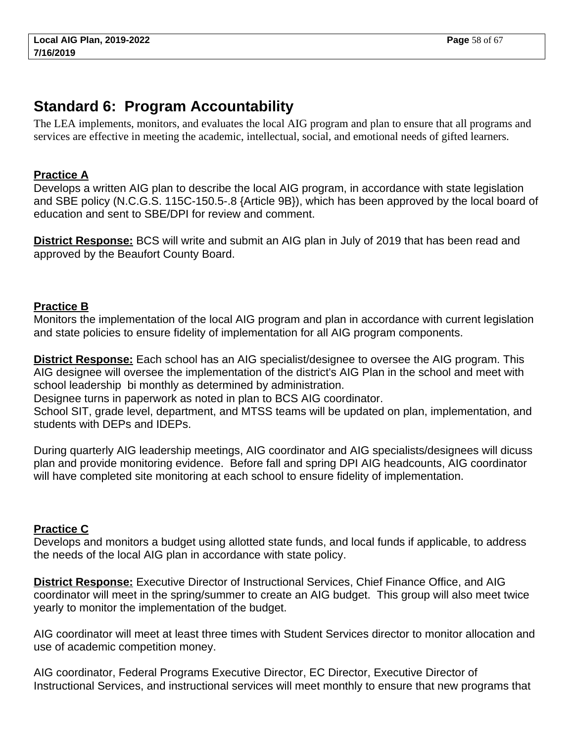# <span id="page-57-0"></span>**Standard 6: Program Accountability**

The LEA implements, monitors, and evaluates the local AIG program and plan to ensure that all programs and services are effective in meeting the academic, intellectual, social, and emotional needs of gifted learners.

## **Practice A**

Develops a written AIG plan to describe the local AIG program, in accordance with state legislation and SBE policy (N.C.G.S. 115C-150.5-.8 {Article 9B}), which has been approved by the local board of education and sent to SBE/DPI for review and comment.

**District Response:** BCS will write and submit an AIG plan in July of 2019 that has been read and approved by the Beaufort County Board.

## **Practice B**

Monitors the implementation of the local AIG program and plan in accordance with current legislation and state policies to ensure fidelity of implementation for all AIG program components.

**District Response:** Each school has an AIG specialist/designee to oversee the AIG program. This AIG designee will oversee the implementation of the district's AIG Plan in the school and meet with school leadership bi monthly as determined by administration.

Designee turns in paperwork as noted in plan to BCS AIG coordinator.

School SIT, grade level, department, and MTSS teams will be updated on plan, implementation, and students with DEPs and IDEPs.

During quarterly AIG leadership meetings, AIG coordinator and AIG specialists/designees will dicuss plan and provide monitoring evidence. Before fall and spring DPI AIG headcounts, AIG coordinator will have completed site monitoring at each school to ensure fidelity of implementation.

# **Practice C**

Develops and monitors a budget using allotted state funds, and local funds if applicable, to address the needs of the local AIG plan in accordance with state policy.

**District Response:** Executive Director of Instructional Services, Chief Finance Office, and AIG coordinator will meet in the spring/summer to create an AIG budget. This group will also meet twice yearly to monitor the implementation of the budget.

AIG coordinator will meet at least three times with Student Services director to monitor allocation and use of academic competition money.

AIG coordinator, Federal Programs Executive Director, EC Director, Executive Director of Instructional Services, and instructional services will meet monthly to ensure that new programs that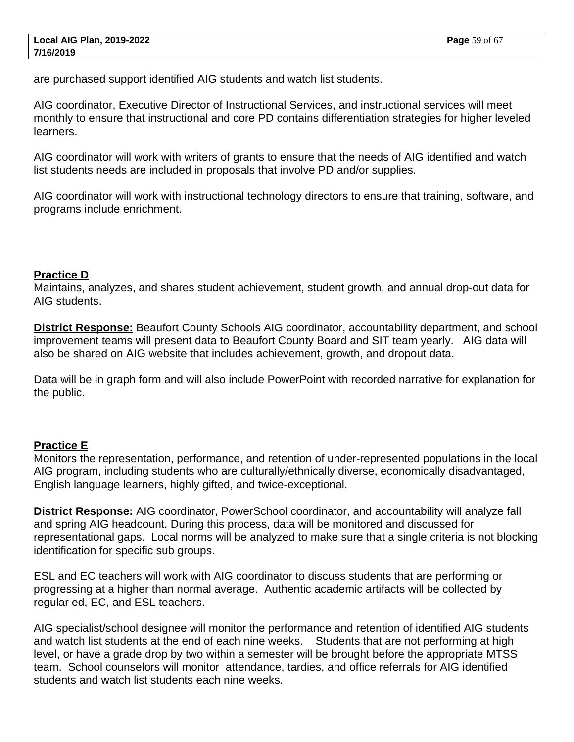are purchased support identified AIG students and watch list students.

AIG coordinator, Executive Director of Instructional Services, and instructional services will meet monthly to ensure that instructional and core PD contains differentiation strategies for higher leveled learners.

AIG coordinator will work with writers of grants to ensure that the needs of AIG identified and watch list students needs are included in proposals that involve PD and/or supplies.

AIG coordinator will work with instructional technology directors to ensure that training, software, and programs include enrichment.

#### **Practice D**

Maintains, analyzes, and shares student achievement, student growth, and annual drop-out data for AIG students.

**District Response:** Beaufort County Schools AIG coordinator, accountability department, and school improvement teams will present data to Beaufort County Board and SIT team yearly. AIG data will also be shared on AIG website that includes achievement, growth, and dropout data.

Data will be in graph form and will also include PowerPoint with recorded narrative for explanation for the public.

## **Practice E**

Monitors the representation, performance, and retention of under-represented populations in the local AIG program, including students who are culturally/ethnically diverse, economically disadvantaged, English language learners, highly gifted, and twice-exceptional.

**District Response:** AIG coordinator, PowerSchool coordinator, and accountability will analyze fall and spring AIG headcount. During this process, data will be monitored and discussed for representational gaps. Local norms will be analyzed to make sure that a single criteria is not blocking identification for specific sub groups.

ESL and EC teachers will work with AIG coordinator to discuss students that are performing or progressing at a higher than normal average. Authentic academic artifacts will be collected by regular ed, EC, and ESL teachers.

AIG specialist/school designee will monitor the performance and retention of identified AIG students and watch list students at the end of each nine weeks. Students that are not performing at high level, or have a grade drop by two within a semester will be brought before the appropriate MTSS team. School counselors will monitor attendance, tardies, and office referrals for AIG identified students and watch list students each nine weeks.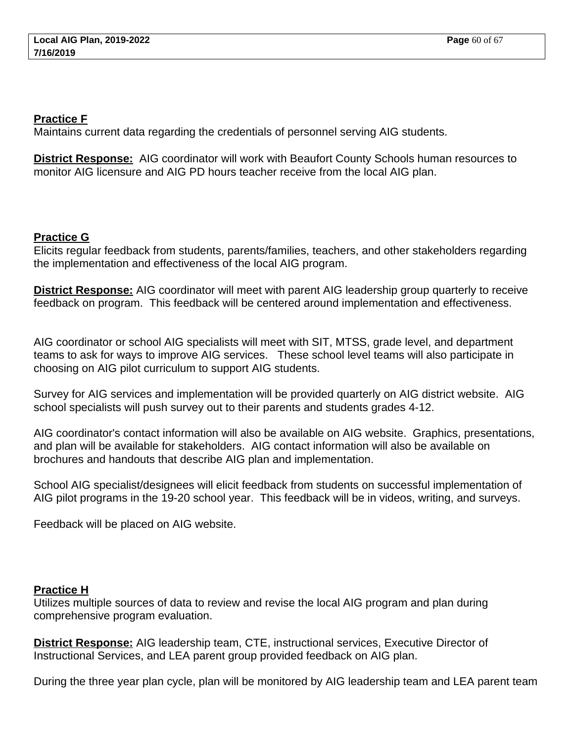#### **Practice F**

Maintains current data regarding the credentials of personnel serving AIG students.

**District Response:** AIG coordinator will work with Beaufort County Schools human resources to monitor AIG licensure and AIG PD hours teacher receive from the local AIG plan.

## **Practice G**

Elicits regular feedback from students, parents/families, teachers, and other stakeholders regarding the implementation and effectiveness of the local AIG program.

**District Response:** AIG coordinator will meet with parent AIG leadership group quarterly to receive feedback on program. This feedback will be centered around implementation and effectiveness.

AIG coordinator or school AIG specialists will meet with SIT, MTSS, grade level, and department teams to ask for ways to improve AIG services. These school level teams will also participate in choosing on AIG pilot curriculum to support AIG students.

Survey for AIG services and implementation will be provided quarterly on AIG district website. AIG school specialists will push survey out to their parents and students grades 4-12.

AIG coordinator's contact information will also be available on AIG website. Graphics, presentations, and plan will be available for stakeholders. AIG contact information will also be available on brochures and handouts that describe AIG plan and implementation.

School AIG specialist/designees will elicit feedback from students on successful implementation of AIG pilot programs in the 19-20 school year. This feedback will be in videos, writing, and surveys.

Feedback will be placed on AIG website.

# **Practice H**

Utilizes multiple sources of data to review and revise the local AIG program and plan during comprehensive program evaluation.

**District Response:** AIG leadership team, CTE, instructional services, Executive Director of Instructional Services, and LEA parent group provided feedback on AIG plan.

During the three year plan cycle, plan will be monitored by AIG leadership team and LEA parent team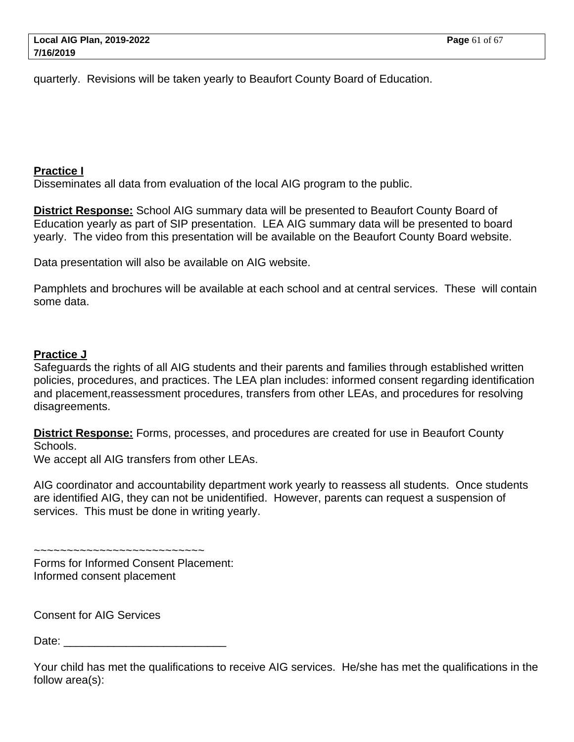quarterly. Revisions will be taken yearly to Beaufort County Board of Education.

#### **Practice I**

Disseminates all data from evaluation of the local AIG program to the public.

**District Response:** School AIG summary data will be presented to Beaufort County Board of Education yearly as part of SIP presentation. LEA AIG summary data will be presented to board yearly. The video from this presentation will be available on the Beaufort County Board website.

Data presentation will also be available on AIG website.

Pamphlets and brochures will be available at each school and at central services. These will contain some data.

## **Practice J**

Safeguards the rights of all AIG students and their parents and families through established written policies, procedures, and practices. The LEA plan includes: informed consent regarding identification and placement,reassessment procedures, transfers from other LEAs, and procedures for resolving disagreements.

**District Response:** Forms, processes, and procedures are created for use in Beaufort County Schools.

We accept all AIG transfers from other LEAs.

AIG coordinator and accountability department work yearly to reassess all students. Once students are identified AIG, they can not be unidentified. However, parents can request a suspension of services. This must be done in writing yearly.

Forms for Informed Consent Placement: Informed consent placement

~~~~~~~~~~~~~~~~~~~~~~~~~~

Consent for AIG Services

Date:

Your child has met the qualifications to receive AIG services. He/she has met the qualifications in the follow area(s):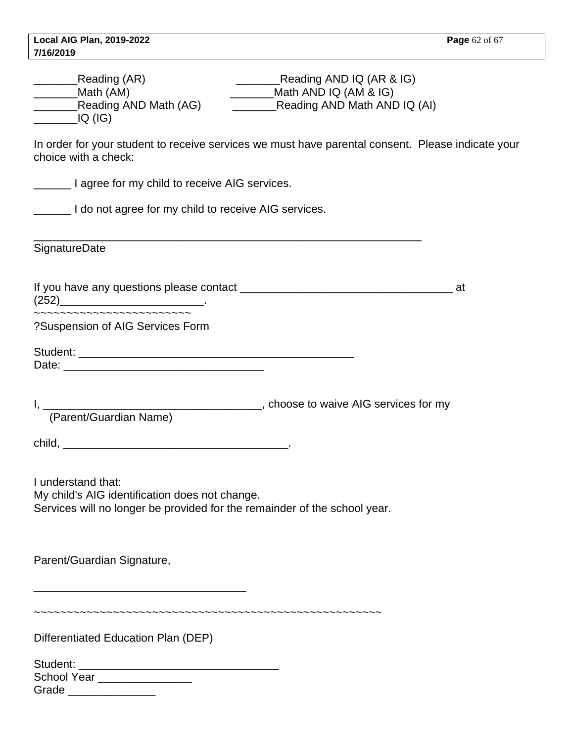| <b>Local AIG Plan, 2019-2022</b>                                          | <b>Page</b> 62 of 67                                                                              |
|---------------------------------------------------------------------------|---------------------------------------------------------------------------------------------------|
| 7/16/2019                                                                 |                                                                                                   |
|                                                                           |                                                                                                   |
| <b>Neading (AR)</b>                                                       | Reading AND IQ (AR & IG)                                                                          |
| <b>Math (AM)</b>                                                          | Math AND IQ (AM & IG)                                                                             |
| $\overline{\phantom{a}}$ IQ (IG)                                          | Reading AND Math AND IQ (AI)                                                                      |
|                                                                           |                                                                                                   |
| choice with a check:                                                      | In order for your student to receive services we must have parental consent. Please indicate your |
| I agree for my child to receive AIG services.                             |                                                                                                   |
| I do not agree for my child to receive AIG services.                      |                                                                                                   |
| Signature<br>Date                                                         |                                                                                                   |
|                                                                           |                                                                                                   |
| (252)                                                                     |                                                                                                   |
| ~~~~~~~~~~~~~~~~~~~~~~~~<br>?Suspension of AIG Services Form              |                                                                                                   |
|                                                                           |                                                                                                   |
|                                                                           |                                                                                                   |
|                                                                           |                                                                                                   |
|                                                                           |                                                                                                   |
| I, [Parent/Guardian Name) (Parent/Guardian Name)                          |                                                                                                   |
|                                                                           |                                                                                                   |
|                                                                           |                                                                                                   |
|                                                                           |                                                                                                   |
|                                                                           |                                                                                                   |
| I understand that:                                                        |                                                                                                   |
| My child's AIG identification does not change.                            |                                                                                                   |
| Services will no longer be provided for the remainder of the school year. |                                                                                                   |
|                                                                           |                                                                                                   |
|                                                                           |                                                                                                   |
|                                                                           |                                                                                                   |
| Parent/Guardian Signature,                                                |                                                                                                   |
|                                                                           |                                                                                                   |
|                                                                           |                                                                                                   |
|                                                                           |                                                                                                   |
|                                                                           |                                                                                                   |
| Differentiated Education Plan (DEP)                                       |                                                                                                   |
|                                                                           |                                                                                                   |
| School Year ________________                                              |                                                                                                   |
| Grade ________________                                                    |                                                                                                   |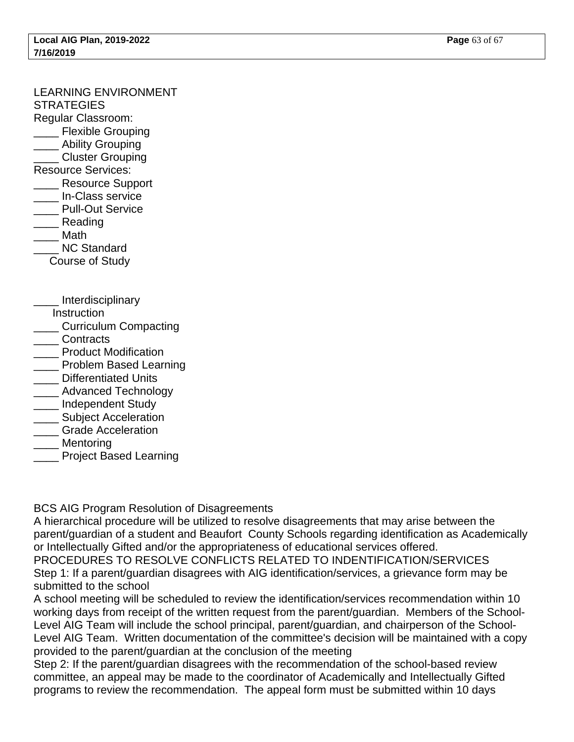# LEARNING ENVIRONMENT

**STRATEGIES** 

- Regular Classroom:
- \_\_\_\_ Flexible Grouping
- Ability Grouping
- \_\_\_\_ Cluster Grouping
- Resource Services:
- \_\_\_\_ Resource Support
- \_\_\_\_ In-Class service
- \_\_\_\_ Pull-Out Service
- \_\_\_\_ Reading \_\_\_\_ Math
- NC Standard
- Course of Study
- \_\_\_\_ Interdisciplinary
- **Instruction**
- \_\_\_\_ Curriculum Compacting
- \_\_\_\_ Contracts
- \_\_\_\_ Product Modification
- \_\_\_\_ Problem Based Learning
- \_\_\_\_ Differentiated Units
- \_\_\_\_ Advanced Technology
- \_\_\_\_ Independent Study
- Subject Acceleration
- **Example Acceleration**
- **Mentoring**
- \_\_\_\_ Project Based Learning

BCS AIG Program Resolution of Disagreements

A hierarchical procedure will be utilized to resolve disagreements that may arise between the parent/guardian of a student and Beaufort County Schools regarding identification as Academically or Intellectually Gifted and/or the appropriateness of educational services offered.

PROCEDURES TO RESOLVE CONFLICTS RELATED TO INDENTIFICATION/SERVICES Step 1: If a parent/guardian disagrees with AIG identification/services, a grievance form may be submitted to the school

A school meeting will be scheduled to review the identification/services recommendation within 10 working days from receipt of the written request from the parent/guardian. Members of the School-Level AIG Team will include the school principal, parent/guardian, and chairperson of the School-Level AIG Team. Written documentation of the committee's decision will be maintained with a copy provided to the parent/guardian at the conclusion of the meeting

Step 2: If the parent/guardian disagrees with the recommendation of the school-based review committee, an appeal may be made to the coordinator of Academically and Intellectually Gifted programs to review the recommendation. The appeal form must be submitted within 10 days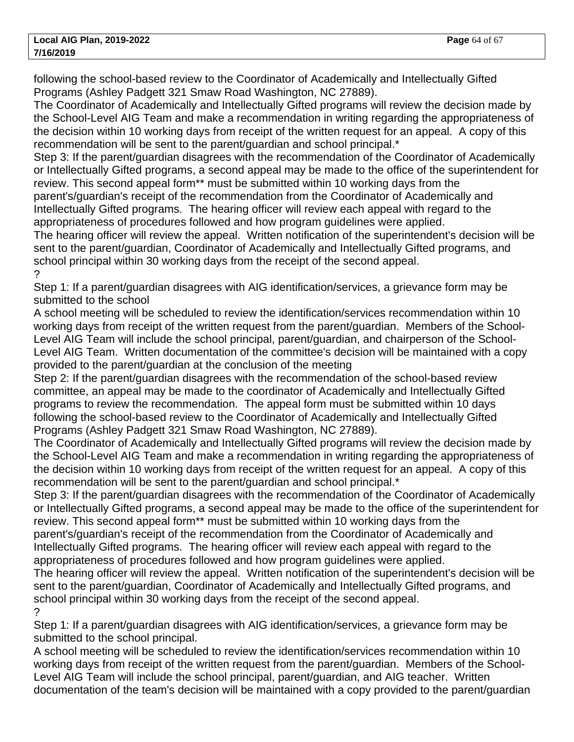following the school-based review to the Coordinator of Academically and Intellectually Gifted Programs (Ashley Padgett 321 Smaw Road Washington, NC 27889).

The Coordinator of Academically and Intellectually Gifted programs will review the decision made by the School-Level AIG Team and make a recommendation in writing regarding the appropriateness of the decision within 10 working days from receipt of the written request for an appeal. A copy of this recommendation will be sent to the parent/guardian and school principal.\*

Step 3: If the parent/guardian disagrees with the recommendation of the Coordinator of Academically or Intellectually Gifted programs, a second appeal may be made to the office of the superintendent for review. This second appeal form\*\* must be submitted within 10 working days from the

parent's/guardian's receipt of the recommendation from the Coordinator of Academically and Intellectually Gifted programs. The hearing officer will review each appeal with regard to the appropriateness of procedures followed and how program guidelines were applied.

The hearing officer will review the appeal. Written notification of the superintendent's decision will be sent to the parent/guardian, Coordinator of Academically and Intellectually Gifted programs, and school principal within 30 working days from the receipt of the second appeal. ?

Step 1: If a parent/guardian disagrees with AIG identification/services, a grievance form may be submitted to the school

A school meeting will be scheduled to review the identification/services recommendation within 10 working days from receipt of the written request from the parent/guardian. Members of the School-Level AIG Team will include the school principal, parent/guardian, and chairperson of the School-Level AIG Team. Written documentation of the committee's decision will be maintained with a copy provided to the parent/guardian at the conclusion of the meeting

Step 2: If the parent/guardian disagrees with the recommendation of the school-based review committee, an appeal may be made to the coordinator of Academically and Intellectually Gifted programs to review the recommendation. The appeal form must be submitted within 10 days following the school-based review to the Coordinator of Academically and Intellectually Gifted Programs (Ashley Padgett 321 Smaw Road Washington, NC 27889).

The Coordinator of Academically and Intellectually Gifted programs will review the decision made by the School-Level AIG Team and make a recommendation in writing regarding the appropriateness of the decision within 10 working days from receipt of the written request for an appeal. A copy of this recommendation will be sent to the parent/guardian and school principal.\*

Step 3: If the parent/guardian disagrees with the recommendation of the Coordinator of Academically or Intellectually Gifted programs, a second appeal may be made to the office of the superintendent for review. This second appeal form\*\* must be submitted within 10 working days from the parent's/guardian's receipt of the recommendation from the Coordinator of Academically and Intellectually Gifted programs. The hearing officer will review each appeal with regard to the

appropriateness of procedures followed and how program guidelines were applied.

The hearing officer will review the appeal. Written notification of the superintendent's decision will be sent to the parent/guardian, Coordinator of Academically and Intellectually Gifted programs, and school principal within 30 working days from the receipt of the second appeal. ?

Step 1: If a parent/guardian disagrees with AIG identification/services, a grievance form may be submitted to the school principal.

A school meeting will be scheduled to review the identification/services recommendation within 10 working days from receipt of the written request from the parent/guardian. Members of the School-Level AIG Team will include the school principal, parent/guardian, and AIG teacher. Written documentation of the team's decision will be maintained with a copy provided to the parent/guardian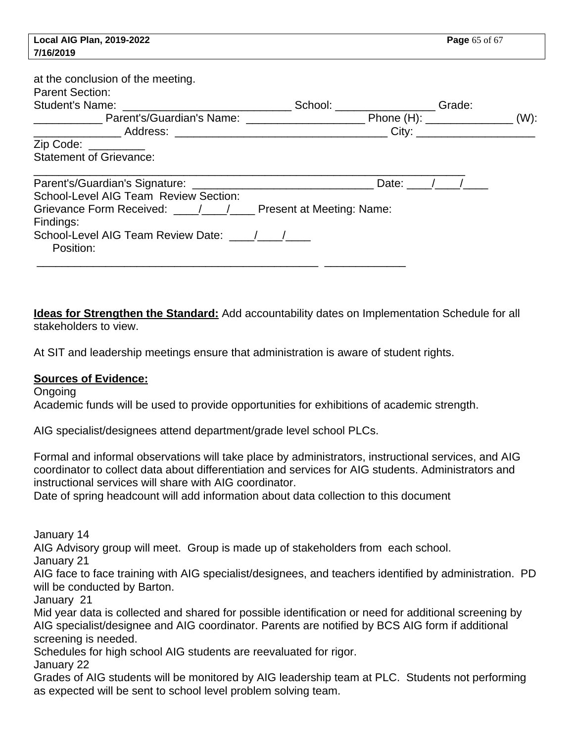| Local AIG Plan, 2019-2022                                                                                 |                               | <b>Page</b> 65 of 67 |  |  |
|-----------------------------------------------------------------------------------------------------------|-------------------------------|----------------------|--|--|
| 7/16/2019                                                                                                 |                               |                      |  |  |
| at the conclusion of the meeting.<br><b>Parent Section:</b>                                               | School: Change Change Change: |                      |  |  |
| $Zip Code: ____________$<br><b>Statement of Grievance:</b>                                                |                               |                      |  |  |
| School-Level AIG Team Review Section:<br>Findings:<br>School-Level AIG Team Review Date: / /<br>Position: |                               | Date: $/$ /          |  |  |
|                                                                                                           |                               |                      |  |  |

**Ideas for Strengthen the Standard:** Add accountability dates on Implementation Schedule for all stakeholders to view.

At SIT and leadership meetings ensure that administration is aware of student rights.

#### **Sources of Evidence:**

Ongoing Academic funds will be used to provide opportunities for exhibitions of academic strength.

AIG specialist/designees attend department/grade level school PLCs.

Formal and informal observations will take place by administrators, instructional services, and AIG coordinator to collect data about differentiation and services for AIG students. Administrators and instructional services will share with AIG coordinator.

Date of spring headcount will add information about data collection to this document

January 14

AIG Advisory group will meet. Group is made up of stakeholders from each school.

January 21

AIG face to face training with AIG specialist/designees, and teachers identified by administration. PD will be conducted by Barton.

January 21

Mid year data is collected and shared for possible identification or need for additional screening by AIG specialist/designee and AIG coordinator. Parents are notified by BCS AIG form if additional screening is needed.

Schedules for high school AIG students are reevaluated for rigor.

January 22

Grades of AIG students will be monitored by AIG leadership team at PLC. Students not performing as expected will be sent to school level problem solving team.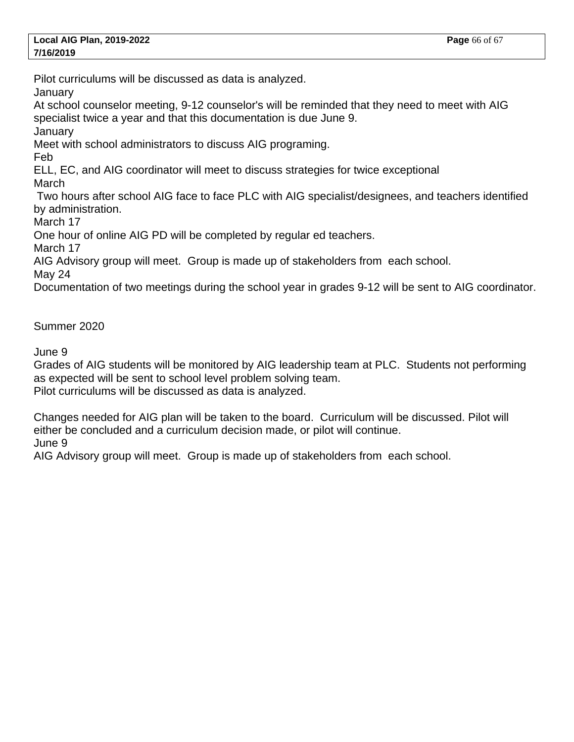Pilot curriculums will be discussed as data is analyzed.

**January** 

At school counselor meeting, 9-12 counselor's will be reminded that they need to meet with AIG specialist twice a year and that this documentation is due June 9.

January

Meet with school administrators to discuss AIG programing.

Feb

ELL, EC, and AIG coordinator will meet to discuss strategies for twice exceptional March

 Two hours after school AIG face to face PLC with AIG specialist/designees, and teachers identified by administration.

March 17

One hour of online AIG PD will be completed by regular ed teachers.

March 17

AIG Advisory group will meet. Group is made up of stakeholders from each school.

May 24

Documentation of two meetings during the school year in grades 9-12 will be sent to AIG coordinator.

Summer 2020

June 9

Grades of AIG students will be monitored by AIG leadership team at PLC. Students not performing as expected will be sent to school level problem solving team. Pilot curriculums will be discussed as data is analyzed.

Changes needed for AIG plan will be taken to the board. Curriculum will be discussed. Pilot will either be concluded and a curriculum decision made, or pilot will continue.

June 9

AIG Advisory group will meet. Group is made up of stakeholders from each school.